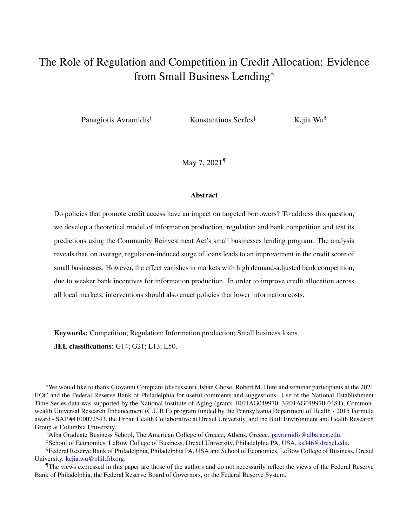# The Role of Regulation and Competition in Credit Allocation: Evidence from Small Business Lending[∗](#page-0-0)

Panagiotis Avramidis<sup>[†](#page-0-1)</sup> Konstantinos Serfes<sup>[‡](#page-0-2)</sup> Kejia Wu<sup>[§](#page-0-3)</sup>

May 7, 2021[¶](#page-0-4)

#### Abstract

Do policies that promote credit access have an impact on targeted borrowers? To address this question, we develop a theoretical model of information production, regulation and bank competition and test its predictions using the Community Reinvestment Act's small businesses lending program. The analysis reveals that, on average, regulation-induced surge of loans leads to an improvement in the credit score of small businesses. However, the effect vanishes in markets with high demand-adjusted bank competition, due to weaker bank incentives for information production. In order to improve credit allocation across all local markets, interventions should also enact policies that lower information costs.

Keywords: Competition; Regulation; Information production; Small business loans.

JEL classifications: G14; G21; L13; L50.

<span id="page-0-0"></span><sup>∗</sup>We would like to thank Giovanni Compiani (discussant), Ishan Ghose, Robert M. Hunt and seminar participants at the 2021 IIOC and the Federal Reserve Bank of Philadelphia for useful comments and suggestions. Use of the National Establishment Time Series data was supported by the National Institute of Aging (grants 1R01AG049970, 3R01AG049970-04S1), Commonwealth Universal Research Enhancement (C.U.R.E) program funded by the Pennsylvania Department of Health - 2015 Formula award - SAP #4100072543, the Urban Health Collaborative at Drexel University, and the Built Environment and Health Research Group at Columbia University.

<span id="page-0-2"></span><span id="page-0-1"></span><sup>†</sup>Alba Graduate Business School, The American College of Greece, Athens, Greece. [pavramidis@alba.acg.edu.](mailto: pavramidis@alba.acg.edu)

<span id="page-0-3"></span><sup>‡</sup>School of Economics, LeBow College of Business, Drexel University, Philadelphia PA, USA. [ks346@drexel.edu.](mailto: ks346@drexel.edu)

<sup>§</sup>Federal Reserve Bank of Philadelphia, Philadelphia PA, USA and School of Economics, LeBow College of Business, Drexel University. [kejia.wu@phil.frb.org.](kejia.wu@phil.frb.org)

<span id="page-0-4"></span><sup>¶</sup>The views expressed in this paper are those of the authors and do not necessarily reflect the views of the Federal Reserve Bank of Philadelphia, the Federal Reserve Board of Governors, or the Federal Reserve System.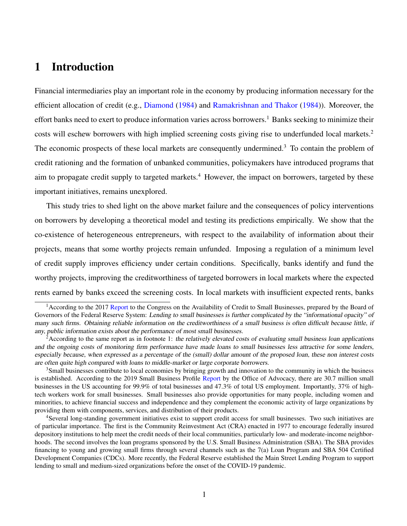# 1 Introduction

Financial intermediaries play an important role in the economy by producing information necessary for the efficient allocation of credit (e.g., [Diamond](#page-58-0) [\(1984\)](#page-58-0) and [Ramakrishnan and Thakor](#page-59-0) [\(1984\)](#page-59-0)). Moreover, the effort banks need to exert to produce information varies across borrowers.<sup>[1](#page-1-0)</sup> Banks seeking to minimize their costs will eschew borrowers with high implied screening costs giving rise to underfunded local markets.[2](#page-1-1) The economic prospects of these local markets are consequently undermined.<sup>[3](#page-1-2)</sup> To contain the problem of credit rationing and the formation of unbanked communities, policymakers have introduced programs that aim to propagate credit supply to targeted markets.<sup>[4](#page-1-3)</sup> However, the impact on borrowers, targeted by these important initiatives, remains unexplored.

This study tries to shed light on the above market failure and the consequences of policy interventions on borrowers by developing a theoretical model and testing its predictions empirically. We show that the co-existence of heterogeneous entrepreneurs, with respect to the availability of information about their projects, means that some worthy projects remain unfunded. Imposing a regulation of a minimum level of credit supply improves efficiency under certain conditions. Specifically, banks identify and fund the worthy projects, improving the creditworthiness of targeted borrowers in local markets where the expected rents earned by banks exceed the screening costs. In local markets with insufficient expected rents, banks

<span id="page-1-2"></span><sup>3</sup>Small businesses contribute to local economies by bringing growth and innovation to the community in which the business is established. According to the 2019 Small Business Profile [Report](https://cdn.advocacy.sba.gov/wp-content/uploads/2019/04/23142719/2019-Small-Business-Profiles-US.pdf) by the Office of Advocacy, there are 30.7 million small businesses in the US accounting for 99.9% of total businesses and 47.3% of total US employment. Importantly, 37% of hightech workers work for small businesses. Small businesses also provide opportunities for many people, including women and minorities, to achieve financial success and independence and they complement the economic activity of large organizations by providing them with components, services, and distribution of their products.

<span id="page-1-3"></span><sup>4</sup>Several long-standing government initiatives exist to support credit access for small businesses. Two such initiatives are of particular importance. The first is the Community Reinvestment Act (CRA) enacted in 1977 to encourage federally insured depository institutions to help meet the credit needs of their local communities, particularly low- and moderate-income neighborhoods. The second involves the loan programs sponsored by the U.S. Small Business Administration (SBA). The SBA provides financing to young and growing small firms through several channels such as the 7(a) Loan Program and SBA 504 Certified Development Companies (CDCs). More recently, the Federal Reserve established the Main Street Lending Program to support lending to small and medium-sized organizations before the onset of the COVID-19 pandemic.

<span id="page-1-0"></span><sup>&</sup>lt;sup>1</sup> According to the 2017 [Report](https://www.federalreserve.gov/publications/files/sbfreport2017.pdf) to the Congress on the Availability of Credit to Small Businesses, prepared by the Board of Governors of the Federal Reserve System: Lending to small businesses is further complicated by the "informational opacity" of many such firms. Obtaining reliable information on the creditworthiness of a small business is often difficult because little, if any, public information exists about the performance of most small businesses.

<span id="page-1-1"></span><sup>&</sup>lt;sup>2</sup> According to the same report as in footnote [1:](#page-1-0) the relatively elevated costs of evaluating small business loan applications and the ongoing costs of monitoring firm performance have made loans to small businesses less attractive for some lenders, especially because, when expressed as a percentage of the (small) dollar amount of the proposed loan, these non interest costs are often quite high compared with loans to middle-market or large corporate borrowers.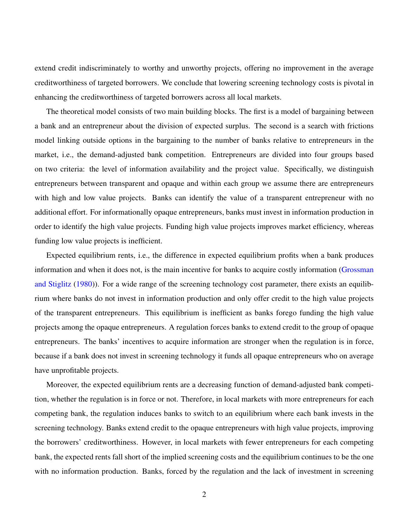extend credit indiscriminately to worthy and unworthy projects, offering no improvement in the average creditworthiness of targeted borrowers. We conclude that lowering screening technology costs is pivotal in enhancing the creditworthiness of targeted borrowers across all local markets.

The theoretical model consists of two main building blocks. The first is a model of bargaining between a bank and an entrepreneur about the division of expected surplus. The second is a search with frictions model linking outside options in the bargaining to the number of banks relative to entrepreneurs in the market, i.e., the demand-adjusted bank competition. Entrepreneurs are divided into four groups based on two criteria: the level of information availability and the project value. Specifically, we distinguish entrepreneurs between transparent and opaque and within each group we assume there are entrepreneurs with high and low value projects. Banks can identify the value of a transparent entrepreneur with no additional effort. For informationally opaque entrepreneurs, banks must invest in information production in order to identify the high value projects. Funding high value projects improves market efficiency, whereas funding low value projects is inefficient.

Expected equilibrium rents, i.e., the difference in expected equilibrium profits when a bank produces information and when it does not, is the main incentive for banks to acquire costly information [\(Grossman](#page-58-1) [and Stiglitz](#page-58-1) [\(1980\)](#page-58-1)). For a wide range of the screening technology cost parameter, there exists an equilibrium where banks do not invest in information production and only offer credit to the high value projects of the transparent entrepreneurs. This equilibrium is inefficient as banks forego funding the high value projects among the opaque entrepreneurs. A regulation forces banks to extend credit to the group of opaque entrepreneurs. The banks' incentives to acquire information are stronger when the regulation is in force, because if a bank does not invest in screening technology it funds all opaque entrepreneurs who on average have unprofitable projects.

Moreover, the expected equilibrium rents are a decreasing function of demand-adjusted bank competition, whether the regulation is in force or not. Therefore, in local markets with more entrepreneurs for each competing bank, the regulation induces banks to switch to an equilibrium where each bank invests in the screening technology. Banks extend credit to the opaque entrepreneurs with high value projects, improving the borrowers' creditworthiness. However, in local markets with fewer entrepreneurs for each competing bank, the expected rents fall short of the implied screening costs and the equilibrium continues to be the one with no information production. Banks, forced by the regulation and the lack of investment in screening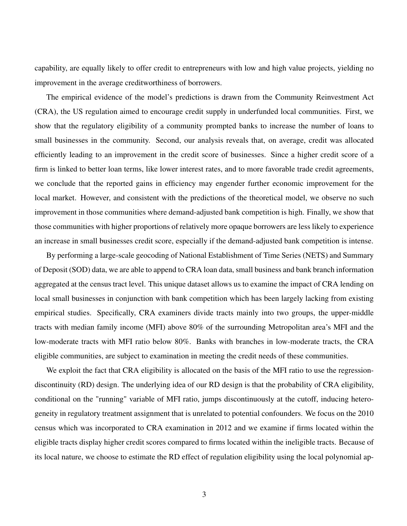capability, are equally likely to offer credit to entrepreneurs with low and high value projects, yielding no improvement in the average creditworthiness of borrowers.

The empirical evidence of the model's predictions is drawn from the Community Reinvestment Act (CRA), the US regulation aimed to encourage credit supply in underfunded local communities. First, we show that the regulatory eligibility of a community prompted banks to increase the number of loans to small businesses in the community. Second, our analysis reveals that, on average, credit was allocated efficiently leading to an improvement in the credit score of businesses. Since a higher credit score of a firm is linked to better loan terms, like lower interest rates, and to more favorable trade credit agreements, we conclude that the reported gains in efficiency may engender further economic improvement for the local market. However, and consistent with the predictions of the theoretical model, we observe no such improvement in those communities where demand-adjusted bank competition is high. Finally, we show that those communities with higher proportions of relatively more opaque borrowers are less likely to experience an increase in small businesses credit score, especially if the demand-adjusted bank competition is intense.

By performing a large-scale geocoding of National Establishment of Time Series (NETS) and Summary of Deposit (SOD) data, we are able to append to CRA loan data, small business and bank branch information aggregated at the census tract level. This unique dataset allows us to examine the impact of CRA lending on local small businesses in conjunction with bank competition which has been largely lacking from existing empirical studies. Specifically, CRA examiners divide tracts mainly into two groups, the upper-middle tracts with median family income (MFI) above 80% of the surrounding Metropolitan area's MFI and the low-moderate tracts with MFI ratio below 80%. Banks with branches in low-moderate tracts, the CRA eligible communities, are subject to examination in meeting the credit needs of these communities.

We exploit the fact that CRA eligibility is allocated on the basis of the MFI ratio to use the regressiondiscontinuity (RD) design. The underlying idea of our RD design is that the probability of CRA eligibility, conditional on the "running" variable of MFI ratio, jumps discontinuously at the cutoff, inducing heterogeneity in regulatory treatment assignment that is unrelated to potential confounders. We focus on the 2010 census which was incorporated to CRA examination in 2012 and we examine if firms located within the eligible tracts display higher credit scores compared to firms located within the ineligible tracts. Because of its local nature, we choose to estimate the RD effect of regulation eligibility using the local polynomial ap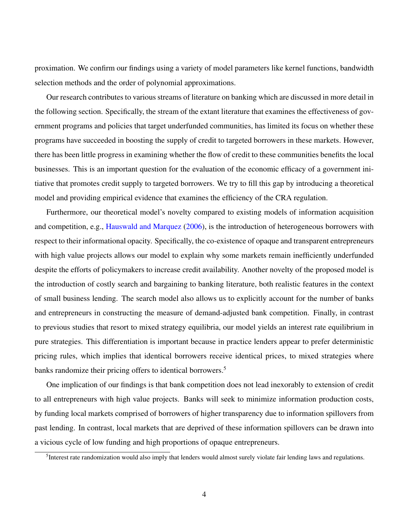proximation. We confirm our findings using a variety of model parameters like kernel functions, bandwidth selection methods and the order of polynomial approximations.

Our research contributes to various streams of literature on banking which are discussed in more detail in the following section. Specifically, the stream of the extant literature that examines the effectiveness of government programs and policies that target underfunded communities, has limited its focus on whether these programs have succeeded in boosting the supply of credit to targeted borrowers in these markets. However, there has been little progress in examining whether the flow of credit to these communities benefits the local businesses. This is an important question for the evaluation of the economic efficacy of a government initiative that promotes credit supply to targeted borrowers. We try to fill this gap by introducing a theoretical model and providing empirical evidence that examines the efficiency of the CRA regulation.

Furthermore, our theoretical model's novelty compared to existing models of information acquisition and competition, e.g., [Hauswald and Marquez](#page-58-2) [\(2006\)](#page-58-2), is the introduction of heterogeneous borrowers with respect to their informational opacity. Specifically, the co-existence of opaque and transparent entrepreneurs with high value projects allows our model to explain why some markets remain inefficiently underfunded despite the efforts of policymakers to increase credit availability. Another novelty of the proposed model is the introduction of costly search and bargaining to banking literature, both realistic features in the context of small business lending. The search model also allows us to explicitly account for the number of banks and entrepreneurs in constructing the measure of demand-adjusted bank competition. Finally, in contrast to previous studies that resort to mixed strategy equilibria, our model yields an interest rate equilibrium in pure strategies. This differentiation is important because in practice lenders appear to prefer deterministic pricing rules, which implies that identical borrowers receive identical prices, to mixed strategies where banks randomize their pricing offers to identical borrowers.<sup>[5](#page-4-0)</sup>

One implication of our findings is that bank competition does not lead inexorably to extension of credit to all entrepreneurs with high value projects. Banks will seek to minimize information production costs, by funding local markets comprised of borrowers of higher transparency due to information spillovers from past lending. In contrast, local markets that are deprived of these information spillovers can be drawn into a vicious cycle of low funding and high proportions of opaque entrepreneurs.

<span id="page-4-0"></span><sup>&</sup>lt;sup>5</sup>Interest rate randomization would also imply that lenders would almost surely violate fair lending laws and regulations.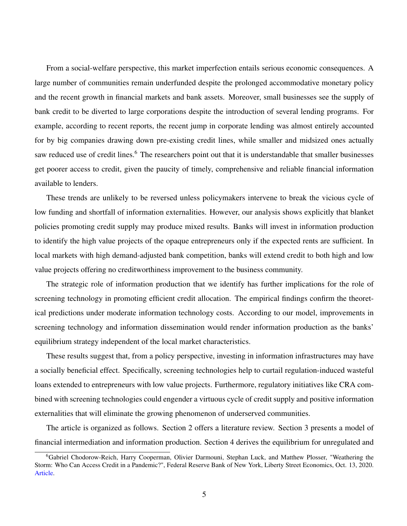From a social-welfare perspective, this market imperfection entails serious economic consequences. A large number of communities remain underfunded despite the prolonged accommodative monetary policy and the recent growth in financial markets and bank assets. Moreover, small businesses see the supply of bank credit to be diverted to large corporations despite the introduction of several lending programs. For example, according to recent reports, the recent jump in corporate lending was almost entirely accounted for by big companies drawing down pre-existing credit lines, while smaller and midsized ones actually saw reduced use of credit lines.<sup>[6](#page-5-0)</sup> The researchers point out that it is understandable that smaller businesses get poorer access to credit, given the paucity of timely, comprehensive and reliable financial information available to lenders.

These trends are unlikely to be reversed unless policymakers intervene to break the vicious cycle of low funding and shortfall of information externalities. However, our analysis shows explicitly that blanket policies promoting credit supply may produce mixed results. Banks will invest in information production to identify the high value projects of the opaque entrepreneurs only if the expected rents are sufficient. In local markets with high demand-adjusted bank competition, banks will extend credit to both high and low value projects offering no creditworthiness improvement to the business community.

The strategic role of information production that we identify has further implications for the role of screening technology in promoting efficient credit allocation. The empirical findings confirm the theoretical predictions under moderate information technology costs. According to our model, improvements in screening technology and information dissemination would render information production as the banks' equilibrium strategy independent of the local market characteristics.

These results suggest that, from a policy perspective, investing in information infrastructures may have a socially beneficial effect. Specifically, screening technologies help to curtail regulation-induced wasteful loans extended to entrepreneurs with low value projects. Furthermore, regulatory initiatives like CRA combined with screening technologies could engender a virtuous cycle of credit supply and positive information externalities that will eliminate the growing phenomenon of underserved communities.

The article is organized as follows. Section [2](#page-6-0) offers a literature review. Section [3](#page-9-0) presents a model of financial intermediation and information production. Section [4](#page-15-0) derives the equilibrium for unregulated and

<span id="page-5-0"></span><sup>6</sup>Gabriel Chodorow-Reich, Harry Cooperman, Olivier Darmouni, Stephan Luck, and Matthew Plosser, "Weathering the Storm: Who Can Access Credit in a Pandemic?", Federal Reserve Bank of New York, Liberty Street Economics, Oct. 13, 2020. [Article.](https://libertystreeteconomics.newyorkfed.org/2020/10/weathering-the-storm-who-can-access-credit-in-a-pandemic.html)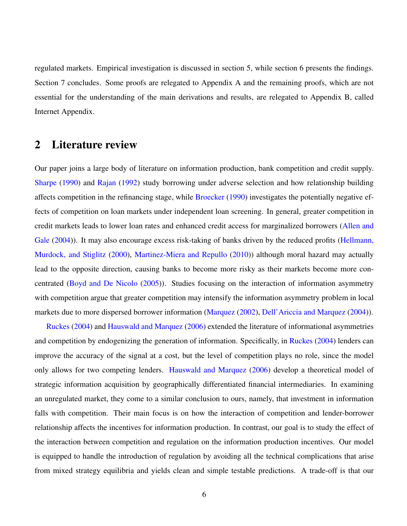regulated markets. Empirical investigation is discussed in section [5,](#page-27-0) while section [6](#page-37-0) presents the findings. Section [7](#page-51-0) concludes. Some proofs are relegated to Appendix [A](#page-52-0) and the remaining proofs, which are not essential for the understanding of the main derivations and results, are relegated to Appendix [B,](#page-61-0) called Internet Appendix.

# <span id="page-6-0"></span>2 Literature review

Our paper joins a large body of literature on information production, bank competition and credit supply. [Sharpe](#page-60-0) [\(1990\)](#page-60-0) and [Rajan](#page-59-1) [\(1992\)](#page-59-1) study borrowing under adverse selection and how relationship building affects competition in the refinancing stage, while [Broecker](#page-57-0) [\(1990\)](#page-57-0) investigates the potentially negative effects of competition on loan markets under independent loan screening. In general, greater competition in credit markets leads to lower loan rates and enhanced credit access for marginalized borrowers [\(Allen and](#page-56-0) [Gale](#page-56-0) [\(2004\)](#page-56-0)). It may also encourage excess risk-taking of banks driven by the reduced profits [\(Hellmann,](#page-58-3) [Murdock, and Stiglitz](#page-58-3) [\(2000\)](#page-58-3), [Martinez-Miera and Repullo](#page-59-2) [\(2010\)](#page-59-2)) although moral hazard may actually lead to the opposite direction, causing banks to become more risky as their markets become more concentrated [\(Boyd and De Nicolo](#page-57-1) [\(2005\)](#page-57-1)). Studies focusing on the interaction of information asymmetry with competition argue that greater competition may intensify the information asymmetry problem in local markets due to more dispersed borrower information [\(Marquez](#page-59-3) [\(2002\)](#page-59-3), [Dell'Ariccia and Marquez](#page-58-4) [\(2004\)](#page-58-4)).

[Ruckes](#page-60-1) [\(2004\)](#page-60-1) and [Hauswald and Marquez](#page-58-2) [\(2006\)](#page-58-2) extended the literature of informational asymmetries and competition by endogenizing the generation of information. Specifically, in [Ruckes](#page-60-1) [\(2004\)](#page-60-1) lenders can improve the accuracy of the signal at a cost, but the level of competition plays no role, since the model only allows for two competing lenders. [Hauswald and Marquez](#page-58-2) [\(2006\)](#page-58-2) develop a theoretical model of strategic information acquisition by geographically differentiated financial intermediaries. In examining an unregulated market, they come to a similar conclusion to ours, namely, that investment in information falls with competition. Their main focus is on how the interaction of competition and lender-borrower relationship affects the incentives for information production. In contrast, our goal is to study the effect of the interaction between competition and regulation on the information production incentives. Our model is equipped to handle the introduction of regulation by avoiding all the technical complications that arise from mixed strategy equilibria and yields clean and simple testable predictions. A trade-off is that our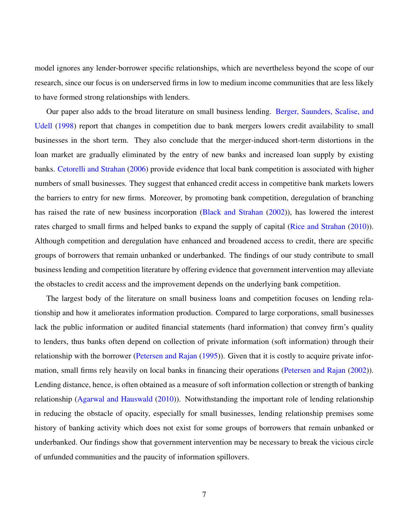model ignores any lender-borrower specific relationships, which are nevertheless beyond the scope of our research, since our focus is on underserved firms in low to medium income communities that are less likely to have formed strong relationships with lenders.

Our paper also adds to the broad literature on small business lending. [Berger, Saunders, Scalise, and](#page-56-1) [Udell](#page-56-1) [\(1998\)](#page-56-1) report that changes in competition due to bank mergers lowers credit availability to small businesses in the short term. They also conclude that the merger-induced short-term distortions in the loan market are gradually eliminated by the entry of new banks and increased loan supply by existing banks. [Cetorelli and Strahan](#page-57-2) [\(2006\)](#page-57-2) provide evidence that local bank competition is associated with higher numbers of small businesses. They suggest that enhanced credit access in competitive bank markets lowers the barriers to entry for new firms. Moreover, by promoting bank competition, deregulation of branching has raised the rate of new business incorporation [\(Black and Strahan](#page-57-3) [\(2002\)](#page-57-3)), has lowered the interest rates charged to small firms and helped banks to expand the supply of capital [\(Rice and Strahan](#page-59-4) [\(2010\)](#page-59-4)). Although competition and deregulation have enhanced and broadened access to credit, there are specific groups of borrowers that remain unbanked or underbanked. The findings of our study contribute to small business lending and competition literature by offering evidence that government intervention may alleviate the obstacles to credit access and the improvement depends on the underlying bank competition.

The largest body of the literature on small business loans and competition focuses on lending relationship and how it ameliorates information production. Compared to large corporations, small businesses lack the public information or audited financial statements (hard information) that convey firm's quality to lenders, thus banks often depend on collection of private information (soft information) through their relationship with the borrower [\(Petersen and Rajan](#page-59-5) [\(1995\)](#page-59-5)). Given that it is costly to acquire private information, small firms rely heavily on local banks in financing their operations [\(Petersen and Rajan](#page-59-6) [\(2002\)](#page-59-6)). Lending distance, hence, is often obtained as a measure of soft information collection or strength of banking relationship [\(Agarwal and Hauswald](#page-56-2) [\(2010\)](#page-56-2)). Notwithstanding the important role of lending relationship in reducing the obstacle of opacity, especially for small businesses, lending relationship premises some history of banking activity which does not exist for some groups of borrowers that remain unbanked or underbanked. Our findings show that government intervention may be necessary to break the vicious circle of unfunded communities and the paucity of information spillovers.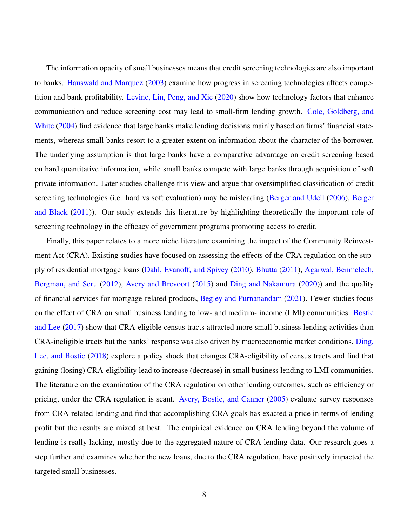The information opacity of small businesses means that credit screening technologies are also important to banks. [Hauswald and Marquez](#page-58-5) [\(2003\)](#page-58-5) examine how progress in screening technologies affects competition and bank profitability. [Levine, Lin, Peng, and Xie](#page-59-7) [\(2020\)](#page-59-7) show how technology factors that enhance communication and reduce screening cost may lead to small-firm lending growth. [Cole, Goldberg, and](#page-57-4) [White](#page-57-4) [\(2004\)](#page-57-4) find evidence that large banks make lending decisions mainly based on firms' financial statements, whereas small banks resort to a greater extent on information about the character of the borrower. The underlying assumption is that large banks have a comparative advantage on credit screening based on hard quantitative information, while small banks compete with large banks through acquisition of soft private information. Later studies challenge this view and argue that oversimplified classification of credit screening technologies (i.e. hard vs soft evaluation) may be misleading [\(Berger and Udell](#page-56-3) [\(2006\)](#page-56-3), [Berger](#page-56-4) [and Black](#page-56-4) [\(2011\)](#page-56-4)). Our study extends this literature by highlighting theoretically the important role of screening technology in the efficacy of government programs promoting access to credit.

Finally, this paper relates to a more niche literature examining the impact of the Community Reinvestment Act (CRA). Existing studies have focused on assessing the effects of the CRA regulation on the supply of residential mortgage loans [\(Dahl, Evanoff, and Spivey](#page-57-5) [\(2010\)](#page-57-5), [Bhutta](#page-57-6) [\(2011\)](#page-57-6), [Agarwal, Benmelech,](#page-56-5) [Bergman, and Seru](#page-56-5) [\(2012\)](#page-56-5), [Avery and Brevoort](#page-56-6) [\(2015\)](#page-56-6) and [Ding and Nakamura](#page-58-6) [\(2020\)](#page-58-6)) and the quality of financial services for mortgage-related products, [Begley and Purnanandam](#page-56-7) [\(2021\)](#page-56-7). Fewer studies focus on the effect of CRA on small business lending to low- and medium- income (LMI) communities. [Bostic](#page-57-7) [and Lee](#page-57-7) [\(2017\)](#page-57-7) show that CRA-eligible census tracts attracted more small business lending activities than CRA-ineligible tracts but the banks' response was also driven by macroeconomic market conditions. [Ding,](#page-58-7) [Lee, and Bostic](#page-58-7) [\(2018\)](#page-58-7) explore a policy shock that changes CRA-eligibility of census tracts and find that gaining (losing) CRA-eligibility lead to increase (decrease) in small business lending to LMI communities. The literature on the examination of the CRA regulation on other lending outcomes, such as efficiency or pricing, under the CRA regulation is scant. [Avery, Bostic, and Canner](#page-56-8) [\(2005\)](#page-56-8) evaluate survey responses from CRA-related lending and find that accomplishing CRA goals has exacted a price in terms of lending profit but the results are mixed at best. The empirical evidence on CRA lending beyond the volume of lending is really lacking, mostly due to the aggregated nature of CRA lending data. Our research goes a step further and examines whether the new loans, due to the CRA regulation, have positively impacted the targeted small businesses.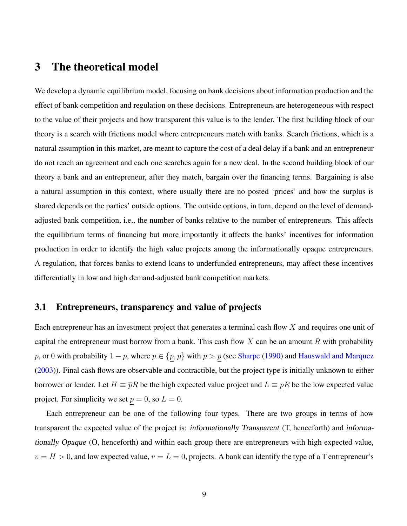# <span id="page-9-0"></span>3 The theoretical model

We develop a dynamic equilibrium model, focusing on bank decisions about information production and the effect of bank competition and regulation on these decisions. Entrepreneurs are heterogeneous with respect to the value of their projects and how transparent this value is to the lender. The first building block of our theory is a search with frictions model where entrepreneurs match with banks. Search frictions, which is a natural assumption in this market, are meant to capture the cost of a deal delay if a bank and an entrepreneur do not reach an agreement and each one searches again for a new deal. In the second building block of our theory a bank and an entrepreneur, after they match, bargain over the financing terms. Bargaining is also a natural assumption in this context, where usually there are no posted 'prices' and how the surplus is shared depends on the parties' outside options. The outside options, in turn, depend on the level of demandadjusted bank competition, i.e., the number of banks relative to the number of entrepreneurs. This affects the equilibrium terms of financing but more importantly it affects the banks' incentives for information production in order to identify the high value projects among the informationally opaque entrepreneurs. A regulation, that forces banks to extend loans to underfunded entrepreneurs, may affect these incentives differentially in low and high demand-adjusted bank competition markets.

## 3.1 Entrepreneurs, transparency and value of projects

Each entrepreneur has an investment project that generates a terminal cash flow X and requires one unit of capital the entrepreneur must borrow from a bank. This cash flow X can be an amount R with probability p, or 0 with probability  $1 - p$ , where  $p \in \{p, \overline{p}\}\$  with  $\overline{p} > p$  (see [Sharpe](#page-60-0) [\(1990\)](#page-60-0) and [Hauswald and Marquez](#page-58-5) [\(2003\)](#page-58-5)). Final cash flows are observable and contractible, but the project type is initially unknown to either borrower or lender. Let  $H \equiv \bar{p}R$  be the high expected value project and  $L \equiv pR$  be the low expected value project. For simplicity we set  $p = 0$ , so  $L = 0$ .

Each entrepreneur can be one of the following four types. There are two groups in terms of how transparent the expected value of the project is: informationally Transparent (T, henceforth) and informationally Opaque (O, henceforth) and within each group there are entrepreneurs with high expected value,  $v = H > 0$ , and low expected value,  $v = L = 0$ , projects. A bank can identify the type of a T entrepreneur's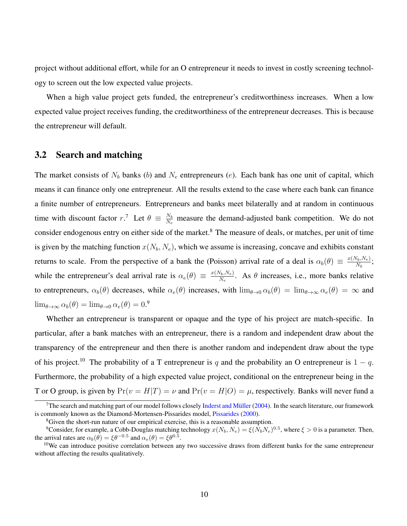project without additional effort, while for an O entrepreneur it needs to invest in costly screening technology to screen out the low expected value projects.

When a high value project gets funded, the entrepreneur's creditworthiness increases. When a low expected value project receives funding, the creditworthiness of the entrepreneur decreases. This is because the entrepreneur will default.

### 3.2 Search and matching

The market consists of  $N_b$  banks (b) and  $N_e$  entrepreneurs (e). Each bank has one unit of capital, which means it can finance only one entrepreneur. All the results extend to the case where each bank can finance a finite number of entrepreneurs. Entrepreneurs and banks meet bilaterally and at random in continuous time with discount factor r.<sup>[7](#page-10-0)</sup> Let  $\theta \equiv \frac{N_b}{N_a}$  $\frac{N_b}{N_e}$  measure the demand-adjusted bank competition. We do not consider endogenous entry on either side of the market.<sup>[8](#page-10-1)</sup> The measure of deals, or matches, per unit of time is given by the matching function  $x(N_b, N_e)$ , which we assume is increasing, concave and exhibits constant returns to scale. From the perspective of a bank the (Poisson) arrival rate of a deal is  $\alpha_b(\theta) \equiv \frac{x(N_b,N_e)}{N_b}$  $\frac{N_b,N_e)}{N_b};$ while the entrepreneur's deal arrival rate is  $\alpha_e(\theta) \equiv \frac{x(N_b,N_e)}{N_e}$  $\frac{(N_b, N_e)}{N_e}$ . As  $\theta$  increases, i.e., more banks relative to entrepreneurs,  $\alpha_b(\theta)$  decreases, while  $\alpha_e(\theta)$  increases, with  $\lim_{\theta \to 0} \alpha_b(\theta) = \lim_{\theta \to \infty} \alpha_e(\theta) = \infty$  and  $\lim_{\theta \to \infty} \alpha_b(\theta) = \lim_{\theta \to 0} \alpha_e(\theta) = 0$ .<sup>[9](#page-10-2)</sup>

Whether an entrepreneur is transparent or opaque and the type of his project are match-specific. In particular, after a bank matches with an entrepreneur, there is a random and independent draw about the transparency of the entrepreneur and then there is another random and independent draw about the type of his project.<sup>[10](#page-10-3)</sup> The probability of a T entrepreneur is q and the probability an O entrepreneur is  $1 - q$ . Furthermore, the probability of a high expected value project, conditional on the entrepreneur being in the T or O group, is given by  $Pr(v = H|T) = \nu$  and  $Pr(v = H|O) = \mu$ , respectively. Banks will never fund a

<span id="page-10-0"></span><sup>&</sup>lt;sup>7</sup>The search and matching part of our model follows closely [Inderst and Müller](#page-59-8) [\(2004\)](#page-59-8). In the search literature, our framework is commonly known as the Diamond-Mortensen-Pissarides model, [Pissarides](#page-59-9) [\(2000\)](#page-59-9).

<span id="page-10-2"></span><span id="page-10-1"></span><sup>&</sup>lt;sup>8</sup>Given the short-run nature of our empirical exercise, this is a reasonable assumption.

<sup>&</sup>lt;sup>9</sup>Consider, for example, a Cobb-Douglas matching technology  $x(N_b, N_e) = \xi(N_b N_e)^{0.5}$ , where  $\xi > 0$  is a parameter. Then, the arrival rates are  $\alpha_b(\theta) = \xi \theta^{-0.5}$  and  $\alpha_e(\theta) = \xi \theta^{0.5}$ .

<span id="page-10-3"></span> $10$ We can introduce positive correlation between any two successive draws from different banks for the same entrepreneur without affecting the results qualitatively.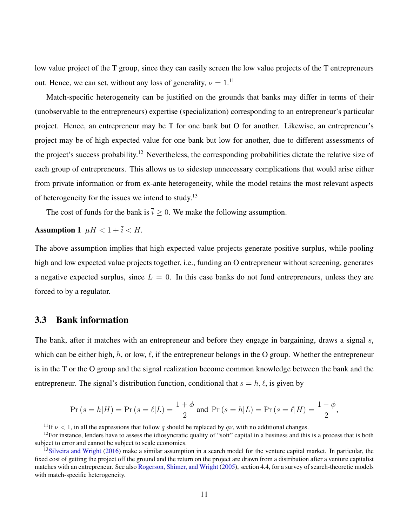low value project of the T group, since they can easily screen the low value projects of the T entrepreneurs out. Hence, we can set, without any loss of generality,  $\nu = 1$ .<sup>[11](#page-11-0)</sup>

Match-specific heterogeneity can be justified on the grounds that banks may differ in terms of their (unobservable to the entrepreneurs) expertise (specialization) corresponding to an entrepreneur's particular project. Hence, an entrepreneur may be T for one bank but O for another. Likewise, an entrepreneur's project may be of high expected value for one bank but low for another, due to different assessments of the project's success probability.[12](#page-11-1) Nevertheless, the corresponding probabilities dictate the relative size of each group of entrepreneurs. This allows us to sidestep unnecessary complications that would arise either from private information or from ex-ante heterogeneity, while the model retains the most relevant aspects of heterogeneity for the issues we intend to study.[13](#page-11-2)

<span id="page-11-3"></span>The cost of funds for the bank is  $\bar{i} \geq 0$ . We make the following assumption.

Assumption 1  $\mu H < 1 + \overline{i} < H$ .

The above assumption implies that high expected value projects generate positive surplus, while pooling high and low expected value projects together, i.e., funding an O entrepreneur without screening, generates a negative expected surplus, since  $L = 0$ . In this case banks do not fund entrepreneurs, unless they are forced to by a regulator.

## 3.3 Bank information

The bank, after it matches with an entrepreneur and before they engage in bargaining, draws a signal s, which can be either high, h, or low,  $\ell$ , if the entrepreneur belongs in the O group. Whether the entrepreneur is in the T or the O group and the signal realization become common knowledge between the bank and the entrepreneur. The signal's distribution function, conditional that  $s = h, \ell$ , is given by

$$
\Pr\left(s = h|H\right) = \Pr\left(s = \ell|L\right) = \frac{1+\phi}{2} \text{ and } \Pr\left(s = h|L\right) = \Pr\left(s = \ell|H\right) = \frac{1-\phi}{2},
$$

<span id="page-11-1"></span><span id="page-11-0"></span><sup>&</sup>lt;sup>11</sup>If  $\nu$  < 1, in all the expressions that follow q should be replaced by  $q\nu$ , with no additional changes.

 $12$ For instance, lenders have to assess the idiosyncratic quality of "soft" capital in a business and this is a process that is both subject to error and cannot be subject to scale economies.

<span id="page-11-2"></span> $13$ [Silveira and Wright](#page-60-2) [\(2016\)](#page-60-2) make a similar assumption in a search model for the venture capital market. In particular, the fixed cost of getting the project off the ground and the return on the project are drawn from a distribution after a venture capitalist matches with an entrepreneur. See also [Rogerson, Shimer, and Wright](#page-60-3) [\(2005\)](#page-60-3), section 4.4, for a survey of search-theoretic models with match-specific heterogeneity.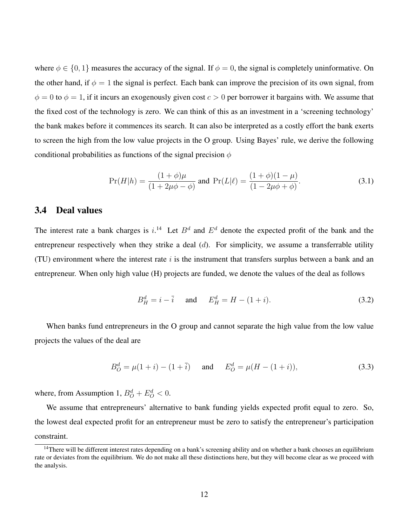where  $\phi \in \{0, 1\}$  measures the accuracy of the signal. If  $\phi = 0$ , the signal is completely uninformative. On the other hand, if  $\phi = 1$  the signal is perfect. Each bank can improve the precision of its own signal, from  $\phi = 0$  to  $\phi = 1$ , if it incurs an exogenously given cost  $c > 0$  per borrower it bargains with. We assume that the fixed cost of the technology is zero. We can think of this as an investment in a 'screening technology' the bank makes before it commences its search. It can also be interpreted as a costly effort the bank exerts to screen the high from the low value projects in the O group. Using Bayes' rule, we derive the following conditional probabilities as functions of the signal precision  $\phi$ 

$$
\Pr(H|h) = \frac{(1+\phi)\mu}{(1+2\mu\phi - \phi)} \text{ and } \Pr(L|\ell) = \frac{(1+\phi)(1-\mu)}{(1-2\mu\phi + \phi)}.
$$
 (3.1)

### 3.4 Deal values

The interest rate a bank charges is  $i^{14}$  $i^{14}$  $i^{14}$  Let  $B^d$  and  $E^d$  denote the expected profit of the bank and the entrepreneur respectively when they strike a deal  $(d)$ . For simplicity, we assume a transferrable utility (TU) environment where the interest rate  $i$  is the instrument that transfers surplus between a bank and an entrepreneur. When only high value (H) projects are funded, we denote the values of the deal as follows

<span id="page-12-1"></span>
$$
B_H^d = i - \bar{i}
$$
 and  $E_H^d = H - (1 + i)$ . (3.2)

When banks fund entrepreneurs in the O group and cannot separate the high value from the low value projects the values of the deal are

$$
B_O^d = \mu(1+i) - (1+\bar{i}) \quad \text{and} \quad E_O^d = \mu(H - (1+i)), \tag{3.3}
$$

where, from Assumption [1,](#page-11-3)  $B_Q^d + E_Q^d < 0$ .

We assume that entrepreneurs' alternative to bank funding yields expected profit equal to zero. So, the lowest deal expected profit for an entrepreneur must be zero to satisfy the entrepreneur's participation constraint.

<span id="page-12-0"></span><sup>&</sup>lt;sup>14</sup>There will be different interest rates depending on a bank's screening ability and on whether a bank chooses an equilibrium rate or deviates from the equilibrium. We do not make all these distinctions here, but they will become clear as we proceed with the analysis.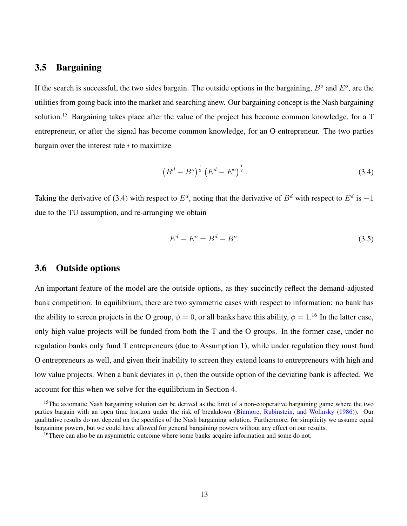## 3.5 Bargaining

If the search is successful, the two sides bargain. The outside options in the bargaining,  $B^o$  and  $E^o$ , are the utilities from going back into the market and searching anew. Our bargaining concept is the Nash bargaining solution.[15](#page-13-0) Bargaining takes place after the value of the project has become common knowledge, for a T entrepreneur, or after the signal has become common knowledge, for an O entrepreneur. The two parties bargain over the interest rate  $i$  to maximize

<span id="page-13-1"></span>
$$
\left(B^d - B^o\right)^{\frac{1}{2}} \left(E^d - E^o\right)^{\frac{1}{2}}.
$$
\n(3.4)

Taking the derivative of [\(3.4\)](#page-13-1) with respect to  $E^d$ , noting that the derivative of  $B^d$  with respect to  $E^d$  is  $-1$ due to the TU assumption, and re-arranging we obtain

<span id="page-13-3"></span>
$$
E^d - E^o = B^d - B^o. \tag{3.5}
$$

## 3.6 Outside options

An important feature of the model are the outside options, as they succinctly reflect the demand-adjusted bank competition. In equilibrium, there are two symmetric cases with respect to information: no bank has the ability to screen projects in the O group,  $\phi = 0$ , or all banks have this ability,  $\phi = 1.16$  $\phi = 1.16$  In the latter case, only high value projects will be funded from both the T and the O groups. In the former case, under no regulation banks only fund T entrepreneurs (due to Assumption [1\)](#page-11-3), while under regulation they must fund O entrepreneurs as well, and given their inability to screen they extend loans to entrepreneurs with high and low value projects. When a bank deviates in  $\phi$ , then the outside option of the deviating bank is affected. We account for this when we solve for the equilibrium in Section [4.](#page-15-0)

<span id="page-13-0"></span><sup>&</sup>lt;sup>15</sup>The axiomatic Nash bargaining solution can be derived as the limit of a non-cooperative bargaining game where the two parties bargain with an open time horizon under the risk of breakdown [\(Binmore, Rubinstein, and Wolinsky](#page-57-8) [\(1986\)](#page-57-8)). Our qualitative results do not depend on the specifics of the Nash bargaining solution. Furthermore, for simplicity we assume equal bargaining powers, but we could have allowed for general bargaining powers without any effect on our results.

<span id="page-13-2"></span><sup>&</sup>lt;sup>16</sup>There can also be an asymmetric outcome where some banks acquire information and some do not.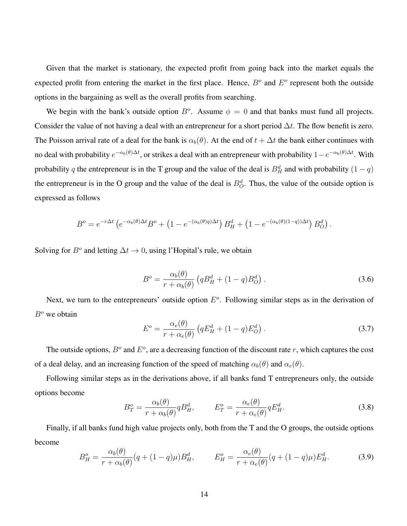Given that the market is stationary, the expected profit from going back into the market equals the expected profit from entering the market in the first place. Hence,  $B<sup>o</sup>$  and  $E<sup>o</sup>$  represent both the outside options in the bargaining as well as the overall profits from searching.

We begin with the bank's outside option  $B^o$ . Assume  $\phi = 0$  and that banks must fund all projects. Consider the value of not having a deal with an entrepreneur for a short period  $\Delta t$ . The flow benefit is zero. The Poisson arrival rate of a deal for the bank is  $\alpha_b(\theta)$ . At the end of  $t + \Delta t$  the bank either continues with no deal with probability  $e^{-\alpha_b(\theta)\Delta t}$ , or strikes a deal with an entrepreneur with probability  $1-e^{-\alpha_b(\theta)\Delta t}$ . With probability q the entrepreneur is in the T group and the value of the deal is  $B_H^d$  and with probability  $(1 - q)$ the entrepreneur is in the O group and the value of the deal is  $B^d_{\mathcal{O}}$ . Thus, the value of the outside option is expressed as follows

$$
B^o = e^{-r\Delta t} \left( e^{-\alpha_b(\theta)\Delta t} B^o + \left( 1 - e^{-(\alpha_b(\theta)q)\Delta t} \right) B^d_H + \left( 1 - e^{-(\alpha_b(\theta)(1-q))\Delta t} \right) B^d_O \right).
$$

Solving for  $B^o$  and letting  $\Delta t \to 0$ , using l'Hopital's rule, we obtain

<span id="page-14-2"></span>
$$
B^o = \frac{\alpha_b(\theta)}{r + \alpha_b(\theta)} \left( q B_H^d + (1 - q) B_O^d \right). \tag{3.6}
$$

Next, we turn to the entrepreneurs' outside option  $E<sup>o</sup>$ . Following similar steps as in the derivation of  $B<sup>o</sup>$  we obtain

<span id="page-14-3"></span>
$$
E^o = \frac{\alpha_e(\theta)}{r + \alpha_e(\theta)} \left( q E_H^d + (1 - q) E_O^d \right). \tag{3.7}
$$

The outside options,  $B^{\circ}$  and  $E^{\circ}$ , are a decreasing function of the discount rate r, which captures the cost of a deal delay, and an increasing function of the speed of matching  $\alpha_b(\theta)$  and  $\alpha_e(\theta)$ .

Following similar steps as in the derivations above, if all banks fund T entrepreneurs only, the outside options become

<span id="page-14-0"></span>
$$
B_T^o = \frac{\alpha_b(\theta)}{r + \alpha_b(\theta)} q B_H^d, \qquad E_T^o = \frac{\alpha_e(\theta)}{r + \alpha_e(\theta)} q E_H^d.
$$
 (3.8)

Finally, if all banks fund high value projects only, both from the T and the O groups, the outside options become

<span id="page-14-1"></span>
$$
B_H^o = \frac{\alpha_b(\theta)}{r + \alpha_b(\theta)} (q + (1 - q)\mu) B_H^d, \qquad E_H^o = \frac{\alpha_e(\theta)}{r + \alpha_e(\theta)} (q + (1 - q)\mu) E_H^d.
$$
 (3.9)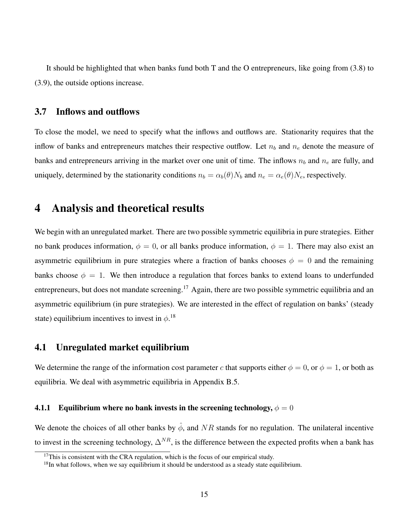It should be highlighted that when banks fund both T and the O entrepreneurs, like going from [\(3.8\)](#page-14-0) to [\(3.9\)](#page-14-1), the outside options increase.

## 3.7 Inflows and outflows

To close the model, we need to specify what the inflows and outflows are. Stationarity requires that the inflow of banks and entrepreneurs matches their respective outflow. Let  $n_b$  and  $n_e$  denote the measure of banks and entrepreneurs arriving in the market over one unit of time. The inflows  $n_b$  and  $n_e$  are fully, and uniquely, determined by the stationarity conditions  $n_b = \alpha_b(\theta)N_b$  and  $n_e = \alpha_e(\theta)N_e$ , respectively.

# <span id="page-15-0"></span>4 Analysis and theoretical results

We begin with an unregulated market. There are two possible symmetric equilibria in pure strategies. Either no bank produces information,  $\phi = 0$ , or all banks produce information,  $\phi = 1$ . There may also exist an asymmetric equilibrium in pure strategies where a fraction of banks chooses  $\phi = 0$  and the remaining banks choose  $\phi = 1$ . We then introduce a regulation that forces banks to extend loans to underfunded entrepreneurs, but does not mandate screening.<sup>[17](#page-15-1)</sup> Again, there are two possible symmetric equilibria and an asymmetric equilibrium (in pure strategies). We are interested in the effect of regulation on banks' (steady state) equilibrium incentives to invest in  $\phi$ .<sup>[18](#page-15-2)</sup>

## 4.1 Unregulated market equilibrium

We determine the range of the information cost parameter c that supports either  $\phi = 0$ , or  $\phi = 1$ , or both as equilibria. We deal with asymmetric equilibria in Appendix [B.5.](#page-66-0)

#### <span id="page-15-3"></span>4.1.1 Equilibrium where no bank invests in the screening technology,  $\phi = 0$

We denote the choices of all other banks by  $\hat{\phi}$ , and NR stands for no regulation. The unilateral incentive to invest in the screening technology,  $\Delta^{NR}$ , is the difference between the expected profits when a bank has

<span id="page-15-1"></span><sup>&</sup>lt;sup>17</sup>This is consistent with the CRA regulation, which is the focus of our empirical study.

<span id="page-15-2"></span><sup>&</sup>lt;sup>18</sup>In what follows, when we say equilibrium it should be understood as a steady state equilibrium.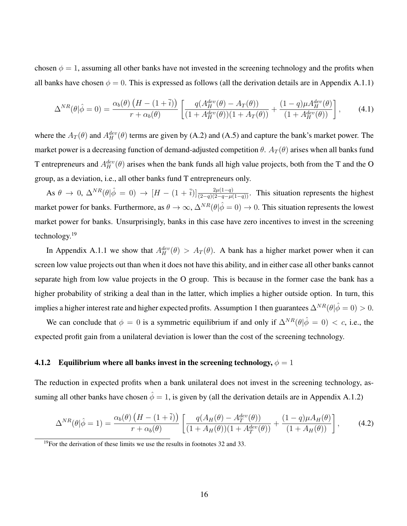chosen  $\phi = 1$ , assuming all other banks have not invested in the screening technology and the profits when all banks have chosen  $\phi = 0$ . This is expressed as follows (all the derivation details are in Appendix [A.1.1\)](#page-53-0)

<span id="page-16-1"></span>
$$
\Delta^{NR}(\theta|\hat{\phi}=0) = \frac{\alpha_b(\theta)\left(H - (1+\overline{i})\right)}{r + \alpha_b(\theta)} \left[ \frac{q(A_H^{dev}(\theta) - A_T(\theta))}{(1 + A_H^{dev}(\theta))(1 + A_T(\theta))} + \frac{(1-q)\mu A_H^{dev}(\theta)}{(1 + A_H^{dev}(\theta))} \right],\tag{4.1}
$$

where the  $A_T(\theta)$  and  $A_H^{dev}(\theta)$  terms are given by [\(A.2\)](#page-53-1) and [\(A.5\)](#page-54-0) and capture the bank's market power. The market power is a decreasing function of demand-adjusted competition  $\theta$ .  $A_T(\theta)$  arises when all banks fund T entrepreneurs and  $A_H^{dev}(\theta)$  arises when the bank funds all high value projects, both from the T and the O group, as a deviation, i.e., all other banks fund T entrepreneurs only.

As  $\theta \to 0$ ,  $\Delta^{NR}(\theta|\hat{\phi} = 0) \to [H - (1 + \overline{i})] \frac{2\mu(1-q)}{(2-q)(2-q-\mu(1-q))}$ . This situation represents the highest market power for banks. Furthermore, as  $\theta \to \infty$ ,  $\Delta^{NR}(\theta|\hat{\phi}=0) \to 0$ . This situation represents the lowest market power for banks. Unsurprisingly, banks in this case have zero incentives to invest in the screening technology.[19](#page-16-0)

In Appendix [A.1.1](#page-53-0) we show that  $A_H^{dev}(\theta) > A_T(\theta)$ . A bank has a higher market power when it can screen low value projects out than when it does not have this ability, and in either case all other banks cannot separate high from low value projects in the O group. This is because in the former case the bank has a higher probability of striking a deal than in the latter, which implies a higher outside option. In turn, this implies a higher interest rate and higher expected profits. Assumption [1](#page-11-3) then guarantees  $\Delta^{NR}(\theta|\hat{\phi}=0) > 0$ .

We can conclude that  $\phi = 0$  is a symmetric equilibrium if and only if  $\Delta^{NR}(\theta|\hat{\phi}=0) < c$ , i.e., the expected profit gain from a unilateral deviation is lower than the cost of the screening technology.

#### <span id="page-16-3"></span>4.1.2 Equilibrium where all banks invest in the screening technology,  $\phi = 1$

The reduction in expected profits when a bank unilateral does not invest in the screening technology, assuming all other banks have chosen  $\hat{\phi} = 1$ , is given by (all the derivation details are in Appendix [A.1.2\)](#page-54-1)

<span id="page-16-2"></span>
$$
\Delta^{NR}(\theta|\hat{\phi}=1) = \frac{\alpha_b(\theta)\left(H - (1+\overline{i})\right)}{r + \alpha_b(\theta)} \left[\frac{q(A_H(\theta) - A_T^{dev}(\theta))}{(1 + A_H(\theta))(1 + A_T^{dev}(\theta))} + \frac{(1-q)\mu A_H(\theta)}{(1 + A_H(\theta))}\right],\tag{4.2}
$$

<span id="page-16-0"></span><sup>&</sup>lt;sup>19</sup>For the derivation of these limits we use the results in footnotes [32](#page-53-2) and [33.](#page-54-2)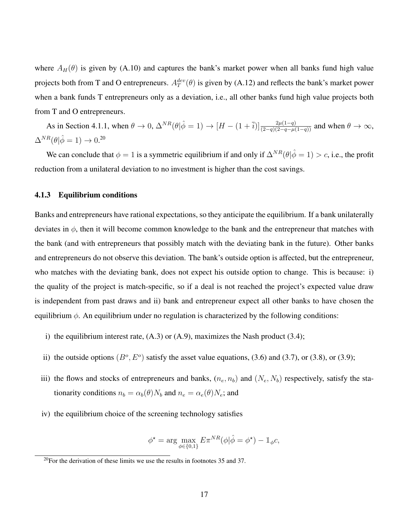where  $A_H(\theta)$  is given by [\(A.10\)](#page-55-0) and captures the bank's market power when all banks fund high value projects both from T and O entrepreneurs.  $A_T^{dev}(\theta)$  is given by [\(A.12\)](#page-55-1) and reflects the bank's market power when a bank funds T entrepreneurs only as a deviation, i.e., all other banks fund high value projects both from T and O entrepreneurs.

As in Section [4.1.1,](#page-15-3) when  $\theta \to 0$ ,  $\Delta^{NR}(\theta|\hat{\phi}=1) \to [H-(1+\overline{i})]\frac{2\mu(1-q)}{(2-q)(2-q-\mu(1-q))}$  and when  $\theta \to \infty$ ,  $\Delta^{NR}(\theta|\hat{\phi}=1) \rightarrow 0.^{20}$  $\Delta^{NR}(\theta|\hat{\phi}=1) \rightarrow 0.^{20}$  $\Delta^{NR}(\theta|\hat{\phi}=1) \rightarrow 0.^{20}$ 

We can conclude that  $\phi = 1$  is a symmetric equilibrium if and only if  $\Delta^{NR}(\theta|\hat{\phi} = 1) > c$ , i.e., the profit reduction from a unilateral deviation to no investment is higher than the cost savings.

#### <span id="page-17-1"></span>4.1.3 Equilibrium conditions

Banks and entrepreneurs have rational expectations, so they anticipate the equilibrium. If a bank unilaterally deviates in  $\phi$ , then it will become common knowledge to the bank and the entrepreneur that matches with the bank (and with entrepreneurs that possibly match with the deviating bank in the future). Other banks and entrepreneurs do not observe this deviation. The bank's outside option is affected, but the entrepreneur, who matches with the deviating bank, does not expect his outside option to change. This is because: i) the quality of the project is match-specific, so if a deal is not reached the project's expected value draw is independent from past draws and ii) bank and entrepreneur expect all other banks to have chosen the equilibrium  $\phi$ . An equilibrium under no regulation is characterized by the following conditions:

- i) the equilibrium interest rate,  $(A.3)$  or  $(A.9)$ , maximizes the Nash product  $(3.4)$ ;
- ii) the outside options  $(B^o, E^o)$  satisfy the asset value equations, [\(3.6\)](#page-14-2) and [\(3.7\)](#page-14-3), or [\(3.8\)](#page-14-0), or [\(3.9\)](#page-14-1);
- iii) the flows and stocks of entrepreneurs and banks,  $(n_e, n_b)$  and  $(N_e, N_b)$  respectively, satisfy the stationarity conditions  $n_b = \alpha_b(\theta)N_b$  and  $n_e = \alpha_e(\theta)N_e$ ; and
- iv) the equilibrium choice of the screening technology satisfies

$$
\phi^* = \arg \max_{\phi \in \{0,1\}} E \pi^{NR}(\phi | \hat{\phi} = \phi^*) - \mathbb{1}_{\phi} c,
$$

<span id="page-17-0"></span> $20$ For the derivation of these limits we use the results in footnotes [35](#page-55-2) and [37.](#page-55-3)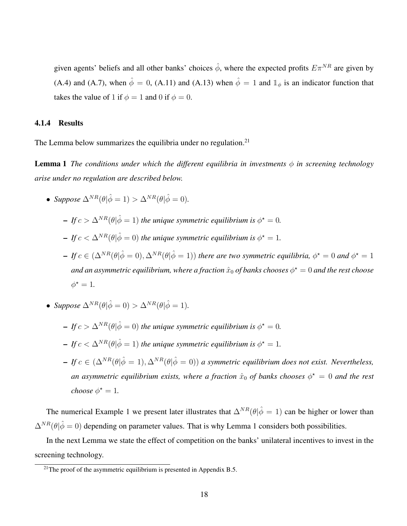<span id="page-18-1"></span>given agents' beliefs and all other banks' choices  $\hat{\phi}$ , where the expected profits  $E\pi^{NR}$  are given by [\(A.4\)](#page-53-4) and [\(A.7\)](#page-54-4), when  $\hat{\phi} = 0$ , [\(A.11\)](#page-55-4) and [\(A.13\)](#page-55-5) when  $\hat{\phi} = 1$  and  $\mathbb{1}_{\phi}$  is an indicator function that takes the value of 1 if  $\phi = 1$  and 0 if  $\phi = 0$ .

#### 4.1.4 Results

The Lemma below summarizes the equilibria under no regulation.<sup>[21](#page-18-0)</sup>

**Lemma 1** *The conditions under which the different equilibria in investments*  $\phi$  *in screening technology arise under no regulation are described below.*

- *Suppose*  $\Delta^{NR}(\theta|\hat{\phi}=1) > \Delta^{NR}(\theta|\hat{\phi}=0)$ .
	- $-If c > \Delta^{NR}(\theta|\hat{\phi}=1)$  the unique symmetric equilibrium is  $\phi^* = 0$ .
	- $-If c < \Delta^{NR}(\theta|\hat{\phi}=0)$  the unique symmetric equilibrium is  $\phi^* = 1$ .
	- $-If c \in (\Delta^{NR}(\theta|\hat{\phi}=0), \Delta^{NR}(\theta|\hat{\phi}=1))$  there are two symmetric equilibria,  $\phi^{\star}=0$  and  $\phi^{\star}=1$ and an asymmetric equilibrium, where a fraction  $\hat{x}_0$  of banks chooses  $\phi^\star=0$  and the rest choose  $\phi^* = 1$ .
- *Suppose*  $\Delta^{NR}(\theta|\hat{\phi}=0) > \Delta^{NR}(\theta|\hat{\phi}=1)$ .
	- $-If c > \Delta^{NR}(\theta|\hat{\phi}=0)$  the unique symmetric equilibrium is  $\phi^* = 0$ .
	- $-If c < \Delta^{NR}(\theta|\hat{\phi}=1)$  the unique symmetric equilibrium is  $\phi^* = 1$ .
	- $-If$  c ∈ ( $\Delta^{NR}(\theta|\hat{\phi}=1), \Delta^{NR}(\theta|\hat{\phi}=0)$ ) *a symmetric equilibrium does not exist. Nevertheless, an asymmetric equilibrium exists, where a fraction*  $\hat{x}_0$  *of banks chooses*  $\phi^{\star} = 0$  *and the rest choose*  $\phi^* = 1$ *.*

The numerical Example [1](#page-23-0) we present later illustrates that  $\Delta^{NR}(\theta|\hat{\phi}=1)$  can be higher or lower than  $\Delta^{NR}(\theta|\hat{\phi}=0)$  depending on parameter values. That is why Lemma [1](#page-18-1) considers both possibilities.

In the next Lemma we state the effect of competition on the banks' unilateral incentives to invest in the screening technology.

<span id="page-18-2"></span><span id="page-18-0"></span> $21$ The proof of the asymmetric equilibrium is presented in Appendix [B.5.](#page-66-0)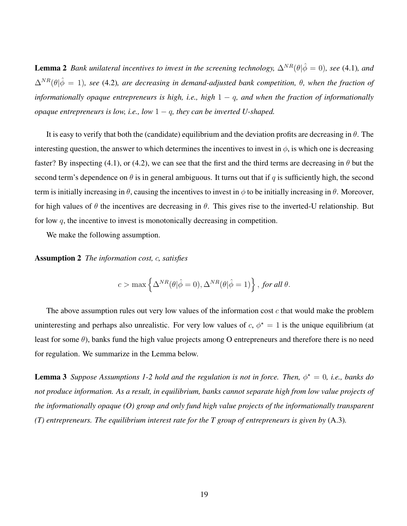**Lemma 2** *Bank unilateral incentives to invest in the screening technology,*  $\Delta^{NR}(\theta|\hat{\phi}=0)$ *, see* [\(4.1\)](#page-16-1)*, and*  $\Delta^{NR}(\theta|\hat{\phi}=1)$ *, see* [\(4.2\)](#page-16-2)*, are decreasing in demand-adjusted bank competition,*  $\theta$ *, when the fraction of informationally opaque entrepreneurs is high, i.e., high* 1 − q*, and when the fraction of informationally opaque entrepreneurs is low, i.e., low* 1 − q*, they can be inverted U-shaped.*

It is easy to verify that both the (candidate) equilibrium and the deviation profits are decreasing in  $\theta$ . The interesting question, the answer to which determines the incentives to invest in  $\phi$ , is which one is decreasing faster? By inspecting [\(4.1\)](#page-16-1), or [\(4.2\)](#page-16-2), we can see that the first and the third terms are decreasing in  $\theta$  but the second term's dependence on  $\theta$  is in general ambiguous. It turns out that if q is sufficiently high, the second term is initially increasing in  $\theta$ , causing the incentives to invest in  $\phi$  to be initially increasing in  $\theta$ . Moreover, for high values of  $\theta$  the incentives are decreasing in  $\theta$ . This gives rise to the inverted-U relationship. But for low  $q$ , the incentive to invest is monotonically decreasing in competition.

<span id="page-19-0"></span>We make the following assumption.

Assumption 2 *The information cost,* c*, satisfies*

$$
c > \max\left\{\Delta^{NR}(\theta|\hat{\phi}=0), \Delta^{NR}(\theta|\hat{\phi}=1)\right\}, \text{ for all } \theta.
$$

The above assumption rules out very low values of the information cost  $c$  that would make the problem uninteresting and perhaps also unrealistic. For very low values of  $c, \phi^* = 1$  is the unique equilibrium (at least for some  $\theta$ ), banks fund the high value projects among O entrepreneurs and therefore there is no need for regulation. We summarize in the Lemma below.

<span id="page-19-1"></span>**Lemma 3** *Suppose Assumptions [1-](#page-11-3)[2](#page-19-0) hold and the regulation is not in force. Then,*  $\phi^* = 0$ , *i.e., banks do not produce information. As a result, in equilibrium, banks cannot separate high from low value projects of the informationally opaque (O) group and only fund high value projects of the informationally transparent (T) entrepreneurs. The equilibrium interest rate for the T group of entrepreneurs is given by* [\(A.3\)](#page-53-3)*.*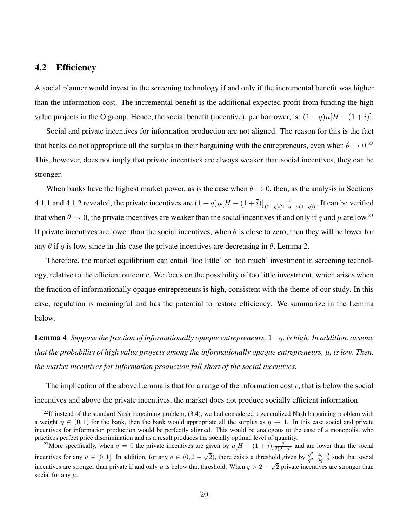## <span id="page-20-3"></span>4.2 Efficiency

A social planner would invest in the screening technology if and only if the incremental benefit was higher than the information cost. The incremental benefit is the additional expected profit from funding the high value projects in the O group. Hence, the social benefit (incentive), per borrower, is:  $(1 - q)\mu[H - (1 + \overline{i})]$ .

Social and private incentives for information production are not aligned. The reason for this is the fact that banks do not appropriate all the surplus in their bargaining with the entrepreneurs, even when  $\theta \to 0.^{22}$  $\theta \to 0.^{22}$  $\theta \to 0.^{22}$ This, however, does not imply that private incentives are always weaker than social incentives, they can be stronger.

When banks have the highest market power, as is the case when  $\theta \to 0$ , then, as the analysis in Sections [4.1.1](#page-15-3) and [4.1.2](#page-16-3) revealed, the private incentives are  $(1-q)\mu[H-(1+\overline{i})]\frac{2}{(2-q)(2-q-\mu(1-q))}$ . It can be verified that when  $\theta \to 0$ , the private incentives are weaker than the social incentives if and only if q and  $\mu$  are low.<sup>[23](#page-20-1)</sup> If private incentives are lower than the social incentives, when  $\theta$  is close to zero, then they will be lower for any  $\theta$  if q is low, since in this case the private incentives are decreasing in  $\theta$ , Lemma [2.](#page-18-2)

Therefore, the market equilibrium can entail 'too little' or 'too much' investment in screening technology, relative to the efficient outcome. We focus on the possibility of too little investment, which arises when the fraction of informationally opaque entrepreneurs is high, consistent with the theme of our study. In this case, regulation is meaningful and has the potential to restore efficiency. We summarize in the Lemma below.

<span id="page-20-2"></span>Lemma 4 *Suppose the fraction of informationally opaque entrepreneurs,* 1−q*, is high. In addition, assume that the probability of high value projects among the informationally opaque entrepreneurs,*  $\mu$ *, is low. Then, the market incentives for information production fall short of the social incentives.*

The implication of the above Lemma is that for a range of the information cost  $c$ , that is below the social incentives and above the private incentives, the market does not produce socially efficient information.

<span id="page-20-0"></span> $22$ If instead of the standard Nash bargaining problem, [\(3.4\)](#page-13-1), we had considered a generalized Nash bargaining problem with a weight  $\eta \in (0,1)$  for the bank, then the bank would appropriate all the surplus as  $\eta \to 1$ . In this case social and private incentives for information production would be perfectly aligned. This would be analogous to the case of a monopolist who practices perfect price discrimination and as a result produces the socially optimal level of quantity.

<span id="page-20-1"></span><sup>&</sup>lt;sup>23</sup>More specifically, when  $q = 0$  the private incentives are given by  $\mu[H - (1 + \overline{i})]\frac{2}{2(2-\mu)}$  and are lower than the social incentives for any  $\mu \in [0, 1]$ . In addition, for any  $q \in (0, 2 - 1]$  $\sqrt{2}$ ), there exists a threshold given by  $\frac{q^2-4q+2}{q^2-3q+2}$  such that social incentives are stronger than private if and only  $\mu$  is below that threshold. When  $q > 2 - \sqrt{2}$  private incentives are stronger than social for any  $\mu$ .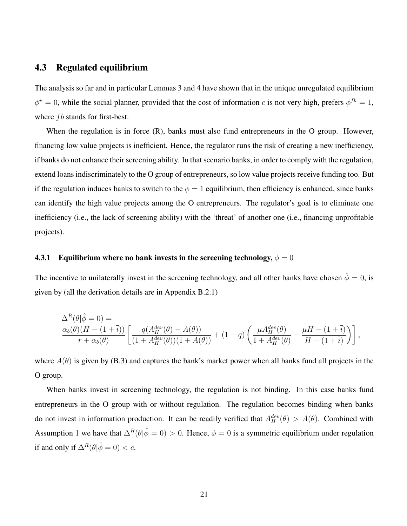## 4.3 Regulated equilibrium

The analysis so far and in particular Lemmas [3](#page-19-1) and [4](#page-20-2) have shown that in the unique unregulated equilibrium  $\phi^* = 0$ , while the social planner, provided that the cost of information c is not very high, prefers  $\phi^{fb} = 1$ , where  $fb$  stands for first-best.

When the regulation is in force (R), banks must also fund entrepreneurs in the O group. However, financing low value projects is inefficient. Hence, the regulator runs the risk of creating a new inefficiency, if banks do not enhance their screening ability. In that scenario banks, in order to comply with the regulation, extend loans indiscriminately to the O group of entrepreneurs, so low value projects receive funding too. But if the regulation induces banks to switch to the  $\phi = 1$  equilibrium, then efficiency is enhanced, since banks can identify the high value projects among the O entrepreneurs. The regulator's goal is to eliminate one inefficiency (i.e., the lack of screening ability) with the 'threat' of another one (i.e., financing unprofitable projects).

### 4.3.1 Equilibrium where no bank invests in the screening technology,  $\phi = 0$

The incentive to unilaterally invest in the screening technology, and all other banks have chosen  $\hat{\phi} = 0$ , is given by (all the derivation details are in Appendix [B.2.1\)](#page-62-0)

$$
\frac{\Delta^R(\theta|\hat{\phi}=0)}{r+\alpha_b(\theta)} = \frac{q(A_H^{dev}(\theta)-A(\theta))}{\left[ \frac{q(A_H^{dev}(\theta)-A(\theta))}{(1+A_H^{dev}(\theta))(1+A(\theta))} + (1-q)\left(\frac{\mu A_H^{dev}(\theta)}{1+A_H^{dev}(\theta)} - \frac{\mu H - (1+\overline{i})}{H - (1+\overline{i})}\right) \right],
$$

where  $A(\theta)$  is given by [\(B.3\)](#page-63-0) and captures the bank's market power when all banks fund all projects in the O group.

When banks invest in screening technology, the regulation is not binding. In this case banks fund entrepreneurs in the O group with or without regulation. The regulation becomes binding when banks do not invest in information production. It can be readily verified that  $A_H^{dev}(\theta) > A(\theta)$ . Combined with Assumption [1](#page-11-3) we have that  $\Delta^R(\theta|\hat{\phi}=0) > 0$ . Hence,  $\phi = 0$  is a symmetric equilibrium under regulation if and only if  $\Delta^R(\theta|\hat{\phi}=0) < c$ .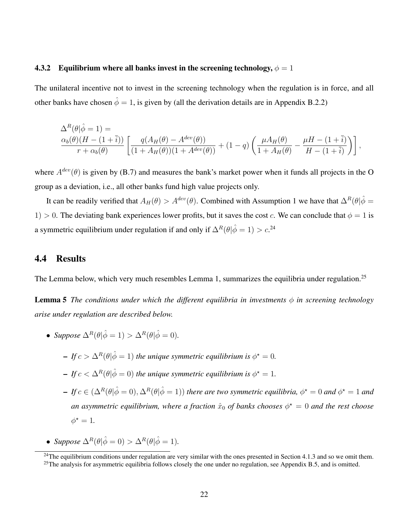#### 4.3.2 Equilibrium where all banks invest in the screening technology,  $\phi = 1$

The unilateral incentive not to invest in the screening technology when the regulation is in force, and all other banks have chosen  $\hat{\phi} = 1$ , is given by (all the derivation details are in Appendix [B.2.2\)](#page-64-0)

$$
\frac{\Delta^R(\theta|\hat{\phi}=1)}{r+\alpha_b(\theta)} = \frac{q(A_H(\theta)-A^{dev}(\theta))}{\left[\frac{q(A_H(\theta)-A^{dev}(\theta))}{(1+A_H(\theta))(1+A^{dev}(\theta))}+(1-q)\left(\frac{\mu A_H(\theta)}{1+A_H(\theta)}-\frac{\mu H-(1+\overline{i})}{H-(1+\overline{i})}\right)\right],
$$

where  $A^{dev}(\theta)$  is given by [\(B.7\)](#page-64-1) and measures the bank's market power when it funds all projects in the O group as a deviation, i.e., all other banks fund high value projects only.

It can be readily verified that  $A_H(\theta) > A^{dev}(\theta)$ . Combined with Assumption [1](#page-11-3) we have that  $\Delta^R(\theta|\hat{\phi}) =$ 1) > 0. The deviating bank experiences lower profits, but it saves the cost c. We can conclude that  $\phi = 1$  is a symmetric equilibrium under regulation if and only if  $\Delta^R(\theta|\hat{\phi}=1) > c$ .<sup>[24](#page-22-0)</sup>

### 4.4 Results

The Lemma below, which very much resembles Lemma [1,](#page-18-1) summarizes the equilibria under regulation.<sup>[25](#page-22-1)</sup>

**Lemma 5** *The conditions under which the different equilibria in investments*  $\phi$  *in screening technology arise under regulation are described below.*

- *Suppose*  $\Delta^R(\theta|\hat{\phi}=1) > \Delta^R(\theta|\hat{\phi}=0)$ .
	- $-If c > \Delta^{R}(\theta|\hat{\phi}=1)$  the unique symmetric equilibrium is  $\phi^* = 0$ .
	- $-If c < \Delta^{R}(\theta|\hat{\phi}=0)$  the unique symmetric equilibrium is  $\phi^* = 1$ .
	- $-If c \in (\Delta^R(\theta|\hat{\phi}=0), \Delta^R(\theta|\hat{\phi}=1))$  there are two symmetric equilibria,  $\phi^* = 0$  and  $\phi^* = 1$  and an asymmetric equilibrium, where a fraction  $\hat{x}_0$  of banks chooses  $\phi^{\star} = 0$  and the rest choose  $\phi^* = 1$ .
- *Suppose*  $\Delta^R(\theta|\hat{\phi}=0) > \Delta^R(\theta|\hat{\phi}=1)$ .

<span id="page-22-0"></span> $24$ The equilibrium conditions under regulation are very similar with the ones presented in Section [4.1.3](#page-17-1) and so we omit them.

<span id="page-22-1"></span> $25$ The analysis for asymmetric equilibria follows closely the one under no regulation, see Appendix [B.5,](#page-66-0) and is omitted.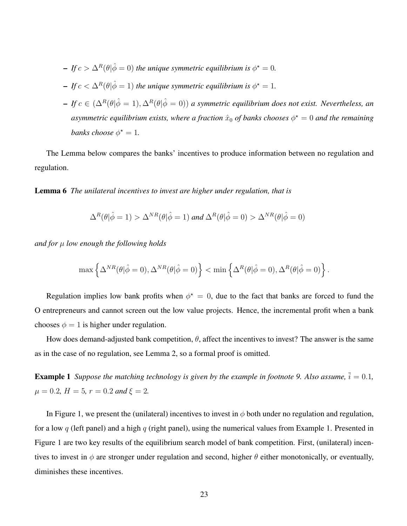$-If c > \Delta^{R}(\theta|\hat{\phi}=0)$  the unique symmetric equilibrium is  $\phi^* = 0$ .  $-If c < \Delta^{R}(\theta|\hat{\phi}=1)$  the unique symmetric equilibrium is  $\phi^* = 1$ .  $-If$  c ∈ (Δ<sup>R</sup>( $θ$ | $\hat{φ}$  = 1), Δ<sup>R</sup>( $θ$ | $\hat{φ}$  = 0)) *a* symmetric equilibrium does not exist. Nevertheless, an asymmetric equilibrium exists, where a fraction  $\hat{x}_0$  of banks chooses  $\phi^\star = 0$  and the remaining *banks choose*  $\phi^* = 1$ *.* 

The Lemma below compares the banks' incentives to produce information between no regulation and regulation.

<span id="page-23-1"></span>Lemma 6 *The unilateral incentives to invest are higher under regulation, that is*

$$
\Delta^R(\theta|\hat{\phi}=1) > \Delta^{NR}(\theta|\hat{\phi}=1) \text{ and } \Delta^R(\theta|\hat{\phi}=0) > \Delta^{NR}(\theta|\hat{\phi}=0)
$$

*and for* µ *low enough the following holds*

$$
\max\left\{\Delta^{NR}(\theta|\hat\phi=0),\Delta^{NR}(\theta|\hat\phi=0)\right\}<\min\left\{\Delta^R(\theta|\hat\phi=0),\Delta^R(\theta|\hat\phi=0)\right\}.
$$

Regulation implies low bank profits when  $\phi^* = 0$ , due to the fact that banks are forced to fund the O entrepreneurs and cannot screen out the low value projects. Hence, the incremental profit when a bank chooses  $\phi = 1$  is higher under regulation.

How does demand-adjusted bank competition,  $\theta$ , affect the incentives to invest? The answer is the same as in the case of no regulation, see Lemma [2,](#page-18-2) so a formal proof is omitted.

<span id="page-23-0"></span>**Example 1** *Suppose the matching technology is given by the example in footnote [9.](#page-10-2) Also assume,*  $\bar{i} = 0.1$ ,  $\mu = 0.2$ ,  $H = 5$ ,  $r = 0.2$  and  $\xi = 2$ .

In Figure [1,](#page-24-0) we present the (unilateral) incentives to invest in  $\phi$  both under no regulation and regulation, for a low q (left panel) and a high q (right panel), using the numerical values from Example [1.](#page-23-0) Presented in Figure [1](#page-24-0) are two key results of the equilibrium search model of bank competition. First, (unilateral) incentives to invest in  $\phi$  are stronger under regulation and second, higher  $\theta$  either monotonically, or eventually, diminishes these incentives.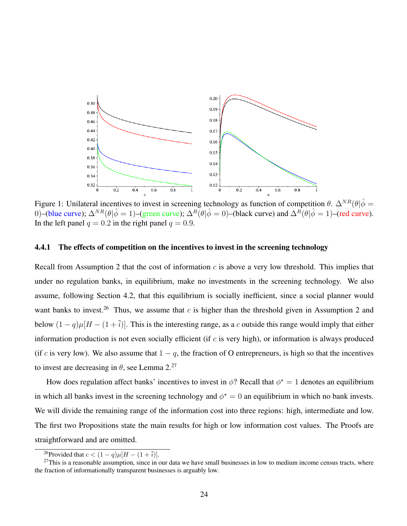<span id="page-24-0"></span>

Figure 1: Unilateral incentives to invest in screening technology as function of competition  $\theta$ .  $\Delta^{NR}(\theta|\hat{\phi})$ 0)–(blue curve);  $\Delta^{NR}(\theta|\hat{\phi}=1)$ –(green curve);  $\Delta^{R}(\theta|\hat{\phi}=0)$ –(black curve) and  $\Delta^{R}(\theta|\hat{\phi}=1)$ –(red curve). In the left panel  $q = 0.2$  in the right panel  $q = 0.9$ .

#### <span id="page-24-3"></span>4.4.1 The effects of competition on the incentives to invest in the screening technology

Recall from Assumption [2](#page-19-0) that the cost of information c is above a very low threshold. This implies that under no regulation banks, in equilibrium, make no investments in the screening technology. We also assume, following Section [4.2,](#page-20-3) that this equilibrium is socially inefficient, since a social planner would want banks to invest.<sup>[26](#page-24-1)</sup> Thus, we assume that c is higher than the threshold given in Assumption [2](#page-19-0) and below  $(1 - q)\mu[H - (1 + \overline{i})]$ . This is the interesting range, as a c outside this range would imply that either information production is not even socially efficient (if  $c$  is very high), or information is always produced (if c is very low). We also assume that  $1 - q$ , the fraction of O entrepreneurs, is high so that the incentives to invest are decreasing in  $\theta$ , see Lemma [2.](#page-18-2)<sup>[27](#page-24-2)</sup>

How does regulation affect banks' incentives to invest in  $\phi$ ? Recall that  $\phi^* = 1$  denotes an equilibrium in which all banks invest in the screening technology and  $\phi^* = 0$  an equilibrium in which no bank invests. We will divide the remaining range of the information cost into three regions: high, intermediate and low. The first two Propositions state the main results for high or low information cost values. The Proofs are straightforward and are omitted.

<span id="page-24-4"></span><span id="page-24-2"></span><span id="page-24-1"></span><sup>&</sup>lt;sup>26</sup>Provided that  $c < (1 - q)\mu[H - (1 + \overline{i})]$ .

 $27$ This is a reasonable assumption, since in our data we have small businesses in low to medium income census tracts, where the fraction of informationally transparent businesses is arguably low.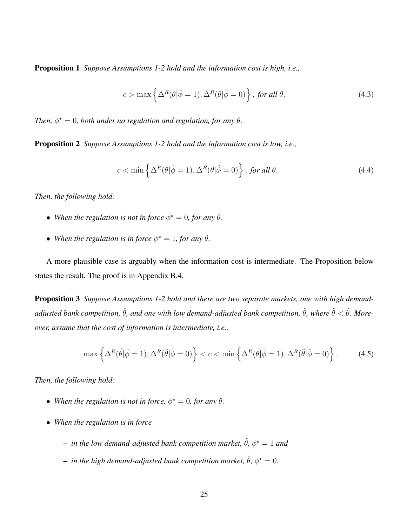Proposition 1 *Suppose Assumptions [1](#page-11-3)[-2](#page-19-0) hold and the information cost is high, i.e.,*

<span id="page-25-0"></span>
$$
c > \max\left\{\Delta^R(\theta|\hat{\phi}=1), \Delta^R(\theta|\hat{\phi}=0)\right\}, \text{ for all } \theta.
$$
 (4.3)

*Then,*  $\phi^* = 0$ *, both under no regulation and regulation, for any*  $\theta$ *.* 

<span id="page-25-3"></span>Proposition 2 *Suppose Assumptions [1](#page-11-3)[-2](#page-19-0) hold and the information cost is low, i.e.,*

<span id="page-25-1"></span>
$$
c < \min\left\{\Delta^R(\theta|\hat{\phi}=1), \Delta^R(\theta|\hat{\phi}=0)\right\}, \text{ for all } \theta.
$$
 (4.4)

*Then, the following hold:*

- When the regulation is not in force  $\phi^* = 0$ , for any  $\theta$ .
- When the regulation is in force  $\phi^* = 1$ , for any  $\theta$ .

A more plausible case is arguably when the information cost is intermediate. The Proposition below states the result. The proof is in Appendix [B.4.](#page-66-1)

<span id="page-25-4"></span>Proposition 3 *Suppose Assumptions [1-](#page-11-3)[2](#page-19-0) hold and there are two separate markets, one with high demandadjusted bank competition,*  $\hat{\theta}$ *, and one with low demand-adjusted bank competition,*  $\tilde{\theta}$ *, where*  $\tilde{\theta} < \hat{\theta}$ *. Moreover, assume that the cost of information is intermediate, i.e.,*

<span id="page-25-2"></span>
$$
\max\left\{\Delta^R(\hat{\theta}|\hat{\phi}=1), \Delta^R(\hat{\theta}|\hat{\phi}=0)\right\} < c < \min\left\{\Delta^R(\tilde{\theta}|\hat{\phi}=1), \Delta^R(\tilde{\theta}|\hat{\phi}=0)\right\}.
$$
 (4.5)

*Then, the following hold:*

- When the regulation is not in force,  $\phi^* = 0$ , for any  $\theta$ .
- *When the regulation is in force*
	- $-$  *in the low demand-adjusted bank competition market,*  $\tilde{\theta}$ *,*  $\phi^{\star} = 1$  *and*
	- $-$  *in the high demand-adjusted bank competition market,*  $\hat{\theta}$ *,*  $\phi^{\star} = 0$ *.*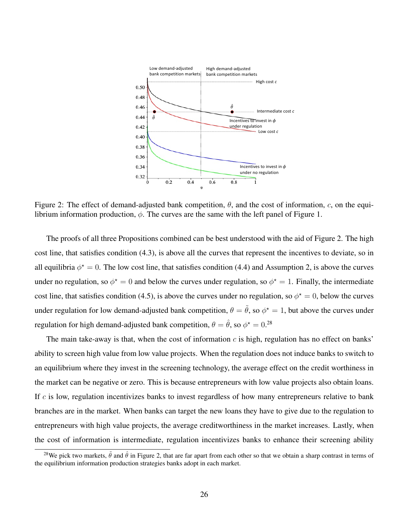<span id="page-26-0"></span>

Figure 2: The effect of demand-adjusted bank competition,  $\theta$ , and the cost of information, c, on the equilibrium information production,  $\phi$ . The curves are the same with the left panel of Figure [1.](#page-24-0)

The proofs of all three Propositions combined can be best understood with the aid of Figure [2.](#page-26-0) The high cost line, that satisfies condition [\(4.3\)](#page-25-0), is above all the curves that represent the incentives to deviate, so in all equilibria  $\phi^* = 0$ . The low cost line, that satisfies condition [\(4.4\)](#page-25-1) and Assumption [2,](#page-19-0) is above the curves under no regulation, so  $\phi^* = 0$  and below the curves under regulation, so  $\phi^* = 1$ . Finally, the intermediate cost line, that satisfies condition [\(4.5\)](#page-25-2), is above the curves under no regulation, so  $\phi^* = 0$ , below the curves under regulation for low demand-adjusted bank competition,  $\theta = \tilde{\theta}$ , so  $\phi^* = 1$ , but above the curves under regulation for high demand-adjusted bank competition,  $\theta = \hat{\theta}$ , so  $\phi^{\star} = 0.^{28}$  $\phi^{\star} = 0.^{28}$  $\phi^{\star} = 0.^{28}$ 

The main take-away is that, when the cost of information  $c$  is high, regulation has no effect on banks' ability to screen high value from low value projects. When the regulation does not induce banks to switch to an equilibrium where they invest in the screening technology, the average effect on the credit worthiness in the market can be negative or zero. This is because entrepreneurs with low value projects also obtain loans. If  $c$  is low, regulation incentivizes banks to invest regardless of how many entrepreneurs relative to bank branches are in the market. When banks can target the new loans they have to give due to the regulation to entrepreneurs with high value projects, the average creditworthiness in the market increases. Lastly, when the cost of information is intermediate, regulation incentivizes banks to enhance their screening ability

<span id="page-26-1"></span><sup>&</sup>lt;sup>28</sup>We pick two markets,  $\tilde{\theta}$  and  $\hat{\theta}$  in Figure [2,](#page-26-0) that are far apart from each other so that we obtain a sharp contrast in terms of the equilibrium information production strategies banks adopt in each market.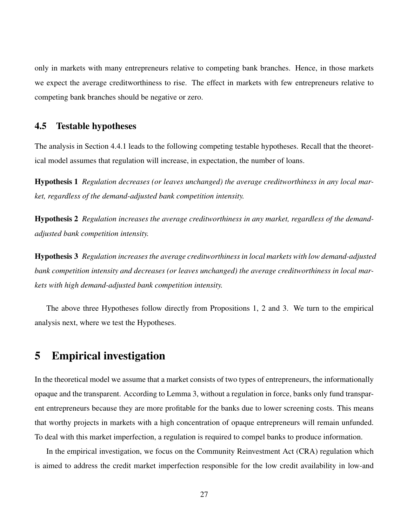only in markets with many entrepreneurs relative to competing bank branches. Hence, in those markets we expect the average creditworthiness to rise. The effect in markets with few entrepreneurs relative to competing bank branches should be negative or zero.

## 4.5 Testable hypotheses

<span id="page-27-1"></span>The analysis in Section [4.4.1](#page-24-3) leads to the following competing testable hypotheses. Recall that the theoretical model assumes that regulation will increase, in expectation, the number of loans.

Hypothesis 1 *Regulation decreases (or leaves unchanged) the average creditworthiness in any local market, regardless of the demand-adjusted bank competition intensity.*

<span id="page-27-2"></span>Hypothesis 2 *Regulation increases the average creditworthiness in any market, regardless of the demandadjusted bank competition intensity.*

<span id="page-27-3"></span>Hypothesis 3 *Regulation increases the average creditworthiness in local markets with low demand-adjusted bank competition intensity and decreases (or leaves unchanged) the average creditworthiness in local markets with high demand-adjusted bank competition intensity.*

The above three Hypotheses follow directly from Propositions [1,](#page-24-4) [2](#page-25-3) and [3.](#page-25-4) We turn to the empirical analysis next, where we test the Hypotheses.

# <span id="page-27-0"></span>5 Empirical investigation

In the theoretical model we assume that a market consists of two types of entrepreneurs, the informationally opaque and the transparent. According to Lemma [3,](#page-19-1) without a regulation in force, banks only fund transparent entrepreneurs because they are more profitable for the banks due to lower screening costs. This means that worthy projects in markets with a high concentration of opaque entrepreneurs will remain unfunded. To deal with this market imperfection, a regulation is required to compel banks to produce information.

In the empirical investigation, we focus on the Community Reinvestment Act (CRA) regulation which is aimed to address the credit market imperfection responsible for the low credit availability in low-and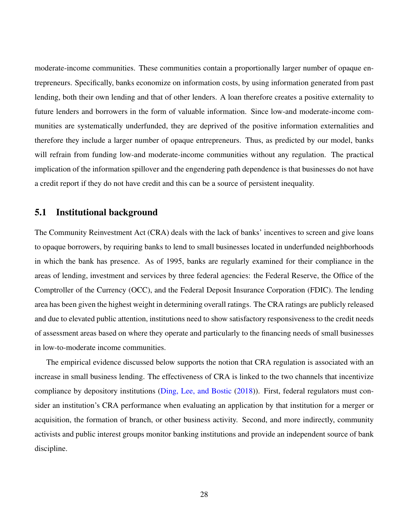moderate-income communities. These communities contain a proportionally larger number of opaque entrepreneurs. Specifically, banks economize on information costs, by using information generated from past lending, both their own lending and that of other lenders. A loan therefore creates a positive externality to future lenders and borrowers in the form of valuable information. Since low-and moderate-income communities are systematically underfunded, they are deprived of the positive information externalities and therefore they include a larger number of opaque entrepreneurs. Thus, as predicted by our model, banks will refrain from funding low-and moderate-income communities without any regulation. The practical implication of the information spillover and the engendering path dependence is that businesses do not have a credit report if they do not have credit and this can be a source of persistent inequality.

### 5.1 Institutional background

The Community Reinvestment Act (CRA) deals with the lack of banks' incentives to screen and give loans to opaque borrowers, by requiring banks to lend to small businesses located in underfunded neighborhoods in which the bank has presence. As of 1995, banks are regularly examined for their compliance in the areas of lending, investment and services by three federal agencies: the Federal Reserve, the Office of the Comptroller of the Currency (OCC), and the Federal Deposit Insurance Corporation (FDIC). The lending area has been given the highest weight in determining overall ratings. The CRA ratings are publicly released and due to elevated public attention, institutions need to show satisfactory responsiveness to the credit needs of assessment areas based on where they operate and particularly to the financing needs of small businesses in low-to-moderate income communities.

The empirical evidence discussed below supports the notion that CRA regulation is associated with an increase in small business lending. The effectiveness of CRA is linked to the two channels that incentivize compliance by depository institutions [\(Ding, Lee, and Bostic](#page-58-7) [\(2018\)](#page-58-7)). First, federal regulators must consider an institution's CRA performance when evaluating an application by that institution for a merger or acquisition, the formation of branch, or other business activity. Second, and more indirectly, community activists and public interest groups monitor banking institutions and provide an independent source of bank discipline.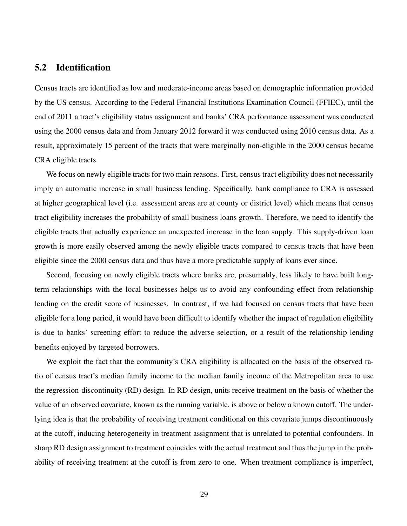## 5.2 Identification

Census tracts are identified as low and moderate-income areas based on demographic information provided by the US census. According to the Federal Financial Institutions Examination Council (FFIEC), until the end of 2011 a tract's eligibility status assignment and banks' CRA performance assessment was conducted using the 2000 census data and from January 2012 forward it was conducted using 2010 census data. As a result, approximately 15 percent of the tracts that were marginally non-eligible in the 2000 census became CRA eligible tracts.

We focus on newly eligible tracts for two main reasons. First, census tract eligibility does not necessarily imply an automatic increase in small business lending. Specifically, bank compliance to CRA is assessed at higher geographical level (i.e. assessment areas are at county or district level) which means that census tract eligibility increases the probability of small business loans growth. Therefore, we need to identify the eligible tracts that actually experience an unexpected increase in the loan supply. This supply-driven loan growth is more easily observed among the newly eligible tracts compared to census tracts that have been eligible since the 2000 census data and thus have a more predictable supply of loans ever since.

Second, focusing on newly eligible tracts where banks are, presumably, less likely to have built longterm relationships with the local businesses helps us to avoid any confounding effect from relationship lending on the credit score of businesses. In contrast, if we had focused on census tracts that have been eligible for a long period, it would have been difficult to identify whether the impact of regulation eligibility is due to banks' screening effort to reduce the adverse selection, or a result of the relationship lending benefits enjoyed by targeted borrowers.

We exploit the fact that the community's CRA eligibility is allocated on the basis of the observed ratio of census tract's median family income to the median family income of the Metropolitan area to use the regression-discontinuity (RD) design. In RD design, units receive treatment on the basis of whether the value of an observed covariate, known as the running variable, is above or below a known cutoff. The underlying idea is that the probability of receiving treatment conditional on this covariate jumps discontinuously at the cutoff, inducing heterogeneity in treatment assignment that is unrelated to potential confounders. In sharp RD design assignment to treatment coincides with the actual treatment and thus the jump in the probability of receiving treatment at the cutoff is from zero to one. When treatment compliance is imperfect,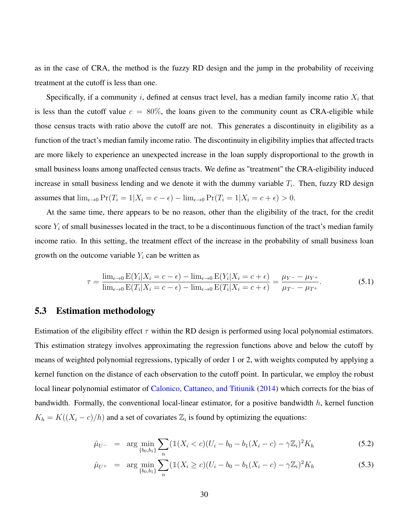as in the case of CRA, the method is the fuzzy RD design and the jump in the probability of receiving treatment at the cutoff is less than one.

Specifically, if a community i, defined at census tract level, has a median family income ratio  $X_i$  that is less than the cutoff value  $c = 80\%$ , the loans given to the community count as CRA-eligible while those census tracts with ratio above the cutoff are not. This generates a discontinuity in eligibility as a function of the tract's median family income ratio. The discontinuity in eligibility implies that affected tracts are more likely to experience an unexpected increase in the loan supply disproportional to the growth in small business loans among unaffected census tracts. We define as "treatment" the CRA-eligibility induced increase in small business lending and we denote it with the dummy variable  $T_i$ . Then, fuzzy RD design assumes that  $\lim_{\epsilon \to 0} \Pr(T_i = 1 | X_i = c - \epsilon) - \lim_{\epsilon \to 0} \Pr(T_i = 1 | X_i = c + \epsilon) > 0.$ 

At the same time, there appears to be no reason, other than the eligibility of the tract, for the credit score  $Y_i$  of small businesses located in the tract, to be a discontinuous function of the tract's median family income ratio. In this setting, the treatment effect of the increase in the probability of small business loan growth on the outcome variable  $Y_i$  can be written as

$$
\tau = \frac{\lim_{\epsilon \to 0} E(Y_i | X_i = c - \epsilon) - \lim_{\epsilon \to 0} E(Y_i | X_i = c + \epsilon)}{\lim_{\epsilon \to 0} E(T_i | X_i = c - \epsilon) - \lim_{\epsilon \to 0} E(T_i | X_i = c + \epsilon)} = \frac{\mu_{Y^-} - \mu_{Y^+}}{\mu_{T^-} - \mu_{T^+}}.
$$
(5.1)

#### 5.3 Estimation methodology

Estimation of the eligibility effect  $\tau$  within the RD design is performed using local polynomial estimators. This estimation strategy involves approximating the regression functions above and below the cutoff by means of weighted polynomial regressions, typically of order 1 or 2, with weights computed by applying a kernel function on the distance of each observation to the cutoff point. In particular, we employ the robust local linear polynomial estimator of [Calonico, Cattaneo, and Titiunik](#page-57-9) [\(2014\)](#page-57-9) which corrects for the bias of bandwidth. Formally, the conventional local-linear estimator, for a positive bandwidth  $h$ , kernel function  $K_h = K((X_i - c)/h)$  and a set of covariates  $\mathbb{Z}_i$  is found by optimizing the equations:

<span id="page-30-0"></span>
$$
\hat{\mu}_{U^{-}} = \arg \min_{\{b_0, b_1\}} \sum_{n} (\mathbb{1}(X_i < c)(U_i - b_0 - b_1(X_i - c) - \gamma \mathbb{Z}_i)^2 K_h \tag{5.2}
$$

$$
\hat{\mu}_{U^+} = \arg \min_{\{b_0, b_1\}} \sum_n (\mathbb{1}(X_i \ge c)(U_i - b_0 - b_1(X_i - c) - \gamma \mathbb{Z}_i)^2 K_h \tag{5.3}
$$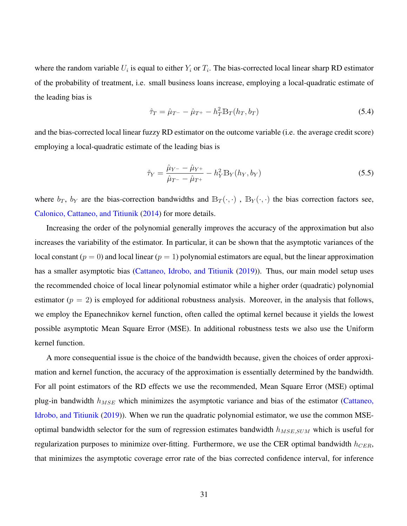where the random variable  $U_i$  is equal to either  $Y_i$  or  $T_i$ . The bias-corrected local linear sharp RD estimator of the probability of treatment, i.e. small business loans increase, employing a local-quadratic estimate of the leading bias is

<span id="page-31-0"></span>
$$
\hat{\tau}_T = \hat{\mu}_{T^-} - \hat{\mu}_{T^+} - h_T^2 \mathbb{B}_T(h_T, b_T) \tag{5.4}
$$

and the bias-corrected local linear fuzzy RD estimator on the outcome variable (i.e. the average credit score) employing a local-quadratic estimate of the leading bias is

<span id="page-31-1"></span>
$$
\hat{\tau}_Y = \frac{\hat{\mu}_{Y^-} - \hat{\mu}_{Y^+}}{\hat{\mu}_{T^-} - \hat{\mu}_{T^+}} - h_Y^2 \mathbb{B}_Y(h_Y, b_Y)
$$
\n(5.5)

where  $b_T$ ,  $b_Y$  are the bias-correction bandwidths and  $\mathbb{B}_T(\cdot, \cdot)$ ,  $\mathbb{B}_Y(\cdot, \cdot)$  the bias correction factors see, [Calonico, Cattaneo, and Titiunik](#page-57-9) [\(2014\)](#page-57-9) for more details.

Increasing the order of the polynomial generally improves the accuracy of the approximation but also increases the variability of the estimator. In particular, it can be shown that the asymptotic variances of the local constant ( $p = 0$ ) and local linear ( $p = 1$ ) polynomial estimators are equal, but the linear approximation has a smaller asymptotic bias [\(Cattaneo, Idrobo, and Titiunik](#page-57-10) [\(2019\)](#page-57-10)). Thus, our main model setup uses the recommended choice of local linear polynomial estimator while a higher order (quadratic) polynomial estimator  $(p = 2)$  is employed for additional robustness analysis. Moreover, in the analysis that follows, we employ the Epanechnikov kernel function, often called the optimal kernel because it yields the lowest possible asymptotic Mean Square Error (MSE). In additional robustness tests we also use the Uniform kernel function.

A more consequential issue is the choice of the bandwidth because, given the choices of order approximation and kernel function, the accuracy of the approximation is essentially determined by the bandwidth. For all point estimators of the RD effects we use the recommended, Mean Square Error (MSE) optimal plug-in bandwidth  $h_{MSE}$  which minimizes the asymptotic variance and bias of the estimator [\(Cattaneo,](#page-57-10) [Idrobo, and Titiunik](#page-57-10) [\(2019\)](#page-57-10)). When we run the quadratic polynomial estimator, we use the common MSEoptimal bandwidth selector for the sum of regression estimates bandwidth  $h_{MSE,SUM}$  which is useful for regularization purposes to minimize over-fitting. Furthermore, we use the CER optimal bandwidth  $h_{CER}$ , that minimizes the asymptotic coverage error rate of the bias corrected confidence interval, for inference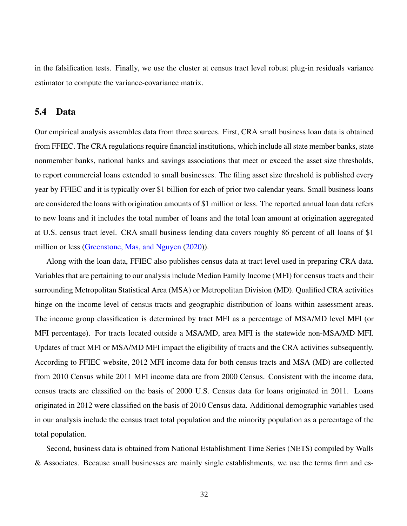in the falsification tests. Finally, we use the cluster at census tract level robust plug-in residuals variance estimator to compute the variance-covariance matrix.

### 5.4 Data

Our empirical analysis assembles data from three sources. First, CRA small business loan data is obtained from FFIEC. The CRA regulations require financial institutions, which include all state member banks, state nonmember banks, national banks and savings associations that meet or exceed the asset size thresholds, to report commercial loans extended to small businesses. The filing asset size threshold is published every year by FFIEC and it is typically over \$1 billion for each of prior two calendar years. Small business loans are considered the loans with origination amounts of \$1 million or less. The reported annual loan data refers to new loans and it includes the total number of loans and the total loan amount at origination aggregated at U.S. census tract level. CRA small business lending data covers roughly 86 percent of all loans of \$1 million or less [\(Greenstone, Mas, and Nguyen](#page-58-8) [\(2020\)](#page-58-8)).

Along with the loan data, FFIEC also publishes census data at tract level used in preparing CRA data. Variables that are pertaining to our analysis include Median Family Income (MFI) for census tracts and their surrounding Metropolitan Statistical Area (MSA) or Metropolitan Division (MD). Qualified CRA activities hinge on the income level of census tracts and geographic distribution of loans within assessment areas. The income group classification is determined by tract MFI as a percentage of MSA/MD level MFI (or MFI percentage). For tracts located outside a MSA/MD, area MFI is the statewide non-MSA/MD MFI. Updates of tract MFI or MSA/MD MFI impact the eligibility of tracts and the CRA activities subsequently. According to FFIEC website, 2012 MFI income data for both census tracts and MSA (MD) are collected from 2010 Census while 2011 MFI income data are from 2000 Census. Consistent with the income data, census tracts are classified on the basis of 2000 U.S. Census data for loans originated in 2011. Loans originated in 2012 were classified on the basis of 2010 Census data. Additional demographic variables used in our analysis include the census tract total population and the minority population as a percentage of the total population.

Second, business data is obtained from National Establishment Time Series (NETS) compiled by Walls & Associates. Because small businesses are mainly single establishments, we use the terms firm and es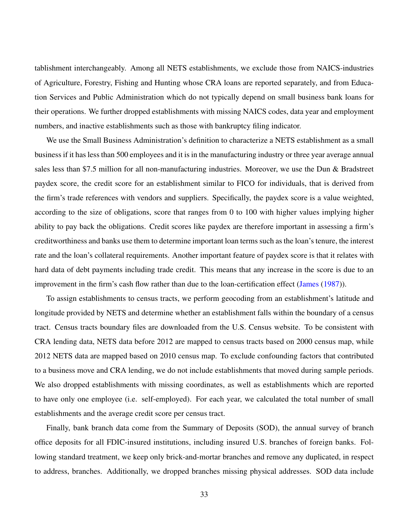tablishment interchangeably. Among all NETS establishments, we exclude those from NAICS-industries of Agriculture, Forestry, Fishing and Hunting whose CRA loans are reported separately, and from Education Services and Public Administration which do not typically depend on small business bank loans for their operations. We further dropped establishments with missing NAICS codes, data year and employment numbers, and inactive establishments such as those with bankruptcy filing indicator.

We use the Small Business Administration's definition to characterize a NETS establishment as a small business if it has less than 500 employees and it is in the manufacturing industry or three year average annual sales less than \$7.5 million for all non-manufacturing industries. Moreover, we use the Dun & Bradstreet paydex score, the credit score for an establishment similar to FICO for individuals, that is derived from the firm's trade references with vendors and suppliers. Specifically, the paydex score is a value weighted, according to the size of obligations, score that ranges from 0 to 100 with higher values implying higher ability to pay back the obligations. Credit scores like paydex are therefore important in assessing a firm's creditworthiness and banks use them to determine important loan terms such as the loan's tenure, the interest rate and the loan's collateral requirements. Another important feature of paydex score is that it relates with hard data of debt payments including trade credit. This means that any increase in the score is due to an improvement in the firm's cash flow rather than due to the loan-certification effect [\(James](#page-59-10) [\(1987\)](#page-59-10)).

To assign establishments to census tracts, we perform geocoding from an establishment's latitude and longitude provided by NETS and determine whether an establishment falls within the boundary of a census tract. Census tracts boundary files are downloaded from the U.S. Census website. To be consistent with CRA lending data, NETS data before 2012 are mapped to census tracts based on 2000 census map, while 2012 NETS data are mapped based on 2010 census map. To exclude confounding factors that contributed to a business move and CRA lending, we do not include establishments that moved during sample periods. We also dropped establishments with missing coordinates, as well as establishments which are reported to have only one employee (i.e. self-employed). For each year, we calculated the total number of small establishments and the average credit score per census tract.

Finally, bank branch data come from the Summary of Deposits (SOD), the annual survey of branch office deposits for all FDIC-insured institutions, including insured U.S. branches of foreign banks. Following standard treatment, we keep only brick-and-mortar branches and remove any duplicated, in respect to address, branches. Additionally, we dropped branches missing physical addresses. SOD data include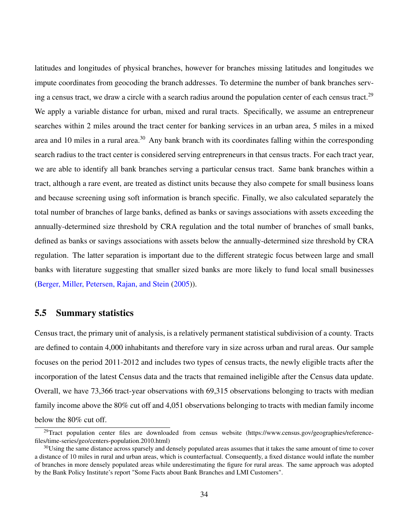latitudes and longitudes of physical branches, however for branches missing latitudes and longitudes we impute coordinates from geocoding the branch addresses. To determine the number of bank branches serv-ing a census tract, we draw a circle with a search radius around the population center of each census tract.<sup>[29](#page-34-0)</sup> We apply a variable distance for urban, mixed and rural tracts. Specifically, we assume an entrepreneur searches within 2 miles around the tract center for banking services in an urban area, 5 miles in a mixed area and 10 miles in a rural area.<sup>[30](#page-34-1)</sup> Any bank branch with its coordinates falling within the corresponding search radius to the tract center is considered serving entrepreneurs in that census tracts. For each tract year, we are able to identify all bank branches serving a particular census tract. Same bank branches within a tract, although a rare event, are treated as distinct units because they also compete for small business loans and because screening using soft information is branch specific. Finally, we also calculated separately the total number of branches of large banks, defined as banks or savings associations with assets exceeding the annually-determined size threshold by CRA regulation and the total number of branches of small banks, defined as banks or savings associations with assets below the annually-determined size threshold by CRA regulation. The latter separation is important due to the different strategic focus between large and small banks with literature suggesting that smaller sized banks are more likely to fund local small businesses [\(Berger, Miller, Petersen, Rajan, and Stein](#page-56-9) [\(2005\)](#page-56-9)).

### 5.5 Summary statistics

Census tract, the primary unit of analysis, is a relatively permanent statistical subdivision of a county. Tracts are defined to contain 4,000 inhabitants and therefore vary in size across urban and rural areas. Our sample focuses on the period 2011-2012 and includes two types of census tracts, the newly eligible tracts after the incorporation of the latest Census data and the tracts that remained ineligible after the Census data update. Overall, we have 73,366 tract-year observations with 69,315 observations belonging to tracts with median family income above the 80% cut off and 4,051 observations belonging to tracts with median family income below the 80% cut off.

<span id="page-34-0"></span><sup>&</sup>lt;sup>29</sup>Tract population center files are downloaded from census website (https://www.census.gov/geographies/referencefiles/time-series/geo/centers-population.2010.html)

<span id="page-34-1"></span> $30$ Using the same distance across sparsely and densely populated areas assumes that it takes the same amount of time to cover a distance of 10 miles in rural and urban areas, which is counterfactual. Consequently, a fixed distance would inflate the number of branches in more densely populated areas while underestimating the figure for rural areas. The same approach was adopted by the Bank Policy Institute's report "Some Facts about Bank Branches and LMI Customers".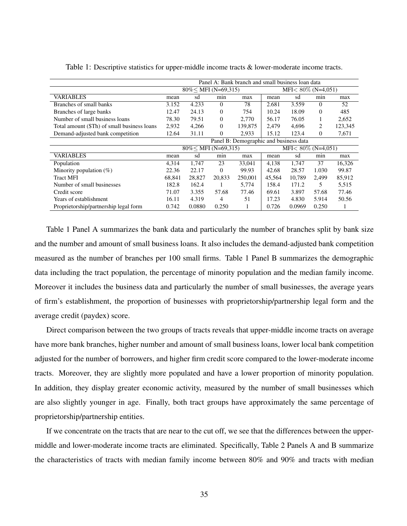<span id="page-35-0"></span>

|                                             | Panel A: Bank branch and small business loan data |                       |          |         |                        |        |          |         |
|---------------------------------------------|---------------------------------------------------|-----------------------|----------|---------|------------------------|--------|----------|---------|
|                                             |                                                   | $80\%$ MFI (N=69,315) |          |         | $MFI < 80\%$ (N=4,051) |        |          |         |
| <b>VARIABLES</b>                            | mean                                              | sd                    | min      | max     | mean                   | sd     | min      | max     |
| Branches of small banks                     | 3.152                                             | 4.233                 | $\Omega$ | 78      | 2.681                  | 3.559  | $\Omega$ | 52      |
| Branches of large banks                     | 12.47                                             | 24.13                 | $\Omega$ | 754     | 10.24                  | 18.09  | $\Omega$ | 485     |
| Number of small business loans              | 78.30                                             | 79.51                 | $\Omega$ | 2,770   | 56.17                  | 76.05  |          | 2,652   |
| Total amount (\$Th) of small business loans | 2,932                                             | 4,266                 | $\Omega$ | 139.875 | 2.479                  | 4.696  | 2        | 123,345 |
| Demand-adjusted bank competition            | 12.64                                             | 31.11                 | $\theta$ | 2,933   | 15.12                  | 123.4  | $\Omega$ | 7,671   |
|                                             | Panel B: Demographic and business data            |                       |          |         |                        |        |          |         |
|                                             |                                                   | $80\%$ MFI (N=69,315) |          |         | $MFI < 80\%$ (N=4,051) |        |          |         |
| <b>VARIABLES</b>                            | mean                                              | sd                    | min      | max     | mean                   | sd     | min      | max     |
| Population                                  | 4.314                                             | 1,747                 | 23       | 33,041  | 4,138                  | 1,747  | 37       | 16,326  |
| Minority population $(\%)$                  | 22.36                                             | 22.17                 | $\Omega$ | 99.93   | 42.68                  | 28.57  | 1.030    | 99.87   |
| <b>Tract MFI</b>                            | 68.841                                            | 28,827                | 20,833   | 250,001 | 45.564                 | 10.789 | 2.499    | 85,912  |
| Number of small businesses                  | 182.8                                             | 162.4                 |          | 5,774   | 158.4                  | 171.2  | 5        | 5,515   |
| Credit score                                | 71.07                                             | 3.355                 | 57.68    | 77.46   | 69.61                  | 3.897  | 57.68    | 77.46   |
| Years of establishment                      | 16.11                                             | 4.319                 | 4        | 51      | 17.23                  | 4.830  | 5.914    | 50.56   |
| Proprietorship/partnership legal form       | 0.742                                             | 0.0880                | 0.250    |         | 0.726                  | 0.0969 | 0.250    |         |

Table 1: Descriptive statistics for upper-middle income tracts & lower-moderate income tracts.

Table [1](#page-35-0) Panel A summarizes the bank data and particularly the number of branches split by bank size and the number and amount of small business loans. It also includes the demand-adjusted bank competition measured as the number of branches per 100 small firms. Table [1](#page-35-0) Panel B summarizes the demographic data including the tract population, the percentage of minority population and the median family income. Moreover it includes the business data and particularly the number of small businesses, the average years of firm's establishment, the proportion of businesses with proprietorship/partnership legal form and the average credit (paydex) score.

Direct comparison between the two groups of tracts reveals that upper-middle income tracts on average have more bank branches, higher number and amount of small business loans, lower local bank competition adjusted for the number of borrowers, and higher firm credit score compared to the lower-moderate income tracts. Moreover, they are slightly more populated and have a lower proportion of minority population. In addition, they display greater economic activity, measured by the number of small businesses which are also slightly younger in age. Finally, both tract groups have approximately the same percentage of proprietorship/partnership entities.

If we concentrate on the tracts that are near to the cut off, we see that the differences between the uppermiddle and lower-moderate income tracts are eliminated. Specifically, Table [2](#page-36-0) Panels A and B summarize the characteristics of tracts with median family income between 80% and 90% and tracts with median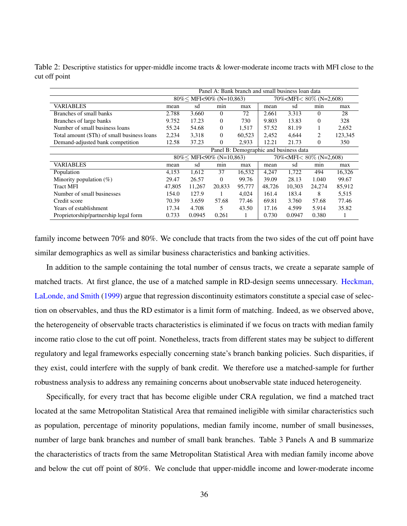<span id="page-36-0"></span>Table 2: Descriptive statistics for upper-middle income tracts & lower-moderate income tracts with MFI close to the cut off point

|                                             | Panel A: Bank branch and small business loan data |                                 |          |        |                                           |        |                |         |
|---------------------------------------------|---------------------------------------------------|---------------------------------|----------|--------|-------------------------------------------|--------|----------------|---------|
|                                             |                                                   | $80\%$ MFI $\lt$ 90% (N=10,863) |          |        | 70% <mfi<<math>80\% (N=2,608)</mfi<<math> |        |                |         |
| <b>VARIABLES</b>                            | mean                                              | sd<br>min<br>max                |          |        |                                           | sd     | min            | max     |
| Branches of small banks                     | 2.788                                             | 3.660                           | $\Omega$ | 72     | 2.661                                     | 3.313  | $\Omega$       | 28      |
| Branches of large banks                     | 9.752                                             | 17.23                           | $\Omega$ | 730    | 9.803                                     | 13.83  | $\Omega$       | 328     |
| Number of small business loans              | 55.24                                             | 54.68                           | $\theta$ | 1,517  | 57.52                                     | 81.19  |                | 2,652   |
| Total amount (\$Th) of small business loans | 2,234                                             | 3,318                           | $\Omega$ | 60,523 | 2,452                                     | 4,644  | $\overline{c}$ | 123,345 |
| Demand-adjusted bank competition            | 12.58                                             | 37.23                           | $\theta$ | 2,933  | 12.21                                     | 21.73  | $\Omega$       | 350     |
|                                             | Panel B: Demographic and business data            |                                 |          |        |                                           |        |                |         |
|                                             |                                                   | $80\%$ < MFI<90% (N=10,863)     |          |        | 70% <mfi<<math>80\% (N=2,608)</mfi<<math> |        |                |         |
| <b>VARIABLES</b>                            | mean                                              | sd                              | min      | max    | mean                                      | sd     | min            | max     |
| Population                                  | 4,153                                             | 1,612                           | 37       | 16,532 | 4.247                                     | 1.722  | 494            | 16,326  |
| Minority population $(\%)$                  | 29.47                                             | 26.57                           | $\theta$ | 99.76  | 39.09                                     | 28.13  | 1.040          | 99.67   |
| <b>Tract MFI</b>                            | 47,805                                            | 11,267                          | 20.833   | 95,777 | 48,726                                    | 10.303 | 24,274         | 85,912  |
| Number of small businesses                  | 154.0                                             | 127.9                           |          | 4,024  | 161.4                                     | 183.4  | 8              | 5,515   |
| Credit score                                | 70.39                                             | 3.659                           | 57.68    | 77.46  | 69.81                                     | 3.760  | 57.68          | 77.46   |
| Years of establishment                      | 17.34                                             | 4.708                           | 5        | 43.50  | 17.16                                     | 4.599  | 5.914          | 35.82   |
| Proprietorship/partnership legal form       | 0.733                                             | 0.0945                          | 0.261    | 1      | 0.730                                     | 0.0947 | 0.380          | 1       |

family income between 70% and 80%. We conclude that tracts from the two sides of the cut off point have similar demographics as well as similar business characteristics and banking activities.

In addition to the sample containing the total number of census tracts, we create a separate sample of matched tracts. At first glance, the use of a matched sample in RD-design seems unnecessary. [Heckman,](#page-58-9) [LaLonde, and Smith](#page-58-9) [\(1999\)](#page-58-9) argue that regression discontinuity estimators constitute a special case of selection on observables, and thus the RD estimator is a limit form of matching. Indeed, as we observed above, the heterogeneity of observable tracts characteristics is eliminated if we focus on tracts with median family income ratio close to the cut off point. Nonetheless, tracts from different states may be subject to different regulatory and legal frameworks especially concerning state's branch banking policies. Such disparities, if they exist, could interfere with the supply of bank credit. We therefore use a matched-sample for further robustness analysis to address any remaining concerns about unobservable state induced heterogeneity.

Specifically, for every tract that has become eligible under CRA regulation, we find a matched tract located at the same Metropolitan Statistical Area that remained ineligible with similar characteristics such as population, percentage of minority populations, median family income, number of small businesses, number of large bank branches and number of small bank branches. Table [3](#page-37-1) Panels A and B summarize the characteristics of tracts from the same Metropolitan Statistical Area with median family income above and below the cut off point of 80%. We conclude that upper-middle income and lower-moderate income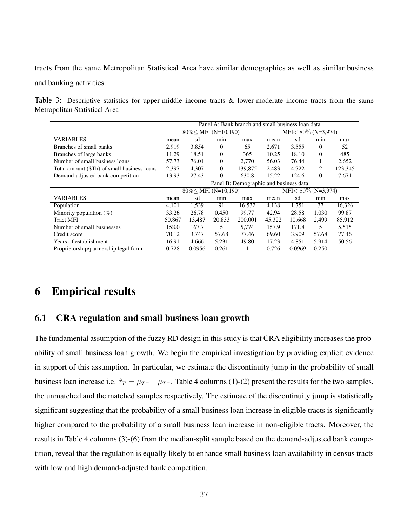tracts from the same Metropolitan Statistical Area have similar demographics as well as similar business and banking activities.

<span id="page-37-1"></span>Table 3: Descriptive statistics for upper-middle income tracts & lower-moderate income tracts from the same Metropolitan Statistical Area

|                                             | Panel A: Bank branch and small business loan data |                         |          |         |                        |                        |                |         |
|---------------------------------------------|---------------------------------------------------|-------------------------|----------|---------|------------------------|------------------------|----------------|---------|
|                                             |                                                   | $80\%$ < MFI (N=10,190) |          |         | $MFI < 80\%$ (N=3,974) |                        |                |         |
| <b>VARIABLES</b>                            | mean                                              | sd                      | min      | max     | mean                   | sd                     | min            | max     |
| Branches of small banks                     | 2.919                                             | 3.854                   | $\Omega$ | 65      | 2.671                  | 3.555                  | $\Omega$       | 52      |
| Branches of large banks                     | 11.29                                             | 18.51                   | 0        | 365     | 10.25                  | 18.10                  | $\theta$       | 485     |
| Number of small business loans              | 57.73                                             | 76.01                   | 0        | 2.770   | 56.03                  | 76.44                  | 1              | 2,652   |
| Total amount (\$Th) of small business loans | 2,397                                             | 4.307                   | $\Omega$ | 139.875 | 2,483                  | 4,722                  | $\overline{2}$ | 123,345 |
| Demand-adjusted bank competition            | 13.93                                             | 27.43                   | $\Omega$ | 630.8   | 15.22                  | 124.6                  | $\Omega$       | 7,671   |
|                                             | Panel B: Demographic and business data            |                         |          |         |                        |                        |                |         |
|                                             |                                                   | $80\% <$ MFI (N=10,190) |          |         |                        | $MFI < 80\%$ (N=3,974) |                |         |
| <b>VARIABLES</b>                            | mean                                              | sd                      | min      | max     | mean                   | sd                     | min            | max     |
| Population                                  | 4,101                                             | 1,539                   | 91       | 16,532  | 4,138                  | 1,751                  | 37             | 16,326  |
| Minority population $(\%)$                  | 33.26                                             | 26.78                   | 0.450    | 99.77   | 42.94                  | 28.58                  | 1.030          | 99.87   |
| <b>Tract MFI</b>                            | 50.867                                            | 13.487                  | 20,833   | 200,001 | 45.322                 | 10.668                 | 2.499          | 85,912  |
| Number of small businesses                  | 158.0                                             | 167.7                   | 5        | 5,774   | 157.9                  | 171.8                  | 5              | 5,515   |
| Credit score                                | 70.12                                             | 3.747                   | 57.68    | 77.46   | 69.60                  | 3.909                  | 57.68          | 77.46   |
| Years of establishment                      | 16.91                                             | 4.666                   | 5.231    | 49.80   | 17.23                  | 4.851                  | 5.914          | 50.56   |
| Proprietorship/partnership legal form       | 0.728                                             | 0.0956                  | 0.261    |         | 0.726                  | 0.0969                 | 0.250          |         |

# <span id="page-37-0"></span>6 Empirical results

## 6.1 CRA regulation and small business loan growth

The fundamental assumption of the fuzzy RD design in this study is that CRA eligibility increases the probability of small business loan growth. We begin the empirical investigation by providing explicit evidence in support of this assumption. In particular, we estimate the discontinuity jump in the probability of small business loan increase i.e.  $\hat{\tau}_T = \mu_{T-} - \mu_{T+}$ . Table [4](#page-38-0) columns (1)-(2) present the results for the two samples, the unmatched and the matched samples respectively. The estimate of the discontinuity jump is statistically significant suggesting that the probability of a small business loan increase in eligible tracts is significantly higher compared to the probability of a small business loan increase in non-eligible tracts. Moreover, the results in Table [4](#page-38-0) columns (3)-(6) from the median-split sample based on the demand-adjusted bank competition, reveal that the regulation is equally likely to enhance small business loan availability in census tracts with low and high demand-adjusted bank competition.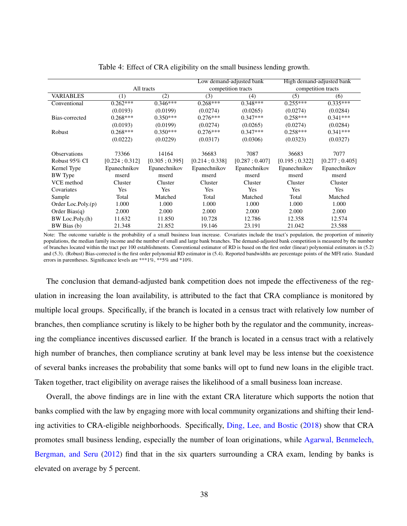<span id="page-38-0"></span>

|                       |               |               |                | Low demand-adjusted bank | High demand-adjusted bank |                    |  |
|-----------------------|---------------|---------------|----------------|--------------------------|---------------------------|--------------------|--|
|                       |               | All tracts    |                | competition tracts       |                           | competition tracts |  |
| <b>VARIABLES</b>      | (1)           | (2)           | (3)            | (4)                      | (5)                       | (6)                |  |
| Conventional          | $0.262***$    | $0.346***$    | $0.268***$     | $0.348***$               | $0.255***$                | $0.335***$         |  |
|                       | (0.0193)      | (0.0199)      | (0.0274)       | (0.0265)                 | (0.0274)                  | (0.0284)           |  |
| Bias-corrected        | $0.268***$    | $0.350***$    | $0.276***$     | $0.347***$               | $0.258***$                | $0.341***$         |  |
|                       | (0.0193)      | (0.0199)      | (0.0274)       | (0.0265)                 | (0.0274)                  | (0.0284)           |  |
| Robust                | $0.268***$    | $0.350***$    | $0.276***$     | $0.347***$               | $0.258***$                | $0.341***$         |  |
|                       | (0.0222)      | (0.0229)      | (0.0317)       | (0.0306)                 | (0.0323)                  | (0.0327)           |  |
| <b>Observations</b>   | 73366         | 14164         | 36683          | 7087                     | 36683                     | 7077               |  |
| Robust 95% CI         | [0.224:0.312] | [0.305:0.395] | [0.214; 0.338] | [0.287:0.407]            | [0.195:0.322]             | [0.277:0.405]      |  |
| Kernel Type           | Epanechnikov  | Epanechnikov  | Epanechnikov   | Epanechnikov             | Epanechnikov              | Epanechnikov       |  |
| <b>BW</b> Type        | mserd         | mserd         | mserd          | mserd                    | mserd                     | mserd              |  |
| VCE method            | Cluster       | Cluster       | Cluster        | Cluster                  | Cluster                   | Cluster            |  |
| Covariates            | Yes           | Yes           | Yes            | Yes                      | Yes                       | Yes                |  |
| Sample                | Total         | Matched       | Total          | Matched                  | Total                     | Matched            |  |
| Order Loc.Poly. $(p)$ | 1.000         | 1.000         | 1.000          | 1.000                    | 1.000                     | 1.000              |  |
| Order Bias $(q)$      | 2.000         | 2.000         | 2.000          | 2.000                    | 2.000                     | 2.000              |  |
| BW Loc.Poly.(h)       | 11.632        | 11.850        | 10.728         | 12.786                   | 12.358                    | 12.574             |  |
| BW Bias (b)           | 21.348        | 21.852        | 19.146         | 23.191                   | 21.042                    | 23.588             |  |

Table 4: Effect of CRA eligibility on the small business lending growth.

Note: The outcome variable is the probability of a small business loan increase. Covariates include the tract's population, the proportion of minority populations, the median family income and the number of small and large bank branches. The demand-adjusted bank competition is measured by the number of branches located within the tract per 100 establishments. Conventional estimator of RD is based on the first order (linear) polynomial estimators in [\(5.2\)](#page-30-0) and [\(5.3\)](#page-30-0). (Robust) Bias-corrected is the first order polynomial RD estimator in [\(5.4\)](#page-31-0). Reported bandwidths are percentage points of the MFI ratio. Standard errors in parentheses. Significance levels are \*\*\*1%, \*\*5% and \*10%.

The conclusion that demand-adjusted bank competition does not impede the effectiveness of the regulation in increasing the loan availability, is attributed to the fact that CRA compliance is monitored by multiple local groups. Specifically, if the branch is located in a census tract with relatively low number of branches, then compliance scrutiny is likely to be higher both by the regulator and the community, increasing the compliance incentives discussed earlier. If the branch is located in a census tract with a relatively high number of branches, then compliance scrutiny at bank level may be less intense but the coexistence of several banks increases the probability that some banks will opt to fund new loans in the eligible tract. Taken together, tract eligibility on average raises the likelihood of a small business loan increase.

Overall, the above findings are in line with the extant CRA literature which supports the notion that banks complied with the law by engaging more with local community organizations and shifting their lending activities to CRA-eligible neighborhoods. Specifically, [Ding, Lee, and Bostic](#page-58-7) [\(2018\)](#page-58-7) show that CRA promotes small business lending, especially the number of loan originations, while [Agarwal, Benmelech,](#page-56-5) [Bergman, and Seru](#page-56-5) [\(2012\)](#page-56-5) find that in the six quarters surrounding a CRA exam, lending by banks is elevated on average by 5 percent.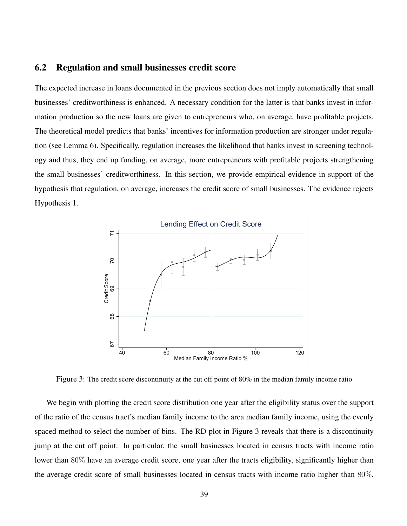## 6.2 Regulation and small businesses credit score

The expected increase in loans documented in the previous section does not imply automatically that small businesses' creditworthiness is enhanced. A necessary condition for the latter is that banks invest in information production so the new loans are given to entrepreneurs who, on average, have profitable projects. The theoretical model predicts that banks' incentives for information production are stronger under regulation (see Lemma [6\)](#page-23-1). Specifically, regulation increases the likelihood that banks invest in screening technology and thus, they end up funding, on average, more entrepreneurs with profitable projects strengthening the small businesses' creditworthiness. In this section, we provide empirical evidence in support of the hypothesis that regulation, on average, increases the credit score of small businesses. The evidence rejects Hypothesis [1.](#page-27-1)

<span id="page-39-0"></span>

Figure 3: The credit score discontinuity at the cut off point of 80% in the median family income ratio

We begin with plotting the credit score distribution one year after the eligibility status over the support of the ratio of the census tract's median family income to the area median family income, using the evenly spaced method to select the number of bins. The RD plot in Figure [3](#page-39-0) reveals that there is a discontinuity jump at the cut off point. In particular, the small businesses located in census tracts with income ratio lower than 80% have an average credit score, one year after the tracts eligibility, significantly higher than the average credit score of small businesses located in census tracts with income ratio higher than 80%.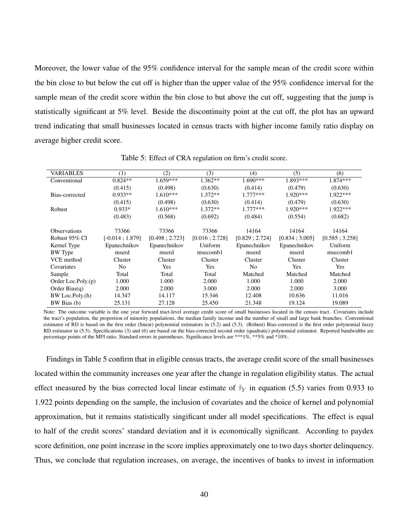Moreover, the lower value of the 95% confidence interval for the sample mean of the credit score within the bin close to but below the cut off is higher than the upper value of the 95% confidence interval for the sample mean of the credit score within the bin close to but above the cut off, suggesting that the jump is statistically significant at 5% level. Beside the discontinuity point at the cut off, the plot has an upward trend indicating that small businesses located in census tracts with higher income family ratio display on average higher credit score.

<span id="page-40-0"></span>

| <b>VARIABLES</b>    | (1)              | (2)            | (3)           | (4)            | (5)            | (6)           |
|---------------------|------------------|----------------|---------------|----------------|----------------|---------------|
| Conventional        | $0.824**$        | $1.659***$     | $1.362**$     | $1.690***$     | 1.893***       | 1.874 ***     |
|                     | (0.415)          | (0.498)        | (0.630)       | (0.414)        | (0.479)        | (0.630)       |
| Bias-corrected      | $0.933**$        | $1.610***$     | $1.372**$     | $1.777***$     | $1.920***$     | 1.922***      |
|                     | (0.415)          | (0.498)        | (0.630)       | (0.414)        | (0.479)        | (0.630)       |
| Robust              | $0.933*$         | $1.610***$     | $1.372**$     | $1.777***$     | $1.920***$     | 1.922***      |
|                     | (0.483)          | (0.568)        | (0.692)       | (0.484)        | (0.554)        | (0.682)       |
|                     |                  |                |               |                |                |               |
| <b>Observations</b> | 73366            | 73366          | 73366         | 14164          | 14164          | 14164         |
| Robust 95% CI       | $[-0.014:1.879]$ | [0.498; 2.723] | [0.016:2.728] | [0.829:2.724]  | [0.834; 3.005] | [0.585:3.258] |
| Kernel Type         | Epanechnikov     | Epanechnikov   | Uniform       | Epanechnikov   | Epanechnikov   | Uniform       |
| <b>BW</b> Type      | mserd            | mserd          | msecomb1      | mserd          | mserd          | msecomb1      |
| VCE method          | Cluster          | Cluster        | Cluster       | Cluster        | Cluster        | Cluster       |
| Covariates          | No               | <b>Yes</b>     | Yes           | N <sub>o</sub> | Yes            | Yes           |
| Sample              | Total            | Total          | Total         | Matched        | Matched        | Matched       |
| Order Loc.Poly.(p)  | 1.000            | 1.000          | 2.000         | 1.000          | 1.000          | 2.000         |
| Order Bias $(q)$    | 2.000            | 2.000          | 3.000         | 2.000          | 2.000          | 3.000         |
| BW Loc.Poly.(h)     | 14.347           | 14.117         | 15.346        | 12.408         | 10.636         | 11.016        |
| BW Bias (b)         | 25.131           | 27.128         | 25.450        | 21.348         | 19.124         | 19.089        |

Table 5: Effect of CRA regulation on firm's credit score.

Note: The outcome variable is the one year forward tract-level average credit score of small businesses located in the census tract. Covariates include the tract's population, the proportion of minority populations, the median family income and the number of small and large bank branches. Conventional estimator of RD is based on the first order (linear) polynomial estimators in [\(5.2\)](#page-30-0) and [\(5.3\)](#page-30-0). (Robust) Bias-corrected is the first order polynomial fuzzy RD estimator in [\(5.5\)](#page-31-1). Specifications (3) and (6) are based on the bias-corrected second order (quadratic) polynomial estimator. Reported bandwidths are percentage points of the MFI ratio. Standard errors in parentheses. Significance levels are \*\*\*1%, \*\*5% and \*10%.

Findings in Table [5](#page-40-0) confirm that in eligible census tracts, the average credit score of the small businesses located within the community increases one year after the change in regulation eligibility status. The actual effect measured by the bias corrected local linear estimate of  $\hat{\tau}_Y$  in equation [\(5.5\)](#page-31-1) varies from 0.933 to 1.922 points depending on the sample, the inclusion of covariates and the choice of kernel and polynomial approximation, but it remains statistically singificant under all model specifications. The effect is equal to half of the credit scores' standard deviation and it is economically significant. According to paydex score definition, one point increase in the score implies approximately one to two days shorter delinquency. Thus, we conclude that regulation increases, on average, the incentives of banks to invest in information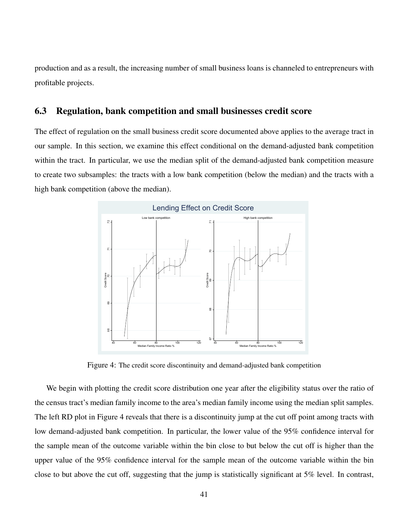production and as a result, the increasing number of small business loans is channeled to entrepreneurs with profitable projects.

### 6.3 Regulation, bank competition and small businesses credit score

The effect of regulation on the small business credit score documented above applies to the average tract in our sample. In this section, we examine this effect conditional on the demand-adjusted bank competition within the tract. In particular, we use the median split of the demand-adjusted bank competition measure to create two subsamples: the tracts with a low bank competition (below the median) and the tracts with a high bank competition (above the median).

<span id="page-41-0"></span>

Figure 4: The credit score discontinuity and demand-adjusted bank competition

We begin with plotting the credit score distribution one year after the eligibility status over the ratio of the census tract's median family income to the area's median family income using the median split samples. The left RD plot in Figure [4](#page-41-0) reveals that there is a discontinuity jump at the cut off point among tracts with low demand-adjusted bank competition. In particular, the lower value of the 95% confidence interval for the sample mean of the outcome variable within the bin close to but below the cut off is higher than the upper value of the 95% confidence interval for the sample mean of the outcome variable within the bin close to but above the cut off, suggesting that the jump is statistically significant at 5% level. In contrast,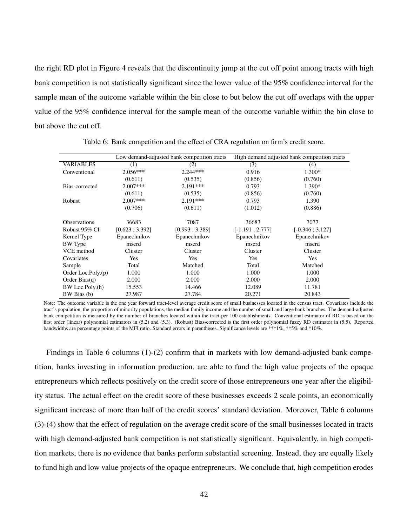the right RD plot in Figure [4](#page-41-0) reveals that the discontinuity jump at the cut off point among tracts with high bank competition is not statistically significant since the lower value of the 95% confidence interval for the sample mean of the outcome variable within the bin close to but below the cut off overlaps with the upper value of the 95% confidence interval for the sample mean of the outcome variable within the bin close to but above the cut off.

<span id="page-42-0"></span>

|                       |                | Low demand-adjusted bank competition tracts | High demand adjusted bank competition tracts |                   |  |
|-----------------------|----------------|---------------------------------------------|----------------------------------------------|-------------------|--|
| <b>VARIABLES</b>      | (1)            | (2)                                         | (3)                                          | (4)               |  |
| Conventional          | $2.056***$     | $2.244***$                                  | 0.916                                        | $1.300*$          |  |
|                       | (0.611)        | (0.535)                                     | (0.856)                                      | (0.760)           |  |
| Bias-corrected        | $2.007***$     | $2.191***$                                  | 0.793                                        | 1.390*            |  |
|                       | (0.611)        | (0.535)                                     | (0.856)                                      | (0.760)           |  |
| Robust                | $2.007***$     | $2.191***$                                  | 0.793                                        | 1.390             |  |
|                       | (0.706)        | (0.611)                                     | (1.012)                                      | (0.886)           |  |
| <b>Observations</b>   | 36683          | 7087                                        | 36683                                        | 7077              |  |
| Robust 95% CI         | [0.623; 3.392] | [0.993; 3.389]                              | $[-1.191; 2.777]$                            | $[-0.346; 3.127]$ |  |
| Kernel Type           | Epanechnikov   | Epanechnikov                                | Epanechnikov                                 | Epanechnikov      |  |
| <b>BW</b> Type        | mserd          | mserd                                       | mserd                                        | mserd             |  |
| VCE method            | Cluster        | Cluster                                     | Cluster                                      | Cluster           |  |
| Covariates            | Yes            | <b>Yes</b>                                  | Yes                                          | Yes               |  |
| Sample                | Total          | Matched                                     | Total                                        | Matched           |  |
| Order Loc.Poly. $(p)$ | 1.000          | 1.000                                       | 1.000                                        | 1.000             |  |
| Order Bias $(q)$      | 2.000          | 2.000                                       | 2.000                                        | 2.000             |  |
| BW Loc.Poly.(h)       | 15.553         | 14.466                                      | 12.089                                       | 11.781            |  |
| BW Bias (b)           | 27.987         | 27.784                                      | 20.271                                       | 20.843            |  |

Table 6: Bank competition and the effect of CRA regulation on firm's credit score.

Note: The outcome variable is the one year forward tract-level average credit score of small businesses located in the census tract. Covariates include the tract's population, the proportion of minority populations, the median family income and the number of small and large bank branches. The demand-adjusted bank competition is measured by the number of branches located within the tract per 100 establishments. Conventional estimator of RD is based on the first order (linear) polynomial estimators in [\(5.2\)](#page-30-0) and [\(5.3\)](#page-30-0). (Robust) Bias-corrected is the first order polynomial fuzzy RD estimator in [\(5.5\)](#page-31-1). Reported bandwidths are percentage points of the MFI ratio. Standard errors in parentheses. Significance levels are \*\*\*1%, \*\*5% and \*10%.

Findings in Table [6](#page-42-0) columns (1)-(2) confirm that in markets with low demand-adjusted bank competition, banks investing in information production, are able to fund the high value projects of the opaque entrepreneurs which reflects positively on the credit score of those entrepreneurs one year after the eligibility status. The actual effect on the credit score of these businesses exceeds 2 scale points, an economically significant increase of more than half of the credit scores' standard deviation. Moreover, Table [6](#page-42-0) columns (3)-(4) show that the effect of regulation on the average credit score of the small businesses located in tracts with high demand-adjusted bank competition is not statistically significant. Equivalently, in high competition markets, there is no evidence that banks perform substantial screening. Instead, they are equally likely to fund high and low value projects of the opaque entrepreneurs. We conclude that, high competition erodes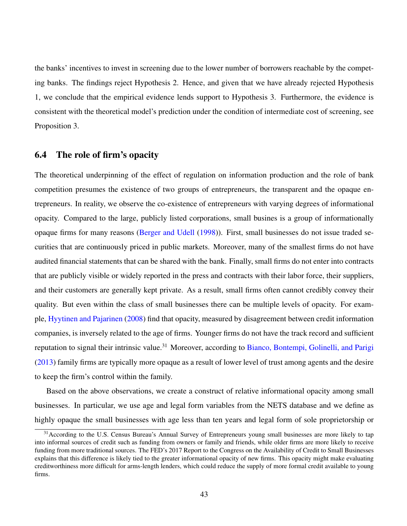the banks' incentives to invest in screening due to the lower number of borrowers reachable by the competing banks. The findings reject Hypothesis [2.](#page-27-2) Hence, and given that we have already rejected Hypothesis [1,](#page-27-1) we conclude that the empirical evidence lends support to Hypothesis [3.](#page-27-3) Furthermore, the evidence is consistent with the theoretical model's prediction under the condition of intermediate cost of screening, see Proposition [3.](#page-25-4)

## 6.4 The role of firm's opacity

The theoretical underpinning of the effect of regulation on information production and the role of bank competition presumes the existence of two groups of entrepreneurs, the transparent and the opaque entrepreneurs. In reality, we observe the co-existence of entrepreneurs with varying degrees of informational opacity. Compared to the large, publicly listed corporations, small busines is a group of informationally opaque firms for many reasons [\(Berger and Udell](#page-56-10) [\(1998\)](#page-56-10)). First, small businesses do not issue traded securities that are continuously priced in public markets. Moreover, many of the smallest firms do not have audited financial statements that can be shared with the bank. Finally, small firms do not enter into contracts that are publicly visible or widely reported in the press and contracts with their labor force, their suppliers, and their customers are generally kept private. As a result, small firms often cannot credibly convey their quality. But even within the class of small businesses there can be multiple levels of opacity. For example, [Hyytinen and Pajarinen](#page-58-10) [\(2008\)](#page-58-10) find that opacity, measured by disagreement between credit information companies, is inversely related to the age of firms. Younger firms do not have the track record and sufficient reputation to signal their intrinsic value.<sup>[31](#page-43-0)</sup> Moreover, according to [Bianco, Bontempi, Golinelli, and Parigi](#page-57-11) [\(2013\)](#page-57-11) family firms are typically more opaque as a result of lower level of trust among agents and the desire to keep the firm's control within the family.

Based on the above observations, we create a construct of relative informational opacity among small businesses. In particular, we use age and legal form variables from the NETS database and we define as highly opaque the small businesses with age less than ten years and legal form of sole proprietorship or

<span id="page-43-0"></span><sup>&</sup>lt;sup>31</sup> According to the U.S. Census Bureau's Annual Survey of Entrepreneurs young small businesses are more likely to tap into informal sources of credit such as funding from owners or family and friends, while older firms are more likely to receive funding from more traditional sources. The FED's 2017 Report to the Congress on the Availability of Credit to Small Businesses explains that this difference is likely tied to the greater informational opacity of new firms. This opacity might make evaluating creditworthiness more difficult for arms-length lenders, which could reduce the supply of more formal credit available to young firms.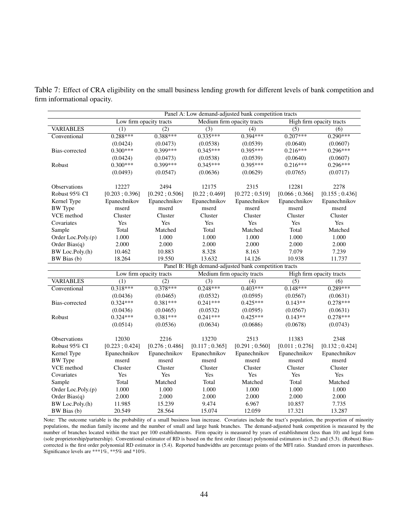<span id="page-44-0"></span>Table 7: Effect of CRA eligibility on the small business lending growth for different levels of bank competition and firm informational opacity.

|                     | Panel A: Low demand-adjusted bank competition tracts |                         |                  |                                                       |                  |                          |
|---------------------|------------------------------------------------------|-------------------------|------------------|-------------------------------------------------------|------------------|--------------------------|
|                     |                                                      | Low firm opacity tracts |                  | Medium firm opacity tracts                            |                  | High firm opacity tracts |
| <b>VARIABLES</b>    | $\overline{(1)}$                                     | $\overline{(2)}$        | $\overline{(3)}$ | $\overline{(4)}$                                      | (5)              | $\overline{(6)}$         |
| Conventional        | $0.288***$                                           | $0.388***$              | $0.335***$       | $0.394***$                                            | $0.207***$       | $0.290***$               |
|                     | (0.0424)                                             | (0.0473)                | (0.0538)         | (0.0539)                                              | (0.0640)         | (0.0607)                 |
| Bias-corrected      | $0.300***$                                           | $0.399***$              | $0.345***$       | $0.395***$                                            | $0.216***$       | $0.296***$               |
|                     | (0.0424)                                             | (0.0473)                | (0.0538)         | (0.0539)                                              | (0.0640)         | (0.0607)                 |
| Robust              | $0.300***$                                           | $0.399***$              | $0.345***$       | $0.395***$                                            | $0.216***$       | $0.296***$               |
|                     | (0.0493)                                             | (0.0547)                | (0.0636)         | (0.0629)                                              | (0.0765)         | (0.0717)                 |
|                     |                                                      |                         |                  |                                                       |                  |                          |
| <b>Observations</b> | 12227                                                | 2494                    | 12175            | 2315                                                  | 12281            | 2278                     |
| Robust 95% CI       | [0.203; 0.396]                                       | [0.292; 0.506]          | [0.22; 0.469]    | [0.272; 0.519]                                        | [0.066; 0.366]   | [0.155; 0.436]           |
| Kernel Type         | Epanechnikov                                         | Epanechnikov            | Epanechnikov     | Epanechnikov                                          | Epanechnikov     | Epanechnikov             |
| <b>BW</b> Type      | mserd                                                | mserd                   | mserd            | mserd                                                 | mserd            | mserd                    |
| VCE method          | Cluster                                              | Cluster                 | Cluster          | Cluster                                               | Cluster          | Cluster                  |
| Covariates          | Yes                                                  | Yes                     | Yes              | Yes                                                   | Yes              | Yes                      |
| Sample              | Total                                                | Matched                 | Total            | Matched                                               | Total            | Matched                  |
| Order Loc.Poly.(p)  | 1.000                                                | 1.000                   | 1.000            | 1.000                                                 | 1.000            | 1.000                    |
| Order Bias $(q)$    | 2.000                                                | 2.000                   | 2.000            | 2.000                                                 | 2.000            | 2.000                    |
| BW Loc.Poly.(h)     | 10.462                                               | 10.883                  | 8.328            | 8.163                                                 | 7.079            | 7.239                    |
| BW Bias (b)         | 18.264                                               | 19.550                  | 13.632           | 14.126                                                | 10.938           | 11.737                   |
|                     |                                                      |                         |                  | Panel B: High demand-adjusted bank competition tracts |                  |                          |
|                     |                                                      | Low firm opacity tracts |                  | Medium firm opacity tracts                            |                  | High firm opacity tracts |
| <b>VARIABLES</b>    | (1)                                                  | (2)                     | $\overline{(3)}$ | (4)                                                   | $\overline{(5)}$ | (6)                      |
| Conventional        | $0.318***$                                           | $0.378***$              | $0.248***$       | $0.403***$                                            | $0.148***$       | $0.289***$               |
|                     | (0.0436)                                             | (0.0465)                | (0.0532)         | (0.0595)                                              | (0.0567)         | (0.0631)                 |
| Bias-corrected      | $0.324***$                                           | $0.381***$              | $0.241***$       | $0.425***$                                            | $0.143**$        | $0.278***$               |
|                     | (0.0436)                                             | (0.0465)                | (0.0532)         | (0.0595)                                              | (0.0567)         | (0.0631)                 |
| Robust              | $0.324***$                                           | $0.381***$              | $0.241***$       | $0.425***$                                            | $0.143**$        | $0.278***$               |
|                     | (0.0514)                                             | (0.0536)                | (0.0634)         | (0.0686)                                              | (0.0678)         | (0.0743)                 |
|                     |                                                      |                         |                  |                                                       |                  |                          |
| <b>Observations</b> | 12030                                                | 2216                    | 13270            | 2513                                                  | 11383            | 2348                     |
| Robust 95% CI       | [0.223; 0.424]                                       | [0.276; 0.486]          | [0.117; 0.365]   | [0.291; 0.560]                                        | [0.011; 0.276]   | [0.132; 0.424]           |
| Kernel Type         | Epanechnikov                                         | Epanechnikov            | Epanechnikov     | Epanechnikov                                          | Epanechnikov     | Epanechnikov             |
| <b>BW</b> Type      | mserd                                                | mserd                   | mserd            | mserd                                                 | mserd            | mserd                    |
| VCE method          | Cluster                                              | Cluster                 | Cluster          | Cluster                                               | Cluster          | Cluster                  |
| Covariates          | Yes                                                  | Yes                     | Yes              | Yes                                                   | Yes              | Yes                      |
| Sample              | Total                                                | Matched                 | Total            | Matched                                               | Total            | Matched                  |
| Order Loc.Poly.(p)  | 1.000                                                | 1.000                   | 1.000            | 1.000                                                 | 1.000            | 1.000                    |
| Order Bias $(q)$    | 2.000                                                | 2.000                   | 2.000            | 2.000                                                 | 2.000            | 2.000                    |
| BW Loc.Poly.(h)     | 11.985                                               | 15.239                  | 9.474            | 6.967                                                 | 10.857           | 7.735                    |
| BW Bias (b)         | 20.549                                               | 28.564                  | 15.074           | 12.059                                                | 17.321           | 13.287                   |

Note: The outcome variable is the probability of a small business loan increase. Covariates include the tract's population, the proportion of minority populations, the median family income and the number of small and large bank branches. The demand-adjusted bank competition is measured by the number of branches located within the tract per 100 establishments. Firm opacity is measured by years of establishment (less than 10) and legal form (sole proprietorship/partnership). Conventional estimator of RD is based on the first order (linear) polynomial estimators in [\(5.2\)](#page-30-0) and [\(5.3\)](#page-30-0). (Robust) Biascorrected is the first order polynomial RD estimator in [\(5.4\)](#page-31-0). Reported bandwidths are percentage points of the MFI ratio. Standard errors in parentheses. Significance levels are \*\*\*1%, \*\*5% and \*10%.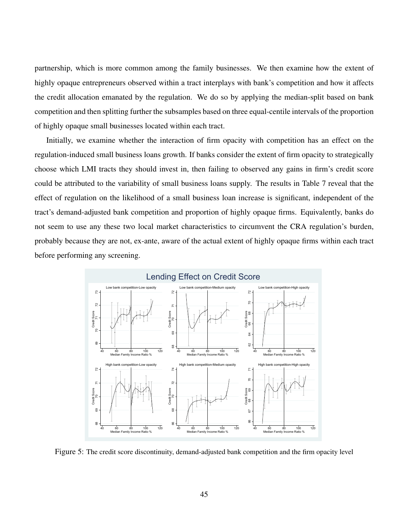partnership, which is more common among the family businesses. We then examine how the extent of highly opaque entrepreneurs observed within a tract interplays with bank's competition and how it affects the credit allocation emanated by the regulation. We do so by applying the median-split based on bank competition and then splitting further the subsamples based on three equal-centile intervals of the proportion of highly opaque small businesses located within each tract.

Initially, we examine whether the interaction of firm opacity with competition has an effect on the regulation-induced small business loans growth. If banks consider the extent of firm opacity to strategically choose which LMI tracts they should invest in, then failing to observed any gains in firm's credit score could be attributed to the variability of small business loans supply. The results in Table [7](#page-44-0) reveal that the effect of regulation on the likelihood of a small business loan increase is significant, independent of the tract's demand-adjusted bank competition and proportion of highly opaque firms. Equivalently, banks do not seem to use any these two local market characteristics to circumvent the CRA regulation's burden, probably because they are not, ex-ante, aware of the actual extent of highly opaque firms within each tract before performing any screening.

<span id="page-45-0"></span>

Figure 5: The credit score discontinuity, demand-adjusted bank competition and the firm opacity level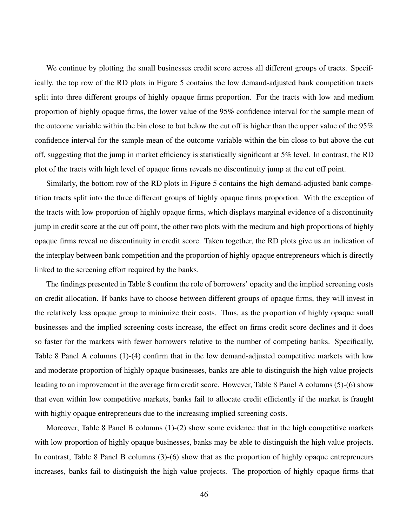We continue by plotting the small businesses credit score across all different groups of tracts. Specifically, the top row of the RD plots in Figure [5](#page-45-0) contains the low demand-adjusted bank competition tracts split into three different groups of highly opaque firms proportion. For the tracts with low and medium proportion of highly opaque firms, the lower value of the 95% confidence interval for the sample mean of the outcome variable within the bin close to but below the cut off is higher than the upper value of the 95% confidence interval for the sample mean of the outcome variable within the bin close to but above the cut off, suggesting that the jump in market efficiency is statistically significant at 5% level. In contrast, the RD plot of the tracts with high level of opaque firms reveals no discontinuity jump at the cut off point.

Similarly, the bottom row of the RD plots in Figure [5](#page-45-0) contains the high demand-adjusted bank competition tracts split into the three different groups of highly opaque firms proportion. With the exception of the tracts with low proportion of highly opaque firms, which displays marginal evidence of a discontinuity jump in credit score at the cut off point, the other two plots with the medium and high proportions of highly opaque firms reveal no discontinuity in credit score. Taken together, the RD plots give us an indication of the interplay between bank competition and the proportion of highly opaque entrepreneurs which is directly linked to the screening effort required by the banks.

The findings presented in Table [8](#page-47-0) confirm the role of borrowers' opacity and the implied screening costs on credit allocation. If banks have to choose between different groups of opaque firms, they will invest in the relatively less opaque group to minimize their costs. Thus, as the proportion of highly opaque small businesses and the implied screening costs increase, the effect on firms credit score declines and it does so faster for the markets with fewer borrowers relative to the number of competing banks. Specifically, Table [8](#page-47-0) Panel A columns (1)-(4) confirm that in the low demand-adjusted competitive markets with low and moderate proportion of highly opaque businesses, banks are able to distinguish the high value projects leading to an improvement in the average firm credit score. However, Table [8](#page-47-0) Panel A columns (5)-(6) show that even within low competitive markets, banks fail to allocate credit efficiently if the market is fraught with highly opaque entrepreneurs due to the increasing implied screening costs.

Moreover, Table [8](#page-47-0) Panel B columns (1)-(2) show some evidence that in the high competitive markets with low proportion of highly opaque businesses, banks may be able to distinguish the high value projects. In contrast, Table [8](#page-47-0) Panel B columns (3)-(6) show that as the proportion of highly opaque entrepreneurs increases, banks fail to distinguish the high value projects. The proportion of highly opaque firms that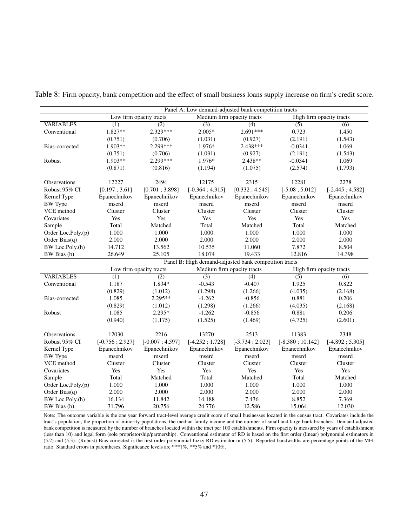|                    | Panel A: Low demand-adjusted bank competition tracts |                         |                                                       |                            |                          |                   |
|--------------------|------------------------------------------------------|-------------------------|-------------------------------------------------------|----------------------------|--------------------------|-------------------|
|                    |                                                      | Low firm opacity tracts |                                                       | Medium firm opacity tracts | High firm opacity tracts |                   |
| <b>VARIABLES</b>   | $\overline{(1)}$                                     | $\overline{(2)}$        | $\overline{(3)}$                                      | $\overline{(4)}$           | $\overline{(5)}$         | (6)               |
| Conventional       | $1.827**$                                            | $2.329***$              | $2.005*$                                              | $2.691***$                 | 0.723                    | 1.450             |
|                    | (0.751)                                              | (0.706)                 | (1.031)                                               | (0.927)                    | (2.191)                  | (1.543)           |
| Bias-corrected     | $1.903**$                                            | 2.299 ***               | 1.976*                                                | $2.438***$                 | $-0.0341$                | 1.069             |
|                    | (0.751)                                              | (0.706)                 | (1.031)                                               | (0.927)                    | (2.191)                  | (1.543)           |
| Robust             | 1.903**                                              | 2.299***                | 1.976*                                                | 2.438**                    | $-0.0341$                | 1.069             |
|                    | (0.871)                                              | (0.816)                 | (1.194)                                               | (1.075)                    | (2.574)                  | (1.793)           |
|                    |                                                      |                         |                                                       |                            |                          |                   |
| Observations       | 12227                                                | 2494                    | 12175                                                 | 2315                       | 12281                    | 2278              |
| Robust 95% CI      | [0.197; 3.61]                                        | [0.701; 3.898]          | $[-0.364; 4.315]$                                     | [0.332; 4.545]             | $[-5.08; 5.012]$         | $[-2.445; 4.582]$ |
| Kernel Type        | Epanechnikov                                         | Epanechnikov            | Epanechnikov                                          | Epanechnikov               | Epanechnikov             | Epanechnikov      |
| <b>BW</b> Type     | mserd                                                | mserd                   | mserd                                                 | mserd                      | mserd                    | mserd             |
| VCE method         | Cluster                                              | Cluster                 | Cluster                                               | Cluster                    | Cluster                  | Cluster           |
| Covariates         | Yes                                                  | Yes                     | Yes                                                   | Yes                        | Yes                      | Yes               |
| Sample             | Total                                                | Matched                 | Total                                                 | Matched                    | Total                    | Matched           |
| Order Loc.Poly.(p) | 1.000                                                | 1.000                   | 1.000                                                 | 1.000                      | 1.000                    | 1.000             |
| Order Bias $(q)$   | 2.000                                                | 2.000                   | 2.000                                                 | 2.000                      | 2.000                    | 2.000             |
| BW Loc.Poly.(h)    | 14.712                                               | 13.562                  | 10.535                                                | 11.060                     | 7.872                    | 8.504             |
| BW Bias (b)        | 26.649                                               | 25.105                  | 18.074                                                | 19.433                     | 12.816                   | 14.398            |
|                    |                                                      |                         | Panel B: High demand-adjusted bank competition tracts |                            |                          |                   |
|                    |                                                      | Low firm opacity tracts |                                                       | Medium firm opacity tracts | High firm opacity tracts |                   |
| <b>VARIABLES</b>   | $\overline{(1)}$                                     | $\overline{(2)}$        | $\overline{(3)}$                                      | $\overline{(4)}$           | $\overline{(5)}$         | (6)               |
| Conventional       | 1.187                                                | $1.834*$                | $-0.543$                                              | $-0.407$                   | 1.925                    | 0.822             |
|                    | (0.829)                                              | (1.012)                 | (1.298)                                               | (1.266)                    | (4.035)                  | (2.168)           |
| Bias-corrected     | 1.085                                                | $2.295**$               | $-1.262$                                              | $-0.856$                   | 0.881                    | 0.206             |
|                    | (0.829)                                              | (1.012)                 | (1.298)                                               | (1.266)                    | (4.035)                  | (2.168)           |
| Robust             | 1.085                                                | $2.295*$                | $-1.262$                                              | $-0.856$                   | 0.881                    | 0.206             |
|                    | (0.940)                                              | (1.175)                 | (1.525)                                               | (1.469)                    | (4.725)                  | (2.601)           |
|                    |                                                      |                         |                                                       |                            |                          |                   |
| Observations       | 12030                                                | 2216                    | 13270                                                 | 2513                       | 11383                    | 2348              |
| Robust 95% CI      | $[-0.756; 2.927]$                                    | $[-0.007; 4.597]$       | $[-4.252; 1.728]$                                     | $[-3.734; 2.023]$          | $[-8.380; 10.142]$       | $[-4.892; 5.305]$ |
| Kernel Type        | Epanechnikov                                         | Epanechnikov            | Epanechnikov                                          | Epanechnikov               | Epanechnikov             | Epanechnikov      |
| <b>BW</b> Type     | mserd                                                | mserd                   | mserd                                                 | mserd                      | mserd                    | mserd             |
| VCE method         | Cluster                                              | Cluster                 | Cluster                                               | Cluster                    | Cluster                  | Cluster           |
| Covariates         | Yes                                                  | Yes                     | Yes                                                   | Yes                        | Yes                      | Yes               |
| Sample             | Total                                                | Matched                 | Total                                                 | Matched                    | Total                    | Matched           |
| Order Loc.Poly.(p) | 1.000                                                | 1.000                   | 1.000                                                 | 1.000                      | 1.000                    | 1.000             |
| Order Bias $(q)$   | 2.000                                                | 2.000                   | 2.000                                                 | 2.000                      | 2.000                    | 2.000             |
| BW Loc.Poly.(h)    | 16.134                                               | 11.842                  | 14.188                                                | 7.436                      | 8.852                    | 7.369             |
| BW Bias (b)        | 31.796                                               | 20.756                  | 24.776                                                | 12.586                     | 15.064                   | 12.030            |

<span id="page-47-0"></span>Table 8: Firm opacity, bank competition and the effect of small business loans supply increase on firm's credit score.

Note: The outcome variable is the one year forward tract-level average credit score of small businesses located in the census tract. Covariates include the tract's population, the proportion of minority populations, the median family income and the number of small and large bank branches. Demand-adjusted bank competition is measured by the number of branches located within the tract per 100 establishments. Firm opacity is measured by years of establishment (less than 10) and legal form (sole proprietorship/partnership). Conventional estimator of RD is based on the first order (linear) polynomial estimators in [\(5.2\)](#page-30-0) and [\(5.3\)](#page-30-0). (Robust) Bias-corrected is the first order polynomial fuzzy RD estimator in [\(5.5\)](#page-31-1). Reported bandwidths are percentage points of the MFI ratio. Standard errors in parentheses. Significance levels are \*\*\*1%, \*\*5% and \*10%.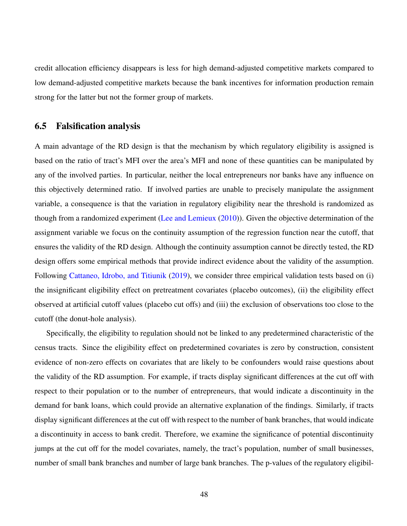credit allocation efficiency disappears is less for high demand-adjusted competitive markets compared to low demand-adjusted competitive markets because the bank incentives for information production remain strong for the latter but not the former group of markets.

### 6.5 Falsification analysis

A main advantage of the RD design is that the mechanism by which regulatory eligibility is assigned is based on the ratio of tract's MFI over the area's MFI and none of these quantities can be manipulated by any of the involved parties. In particular, neither the local entrepreneurs nor banks have any influence on this objectively determined ratio. If involved parties are unable to precisely manipulate the assignment variable, a consequence is that the variation in regulatory eligibility near the threshold is randomized as though from a randomized experiment [\(Lee and Lemieux](#page-59-11) [\(2010\)](#page-59-11)). Given the objective determination of the assignment variable we focus on the continuity assumption of the regression function near the cutoff, that ensures the validity of the RD design. Although the continuity assumption cannot be directly tested, the RD design offers some empirical methods that provide indirect evidence about the validity of the assumption. Following [Cattaneo, Idrobo, and Titiunik](#page-57-10) [\(2019\)](#page-57-10), we consider three empirical validation tests based on (i) the insignificant eligibility effect on pretreatment covariates (placebo outcomes), (ii) the eligibility effect observed at artificial cutoff values (placebo cut offs) and (iii) the exclusion of observations too close to the cutoff (the donut-hole analysis).

Specifically, the eligibility to regulation should not be linked to any predetermined characteristic of the census tracts. Since the eligibility effect on predetermined covariates is zero by construction, consistent evidence of non-zero effects on covariates that are likely to be confounders would raise questions about the validity of the RD assumption. For example, if tracts display significant differences at the cut off with respect to their population or to the number of entrepreneurs, that would indicate a discontinuity in the demand for bank loans, which could provide an alternative explanation of the findings. Similarly, if tracts display significant differences at the cut off with respect to the number of bank branches, that would indicate a discontinuity in access to bank credit. Therefore, we examine the significance of potential discontinuity jumps at the cut off for the model covariates, namely, the tract's population, number of small businesses, number of small bank branches and number of large bank branches. The p-values of the regulatory eligibil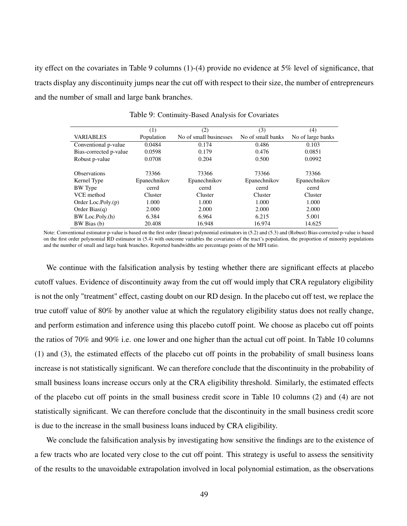<span id="page-49-0"></span>ity effect on the covariates in Table [9](#page-49-0) columns (1)-(4) provide no evidence at 5% level of significance, that tracts display any discontinuity jumps near the cut off with respect to their size, the number of entrepreneurs and the number of small and large bank branches.

|                        | (1)          | (2)                    | (3)               | (4)               |
|------------------------|--------------|------------------------|-------------------|-------------------|
| <b>VARIABLES</b>       | Population   | No of small businesses | No of small banks | No of large banks |
| Conventional p-value   | 0.0484       | 0.174                  | 0.486             | 0.103             |
| Bias-corrected p-value | 0.0598       | 0.179                  | 0.476             | 0.0851            |
| Robust p-value         | 0.0708       | 0.204                  | 0.500             | 0.0992            |
|                        |              |                        |                   |                   |
| <b>Observations</b>    | 73366        | 73366                  | 73366             | 73366             |
| Kernel Type            | Epanechnikov | Epanechnikov           | Epanechnikov      | Epanechnikov      |
| <b>BW</b> Type         | cerrd        | cerrd                  | cerrd             | cerrd             |
| VCE method             | Cluster      | Cluster                | Cluster           | Cluster           |
| Order Loc.Poly. $(p)$  | 1.000        | 1.000                  | 1.000             | 1.000             |
| Order Bias $(q)$       | 2.000        | 2.000                  | 2.000             | 2.000             |
| BW Loc.Poly.(h)        | 6.384        | 6.964                  | 6.215             | 5.001             |
| BW Bias (b)            | 20.408       | 16.948                 | 16.974            | 14.625            |

Table 9: Continuity-Based Analysis for Covariates

Note: Conventional estimator p-value is based on the first order (linear) polynomial estimators in [\(5.2\)](#page-30-0) and [\(5.3\)](#page-30-0) and (Robust) Bias-corrected p-value is based on the first order polynomial RD estimator in [\(5.4\)](#page-31-0) with outcome variables the covariates of the tract's population, the proportion of minority populations and the number of small and large bank branches. Reported bandwidths are percentage points of the MFI ratio.

We continue with the falsification analysis by testing whether there are significant effects at placebo cutoff values. Evidence of discontinuity away from the cut off would imply that CRA regulatory eligibility is not the only "treatment" effect, casting doubt on our RD design. In the placebo cut off test, we replace the true cutoff value of 80% by another value at which the regulatory eligibility status does not really change, and perform estimation and inference using this placebo cutoff point. We choose as placebo cut off points the ratios of 70% and 90% i.e. one lower and one higher than the actual cut off point. In Table [10](#page-50-0) columns (1) and (3), the estimated effects of the placebo cut off points in the probability of small business loans increase is not statistically significant. We can therefore conclude that the discontinuity in the probability of small business loans increase occurs only at the CRA eligibility threshold. Similarly, the estimated effects of the placebo cut off points in the small business credit score in Table [10](#page-50-0) columns (2) and (4) are not statistically significant. We can therefore conclude that the discontinuity in the small business credit score is due to the increase in the small business loans induced by CRA eligibility.

We conclude the falsification analysis by investigating how sensitive the findings are to the existence of a few tracts who are located very close to the cut off point. This strategy is useful to assess the sensitivity of the results to the unavoidable extrapolation involved in local polynomial estimation, as the observations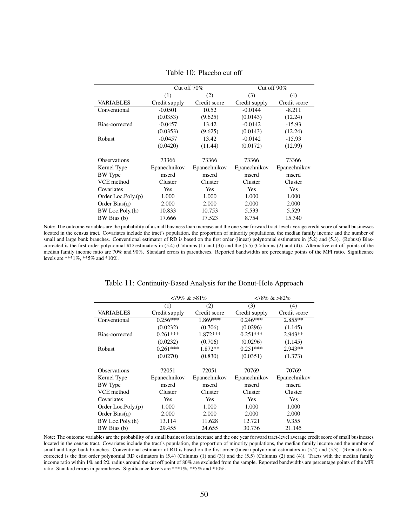<span id="page-50-0"></span>

|                       |               | Cut off $70\%$ |               | Cut off $90\%$ |
|-----------------------|---------------|----------------|---------------|----------------|
|                       | (1)           | (2)            | (3)           | (4)            |
| <b>VARIABLES</b>      | Credit supply | Credit score   | Credit supply | Credit score   |
| Conventional          | $-0.0501$     | 10.52          | $-0.0144$     | $-8.211$       |
|                       | (0.0353)      | (9.625)        | (0.0143)      | (12.24)        |
| Bias-corrected        | $-0.0457$     | 13.42          | $-0.0142$     | $-15.93$       |
|                       | (0.0353)      | (9.625)        | (0.0143)      | (12.24)        |
| <b>Robust</b>         | $-0.0457$     | 13.42          | $-0.0142$     | $-15.93$       |
|                       | (0.0420)      | (11.44)        | (0.0172)      | (12.99)        |
|                       |               |                |               |                |
| <b>Observations</b>   | 73366         | 73366          | 73366         | 73366          |
| Kernel Type           | Epanechnikov  | Epanechnikov   | Epanechnikov  | Epanechnikov   |
| <b>BW</b> Type        | mserd         | mserd          | mserd         | mserd          |
| VCE method            | Cluster       | Cluster        | Cluster       | Cluster        |
| Covariates            | <b>Yes</b>    | Yes            | Yes           | Yes            |
| Order Loc.Poly. $(p)$ | 1.000         | 1.000          | 1.000         | 1.000          |
| Order Bias $(q)$      | 2.000         | 2.000          | 2.000         | 2.000          |
| BW Loc.Poly.(h)       | 10.833        | 10.753         | 5.533         | 5.529          |
| BW Bias (b)           | 17.666        | 17.523         | 8.754         | 15.340         |

Table 10: Placebo cut off

<span id="page-50-1"></span>Note: The outcome variables are the probability of a small business loan increase and the one year forward tract-level average credit score of small businesses located in the census tract. Covariates include the tract's population, the proportion of minority populations, the median family income and the number of small and large bank branches. Conventional estimator of RD is based on the first order (linear) polynomial estimators in [\(5.2\)](#page-30-0) and [\(5.3\)](#page-30-0). (Robust) Biascorrected is the first order polynomial RD estimators in  $(5.4)$  (Columns  $(1)$  and  $(3)$ ) and the  $(5.5)$  (Columns  $(2)$  and  $(4)$ ). Alternative cut off points of the median family income ratio are 70% and 90%. Standard errors in parentheses. Reported bandwidths are percentage points of the MFI ratio. Significance levels are \*\*\*1%, \*\*5% and \*10%.

| Table 11: Continuity-Based Analysis for the Donut-Hole Approach |  |
|-----------------------------------------------------------------|--|
|-----------------------------------------------------------------|--|

|                       |               | $<79\% \>81\%$ |               | $<78\% \>82\%$ |
|-----------------------|---------------|----------------|---------------|----------------|
|                       | (1)           | (2)            | (3)           | (4)            |
| <b>VARIABLES</b>      | Credit supply | Credit score   | Credit supply | Credit score   |
| Conventional          | $0.256***$    | 1.869***       | $0.246***$    | $2.855**$      |
|                       | (0.0232)      | (0.706)        | (0.0296)      | (1.145)        |
| Bias-corrected        | $0.261***$    | $1.872***$     | $0.251***$    | $2.943**$      |
|                       | (0.0232)      | (0.706)        | (0.0296)      | (1.145)        |
| Robust                | $0.261***$    | 1.872**        | $0.251***$    | $2.943**$      |
|                       | (0.0270)      | (0.830)        | (0.0351)      | (1.373)        |
|                       |               |                |               |                |
| <b>Observations</b>   | 72051         | 72051          | 70769         | 70769          |
| Kernel Type           | Epanechnikov  | Epanechnikov   | Epanechnikov  | Epanechnikov   |
| <b>BW</b> Type        | mserd         | mserd          | mserd         | mserd          |
| VCE method            | Cluster       | Cluster        | Cluster       | Cluster        |
| Covariates            | Yes           | Yes            | Yes           | Yes            |
| Order Loc.Poly. $(p)$ | 1.000         | 1.000          | 1.000         | 1.000          |
| Order Bias $(q)$      | 2.000         | 2.000          | 2.000         | 2.000          |
| BW Loc.Poly.(h)       | 13.114        | 11.628         | 12.721        | 9.355          |
| BW Bias (b)           | 29.455        | 24.655         | 30.736        | 21.145         |

Note: The outcome variables are the probability of a small business loan increase and the one year forward tract-level average credit score of small businesses located in the census tract. Covariates include the tract's population, the proportion of minority populations, the median family income and the number of small and large bank branches. Conventional estimator of RD is based on the first order (linear) polynomial estimators in [\(5.2\)](#page-30-0) and [\(5.3\)](#page-30-0). (Robust) Biascorrected is the first order polynomial RD estimators in  $(5.4)$  (Columns  $(1)$  and  $(3)$ ) and the  $(5.5)$  (Columns  $(2)$  and  $(4)$ ). Tracts with the median family income ratio within 1% and 2% radius around the cut off point of 80% are excluded from the sample. Reported bandwidths are percentage points of the MFI ratio. Standard errors in parentheses. Significance levels are \*\*\*1%, \*\*5% and \*10%.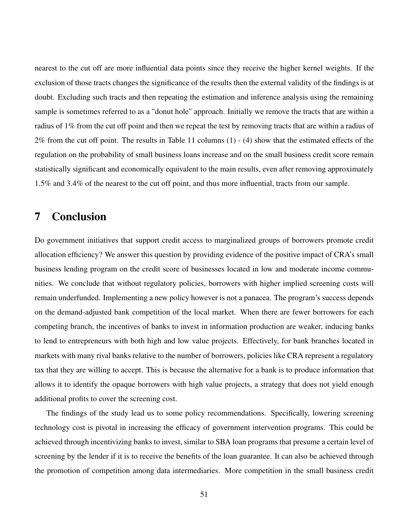nearest to the cut off are more influential data points since they receive the higher kernel weights. If the exclusion of those tracts changes the significance of the results then the external validity of the findings is at doubt. Excluding such tracts and then repeating the estimation and inference analysis using the remaining sample is sometimes referred to as a "donut hole" approach. Initially we remove the tracts that are within a radius of 1% from the cut off point and then we repeat the test by removing tracts that are within a radius of 2% from the cut off point. The results in Table [11](#page-50-1) columns (1) - (4) show that the estimated effects of the regulation on the probability of small business loans increase and on the small business credit score remain statistically significant and economically equivalent to the main results, even after removing approximately 1.5% and 3.4% of the nearest to the cut off point, and thus more influential, tracts from our sample.

# <span id="page-51-0"></span>7 Conclusion

Do government initiatives that support credit access to marginalized groups of borrowers promote credit allocation efficiency? We answer this question by providing evidence of the positive impact of CRA's small business lending program on the credit score of businesses located in low and moderate income communities. We conclude that without regulatory policies, borrowers with higher implied screening costs will remain underfunded. Implementing a new policy however is not a panacea. The program's success depends on the demand-adjusted bank competition of the local market. When there are fewer borrowers for each competing branch, the incentives of banks to invest in information production are weaker, inducing banks to lend to entrepreneurs with both high and low value projects. Effectively, for bank branches located in markets with many rival banks relative to the number of borrowers, policies like CRA represent a regulatory tax that they are willing to accept. This is because the alternative for a bank is to produce information that allows it to identify the opaque borrowers with high value projects, a strategy that does not yield enough additional profits to cover the screening cost.

The findings of the study lead us to some policy recommendations. Specifically, lowering screening technology cost is pivotal in increasing the efficacy of government intervention programs. This could be achieved through incentivizing banks to invest, similar to SBA loan programs that presume a certain level of screening by the lender if it is to receive the benefits of the loan guarantee. It can also be achieved through the promotion of competition among data intermediaries. More competition in the small business credit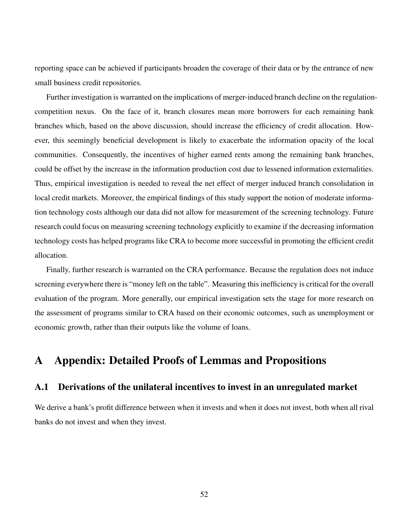reporting space can be achieved if participants broaden the coverage of their data or by the entrance of new small business credit repositories.

Further investigation is warranted on the implications of merger-induced branch decline on the regulationcompetition nexus. On the face of it, branch closures mean more borrowers for each remaining bank branches which, based on the above discussion, should increase the efficiency of credit allocation. However, this seemingly beneficial development is likely to exacerbate the information opacity of the local communities. Consequently, the incentives of higher earned rents among the remaining bank branches, could be offset by the increase in the information production cost due to lessened information externalities. Thus, empirical investigation is needed to reveal the net effect of merger induced branch consolidation in local credit markets. Moreover, the empirical findings of this study support the notion of moderate information technology costs although our data did not allow for measurement of the screening technology. Future research could focus on measuring screening technology explicitly to examine if the decreasing information technology costs has helped programs like CRA to become more successful in promoting the efficient credit allocation.

Finally, further research is warranted on the CRA performance. Because the regulation does not induce screening everywhere there is "money left on the table". Measuring this inefficiency is critical for the overall evaluation of the program. More generally, our empirical investigation sets the stage for more research on the assessment of programs similar to CRA based on their economic outcomes, such as unemployment or economic growth, rather than their outputs like the volume of loans.

# <span id="page-52-0"></span>A Appendix: Detailed Proofs of Lemmas and Propositions

## <span id="page-52-1"></span>A.1 Derivations of the unilateral incentives to invest in an unregulated market

We derive a bank's profit difference between when it invests and when it does not invest, both when all rival banks do not invest and when they invest.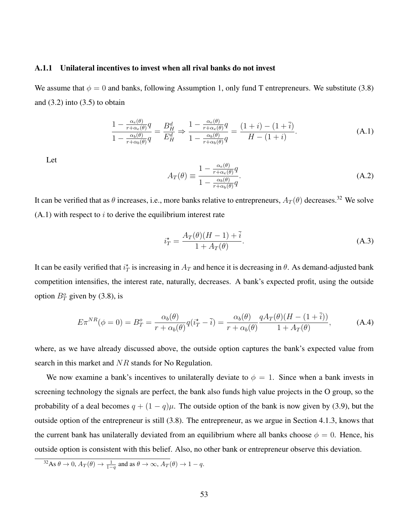#### <span id="page-53-0"></span>A.1.1 Unilateral incentives to invest when all rival banks do not invest

We assume that  $\phi = 0$  and banks, following Assumption [1,](#page-11-3) only fund T entrepreneurs. We substitute [\(3.8\)](#page-14-0) and  $(3.2)$  into  $(3.5)$  to obtain

<span id="page-53-5"></span>
$$
\frac{1 - \frac{\alpha_e(\theta)}{r + \alpha_e(\theta)}q}{1 - \frac{\alpha_b(\theta)}{r + \alpha_b(\theta)}q} = \frac{B_H^d}{E_H^d} \Rightarrow \frac{1 - \frac{\alpha_e(\theta)}{r + \alpha_e(\theta)}q}{1 - \frac{\alpha_b(\theta)}{r + \alpha_b(\theta)}q} = \frac{(1+i) - (1+i)}{H - (1+i)}.
$$
\n(A.1)

Let

<span id="page-53-1"></span>
$$
A_T(\theta) \equiv \frac{1 - \frac{\alpha_e(\theta)}{r + \alpha_e(\theta)}q}{1 - \frac{\alpha_b(\theta)}{r + \alpha_b(\theta)}q}.
$$
\n(A.2)

It can be verified that as  $\theta$  increases, i.e., more banks relative to entrepreneurs,  $A_T(\theta)$  decreases.<sup>[32](#page-53-2)</sup> We solve  $(A.1)$  with respect to i to derive the equilibrium interest rate

<span id="page-53-3"></span>
$$
i_T^* = \frac{A_T(\theta)(H - 1) + \bar{i}}{1 + A_T(\theta)}.
$$
\n(A.3)

It can be easily verified that  $i_T^*$  is increasing in  $A_T$  and hence it is decreasing in  $\theta$ . As demand-adjusted bank competition intensifies, the interest rate, naturally, decreases. A bank's expected profit, using the outside option  $B_T^o$  given by [\(3.8\)](#page-14-0), is

<span id="page-53-4"></span>
$$
E\pi^{NR}(\phi=0) = B_T^o = \frac{\alpha_b(\theta)}{r + \alpha_b(\theta)}q(i_T^* - \bar{i}) = \frac{\alpha_b(\theta)}{r + \alpha_b(\theta)}\frac{qA_T(\theta)(H - (1 + \bar{i}))}{1 + A_T(\theta)},\tag{A.4}
$$

where, as we have already discussed above, the outside option captures the bank's expected value from search in this market and NR stands for No Regulation.

We now examine a bank's incentives to unilaterally deviate to  $\phi = 1$ . Since when a bank invests in screening technology the signals are perfect, the bank also funds high value projects in the O group, so the probability of a deal becomes  $q + (1 - q)\mu$ . The outside option of the bank is now given by [\(3.9\)](#page-14-1), but the outside option of the entrepreneur is still [\(3.8\)](#page-14-0). The entrepreneur, as we argue in Section [4.1.3,](#page-17-1) knows that the current bank has unilaterally deviated from an equilibrium where all banks choose  $\phi = 0$ . Hence, his outside option is consistent with this belief. Also, no other bank or entrepreneur observe this deviation.

<span id="page-53-2"></span><sup>&</sup>lt;sup>32</sup>As  $\theta \to 0$ ,  $A_T(\theta) \to \frac{1}{1-q}$  and as  $\theta \to \infty$ ,  $A_T(\theta) \to 1-q$ .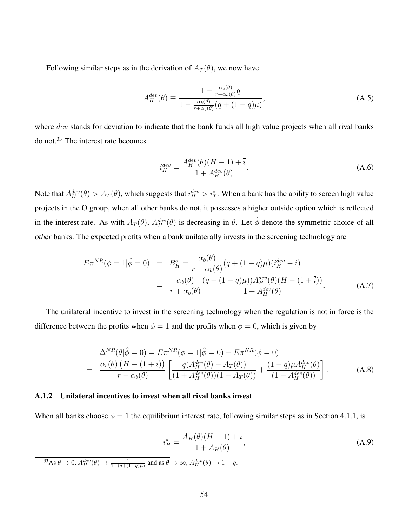Following similar steps as in the derivation of  $A_T(\theta)$ , we now have

<span id="page-54-0"></span>
$$
A_H^{dev}(\theta) \equiv \frac{1 - \frac{\alpha_e(\theta)}{r + \alpha_e(\theta)}q}{1 - \frac{\alpha_b(\theta)}{r + \alpha_b(\theta)}(q + (1 - q)\mu)},
$$
\n(A.5)

where dev stands for deviation to indicate that the bank funds all high value projects when all rival banks do not.<sup>[33](#page-54-2)</sup> The interest rate becomes

$$
i_H^{dev} = \frac{A_H^{dev}(\theta)(H - 1) + \bar{i}}{1 + A_H^{dev}(\theta)}.
$$
 (A.6)

Note that  $A_H^{dev}(\theta) > A_T(\theta)$ , which suggests that  $i_H^{dev} > i_T^*$ . When a bank has the ability to screen high value projects in the O group, when all other banks do not, it possesses a higher outside option which is reflected in the interest rate. As with  $A_T(\theta)$ ,  $A_H^{dev}(\theta)$  is decreasing in  $\theta$ . Let  $\hat{\phi}$  denote the symmetric choice of all other banks. The expected profits when a bank unilaterally invests in the screening technology are

<span id="page-54-4"></span>
$$
E\pi^{NR}(\phi = 1|\hat{\phi} = 0) = B_H^o = \frac{\alpha_b(\theta)}{r + \alpha_b(\theta)}(q + (1 - q)\mu)(i_H^{dev} - \bar{i})
$$
  
= 
$$
\frac{\alpha_b(\theta)}{r + \alpha_b(\theta)}\frac{(q + (1 - q)\mu))A_H^{dev}(\theta)(H - (1 + \bar{i}))}{1 + A_H^{dev}(\theta)}.
$$
 (A.7)

The unilateral incentive to invest in the screening technology when the regulation is not in force is the difference between the profits when  $\phi = 1$  and the profits when  $\phi = 0$ , which is given by

$$
\Delta^{NR}(\theta|\hat{\phi}=0) = E\pi^{NR}(\phi=1|\hat{\phi}=0) - E\pi^{NR}(\phi=0) \n= \frac{\alpha_b(\theta)\left(H - (1+\bar{i})\right)}{r + \alpha_b(\theta)} \left[ \frac{q(A_H^{dev}(\theta) - A_T(\theta))}{(1 + A_H^{dev}(\theta))(1 + A_T(\theta))} + \frac{(1-q)\mu A_H^{dev}(\theta)}{(1 + A_H^{dev}(\theta))} \right].
$$
\n(A.8)

#### <span id="page-54-1"></span>A.1.2 Unilateral incentives to invest when all rival banks invest

When all banks choose  $\phi = 1$  the equilibrium interest rate, following similar steps as in Section [4.1.1,](#page-15-3) is

<span id="page-54-3"></span>
$$
i_H^* = \frac{A_H(\theta)(H - 1) + \bar{i}}{1 + A_H(\theta)},
$$
\n(A.9)

<span id="page-54-2"></span><sup>33</sup>As  $\theta \to 0$ ,  $A_H^{dev}(\theta) \to \frac{1}{1-(q+(1-q)\mu)}$  and as  $\theta \to \infty$ ,  $A_H^{dev}(\theta) \to 1-q$ .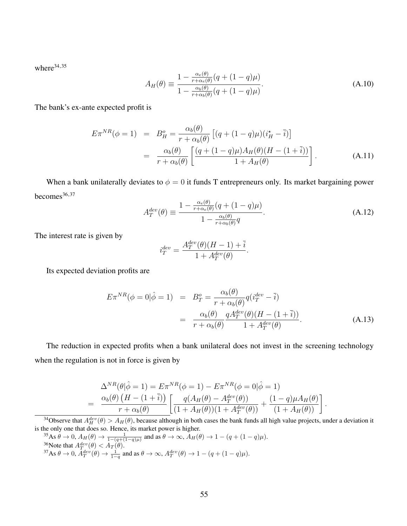where<sup>[34,](#page-55-6)[35](#page-55-2)</sup>

<span id="page-55-0"></span>
$$
A_H(\theta) \equiv \frac{1 - \frac{\alpha_e(\theta)}{r + \alpha_e(\theta)} (q + (1 - q)\mu)}{1 - \frac{\alpha_b(\theta)}{r + \alpha_b(\theta)} (q + (1 - q)\mu)}.
$$
(A.10)

The bank's ex-ante expected profit is

<span id="page-55-4"></span>
$$
E\pi^{NR}(\phi = 1) = B_H^o = \frac{\alpha_b(\theta)}{r + \alpha_b(\theta)} \left[ (q + (1 - q)\mu)(i_H^* - \bar{i}) \right]
$$
  
= 
$$
\frac{\alpha_b(\theta)}{r + \alpha_b(\theta)} \left[ \frac{(q + (1 - q)\mu)A_H(\theta)(H - (1 + \bar{i}))}{1 + A_H(\theta)} \right].
$$
 (A.11)

When a bank unilaterally deviates to  $\phi = 0$  it funds T entrepreneurs only. Its market bargaining power becomes $36,37$  $36,37$ 

<span id="page-55-1"></span>
$$
A_T^{dev}(\theta) \equiv \frac{1 - \frac{\alpha_e(\theta)}{r + \alpha_e(\theta)} (q + (1 - q)\mu)}{1 - \frac{\alpha_b(\theta)}{r + \alpha_b(\theta)} q}.
$$
(A.12)

The interest rate is given by

$$
i_T^{dev} = \frac{A_T^{dev}(\theta)(H-1) + \bar{i}}{1 + A_T^{dev}(\theta)}.
$$

Its expected deviation profits are

<span id="page-55-5"></span>
$$
E\pi^{NR}(\phi=0|\hat{\phi}=1) = B_T^o = \frac{\alpha_b(\theta)}{r + \alpha_b(\theta)}q(i_T^{dev} - \bar{i})
$$
  

$$
= \frac{\alpha_b(\theta)}{r + \alpha_b(\theta)}\frac{qA_T^{dev}(\theta)(H - (1 + \bar{i}))}{1 + A_T^{dev}(\theta)}.
$$
(A.13)

The reduction in expected profits when a bank unilateral does not invest in the screening technology when the regulation is not in force is given by

$$
\Delta^{NR}(\theta|\hat{\phi}=1) = E\pi^{NR}(\phi=1) - E\pi^{NR}(\phi=0|\hat{\phi}=1) \n= \frac{\alpha_b(\theta) (H - (1 + \bar{i}))}{r + \alpha_b(\theta)} \left[ \frac{q(A_H(\theta) - A_T^{dev}(\theta))}{(1 + A_H(\theta))(1 + A_T^{dev}(\theta))} + \frac{(1 - q)\mu A_H(\theta)}{(1 + A_H(\theta))} \right].
$$

<span id="page-55-6"></span><sup>34</sup>Observe that  $A_H^{dev}(\theta) > A_H(\theta)$ , because although in both cases the bank funds all high value projects, under a deviation it is the only one that does so. Hence, its market power is higher.

<span id="page-55-7"></span><span id="page-55-3"></span><span id="page-55-2"></span><sup>35</sup>As  $\theta \to 0$ ,  $A_H(\theta) \to \frac{1}{1-(q+(1-q)\mu)}$  and as  $\theta \to \infty$ ,  $A_H(\theta) \to 1-(q+(1-q)\mu)$ . <sup>36</sup>Note that  $A^{dev}_{T}(\theta) < A_{T}(\theta)$ . <sup>37</sup>As  $\theta \to 0$ ,  $A_T^{dev}(\theta) \to \frac{1}{1-q}$  and as  $\theta \to \infty$ ,  $A_T^{dev}(\theta) \to 1 - (q + (1-q)\mu)$ .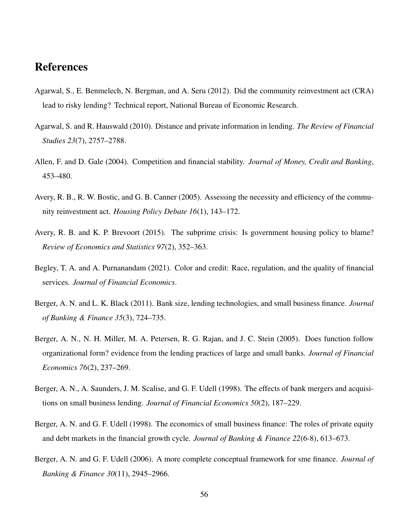# References

- <span id="page-56-5"></span>Agarwal, S., E. Benmelech, N. Bergman, and A. Seru (2012). Did the community reinvestment act (CRA) lead to risky lending? Technical report, National Bureau of Economic Research.
- <span id="page-56-2"></span>Agarwal, S. and R. Hauswald (2010). Distance and private information in lending. *The Review of Financial Studies 23*(7), 2757–2788.
- <span id="page-56-0"></span>Allen, F. and D. Gale (2004). Competition and financial stability. *Journal of Money, Credit and Banking*, 453–480.
- <span id="page-56-8"></span>Avery, R. B., R. W. Bostic, and G. B. Canner (2005). Assessing the necessity and efficiency of the community reinvestment act. *Housing Policy Debate 16*(1), 143–172.
- <span id="page-56-6"></span>Avery, R. B. and K. P. Brevoort (2015). The subprime crisis: Is government housing policy to blame? *Review of Economics and Statistics 97*(2), 352–363.
- <span id="page-56-7"></span>Begley, T. A. and A. Purnanandam (2021). Color and credit: Race, regulation, and the quality of financial services. *Journal of Financial Economics*.
- <span id="page-56-4"></span>Berger, A. N. and L. K. Black (2011). Bank size, lending technologies, and small business finance. *Journal of Banking & Finance 35*(3), 724–735.
- <span id="page-56-9"></span>Berger, A. N., N. H. Miller, M. A. Petersen, R. G. Rajan, and J. C. Stein (2005). Does function follow organizational form? evidence from the lending practices of large and small banks. *Journal of Financial Economics 76*(2), 237–269.
- <span id="page-56-1"></span>Berger, A. N., A. Saunders, J. M. Scalise, and G. F. Udell (1998). The effects of bank mergers and acquisitions on small business lending. *Journal of Financial Economics 50*(2), 187–229.
- <span id="page-56-10"></span>Berger, A. N. and G. F. Udell (1998). The economics of small business finance: The roles of private equity and debt markets in the financial growth cycle. *Journal of Banking & Finance 22*(6-8), 613–673.
- <span id="page-56-3"></span>Berger, A. N. and G. F. Udell (2006). A more complete conceptual framework for sme finance. *Journal of Banking & Finance 30*(11), 2945–2966.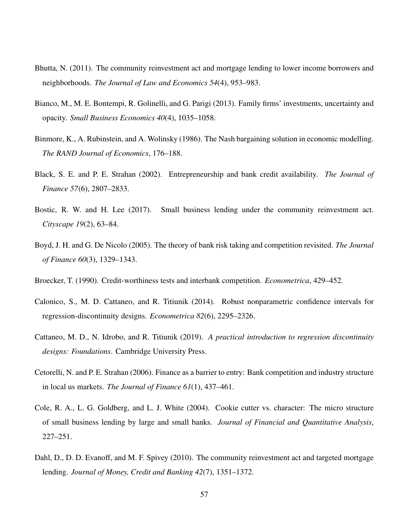- <span id="page-57-6"></span>Bhutta, N. (2011). The community reinvestment act and mortgage lending to lower income borrowers and neighborhoods. *The Journal of Law and Economics 54*(4), 953–983.
- <span id="page-57-11"></span>Bianco, M., M. E. Bontempi, R. Golinelli, and G. Parigi (2013). Family firms' investments, uncertainty and opacity. *Small Business Economics 40*(4), 1035–1058.
- <span id="page-57-8"></span>Binmore, K., A. Rubinstein, and A. Wolinsky (1986). The Nash bargaining solution in economic modelling. *The RAND Journal of Economics*, 176–188.
- <span id="page-57-3"></span>Black, S. E. and P. E. Strahan (2002). Entrepreneurship and bank credit availability. *The Journal of Finance 57*(6), 2807–2833.
- <span id="page-57-7"></span>Bostic, R. W. and H. Lee (2017). Small business lending under the community reinvestment act. *Cityscape 19*(2), 63–84.
- <span id="page-57-1"></span>Boyd, J. H. and G. De Nicolo (2005). The theory of bank risk taking and competition revisited. *The Journal of Finance 60*(3), 1329–1343.
- <span id="page-57-0"></span>Broecker, T. (1990). Credit-worthiness tests and interbank competition. *Econometrica*, 429–452.
- <span id="page-57-9"></span>Calonico, S., M. D. Cattaneo, and R. Titiunik (2014). Robust nonparametric confidence intervals for regression-discontinuity designs. *Econometrica 82*(6), 2295–2326.
- <span id="page-57-10"></span>Cattaneo, M. D., N. Idrobo, and R. Titiunik (2019). *A practical introduction to regression discontinuity designs: Foundations*. Cambridge University Press.
- <span id="page-57-2"></span>Cetorelli, N. and P. E. Strahan (2006). Finance as a barrier to entry: Bank competition and industry structure in local us markets. *The Journal of Finance 61*(1), 437–461.
- <span id="page-57-4"></span>Cole, R. A., L. G. Goldberg, and L. J. White (2004). Cookie cutter vs. character: The micro structure of small business lending by large and small banks. *Journal of Financial and Quantitative Analysis*, 227–251.
- <span id="page-57-5"></span>Dahl, D., D. D. Evanoff, and M. F. Spivey (2010). The community reinvestment act and targeted mortgage lending. *Journal of Money, Credit and Banking 42*(7), 1351–1372.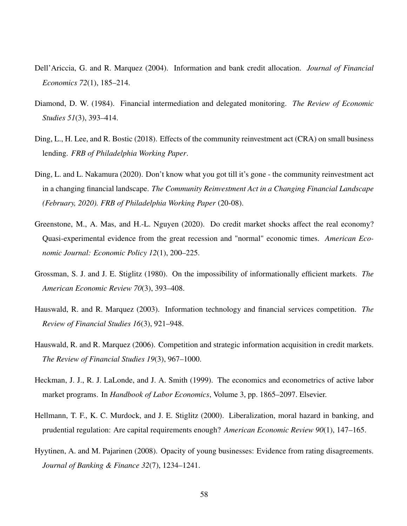- <span id="page-58-4"></span>Dell'Ariccia, G. and R. Marquez (2004). Information and bank credit allocation. *Journal of Financial Economics 72*(1), 185–214.
- <span id="page-58-0"></span>Diamond, D. W. (1984). Financial intermediation and delegated monitoring. *The Review of Economic Studies 51*(3), 393–414.
- <span id="page-58-7"></span>Ding, L., H. Lee, and R. Bostic (2018). Effects of the community reinvestment act (CRA) on small business lending. *FRB of Philadelphia Working Paper*.
- <span id="page-58-6"></span>Ding, L. and L. Nakamura (2020). Don't know what you got till it's gone - the community reinvestment act in a changing financial landscape. *The Community Reinvestment Act in a Changing Financial Landscape (February, 2020). FRB of Philadelphia Working Paper* (20-08).
- <span id="page-58-8"></span>Greenstone, M., A. Mas, and H.-L. Nguyen (2020). Do credit market shocks affect the real economy? Quasi-experimental evidence from the great recession and "normal" economic times. *American Economic Journal: Economic Policy 12*(1), 200–225.
- <span id="page-58-1"></span>Grossman, S. J. and J. E. Stiglitz (1980). On the impossibility of informationally efficient markets. *The American Economic Review 70*(3), 393–408.
- <span id="page-58-5"></span>Hauswald, R. and R. Marquez (2003). Information technology and financial services competition. *The Review of Financial Studies 16*(3), 921–948.
- <span id="page-58-2"></span>Hauswald, R. and R. Marquez (2006). Competition and strategic information acquisition in credit markets. *The Review of Financial Studies 19*(3), 967–1000.
- <span id="page-58-9"></span>Heckman, J. J., R. J. LaLonde, and J. A. Smith (1999). The economics and econometrics of active labor market programs. In *Handbook of Labor Economics*, Volume 3, pp. 1865–2097. Elsevier.
- <span id="page-58-3"></span>Hellmann, T. F., K. C. Murdock, and J. E. Stiglitz (2000). Liberalization, moral hazard in banking, and prudential regulation: Are capital requirements enough? *American Economic Review 90*(1), 147–165.
- <span id="page-58-10"></span>Hyytinen, A. and M. Pajarinen (2008). Opacity of young businesses: Evidence from rating disagreements. *Journal of Banking & Finance 32*(7), 1234–1241.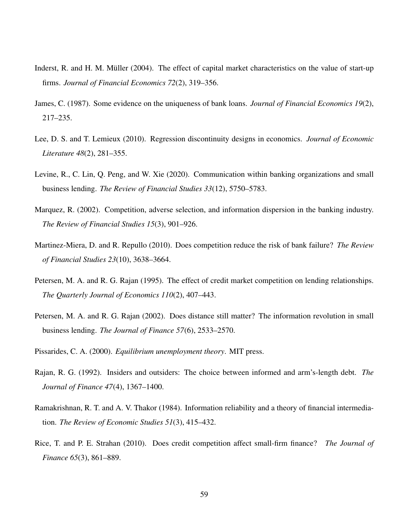- <span id="page-59-8"></span>Inderst, R. and H. M. Müller (2004). The effect of capital market characteristics on the value of start-up firms. *Journal of Financial Economics 72*(2), 319–356.
- <span id="page-59-10"></span>James, C. (1987). Some evidence on the uniqueness of bank loans. *Journal of Financial Economics 19*(2), 217–235.
- <span id="page-59-11"></span>Lee, D. S. and T. Lemieux (2010). Regression discontinuity designs in economics. *Journal of Economic Literature 48*(2), 281–355.
- <span id="page-59-7"></span>Levine, R., C. Lin, Q. Peng, and W. Xie (2020). Communication within banking organizations and small business lending. *The Review of Financial Studies 33*(12), 5750–5783.
- <span id="page-59-3"></span>Marquez, R. (2002). Competition, adverse selection, and information dispersion in the banking industry. *The Review of Financial Studies 15*(3), 901–926.
- <span id="page-59-2"></span>Martinez-Miera, D. and R. Repullo (2010). Does competition reduce the risk of bank failure? *The Review of Financial Studies 23*(10), 3638–3664.
- <span id="page-59-5"></span>Petersen, M. A. and R. G. Rajan (1995). The effect of credit market competition on lending relationships. *The Quarterly Journal of Economics 110*(2), 407–443.
- <span id="page-59-6"></span>Petersen, M. A. and R. G. Rajan (2002). Does distance still matter? The information revolution in small business lending. *The Journal of Finance 57*(6), 2533–2570.
- <span id="page-59-9"></span>Pissarides, C. A. (2000). *Equilibrium unemployment theory*. MIT press.
- <span id="page-59-1"></span>Rajan, R. G. (1992). Insiders and outsiders: The choice between informed and arm's-length debt. *The Journal of Finance 47*(4), 1367–1400.
- <span id="page-59-0"></span>Ramakrishnan, R. T. and A. V. Thakor (1984). Information reliability and a theory of financial intermediation. *The Review of Economic Studies 51*(3), 415–432.
- <span id="page-59-4"></span>Rice, T. and P. E. Strahan (2010). Does credit competition affect small-firm finance? *The Journal of Finance 65*(3), 861–889.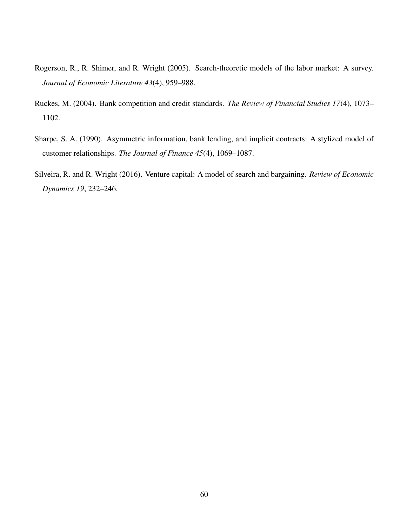- <span id="page-60-3"></span>Rogerson, R., R. Shimer, and R. Wright (2005). Search-theoretic models of the labor market: A survey. *Journal of Economic Literature 43*(4), 959–988.
- <span id="page-60-1"></span>Ruckes, M. (2004). Bank competition and credit standards. *The Review of Financial Studies 17*(4), 1073– 1102.
- <span id="page-60-0"></span>Sharpe, S. A. (1990). Asymmetric information, bank lending, and implicit contracts: A stylized model of customer relationships. *The Journal of Finance 45*(4), 1069–1087.
- <span id="page-60-2"></span>Silveira, R. and R. Wright (2016). Venture capital: A model of search and bargaining. *Review of Economic Dynamics 19*, 232–246.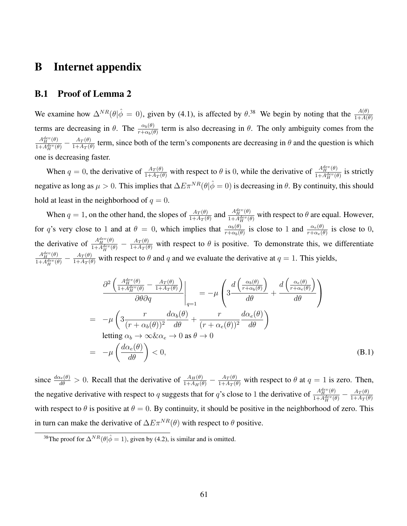## <span id="page-61-0"></span>B Internet appendix

### B.1 Proof of Lemma [2](#page-18-2)

We examine how  $\Delta^{NR}(\theta|\hat{\phi}=0)$ , given by [\(4.1\)](#page-16-1), is affected by  $\theta^{.38}$  $\theta^{.38}$  $\theta^{.38}$ . We begin by noting that the  $\frac{A(\theta)}{1+A(\theta)}$ terms are decreasing in  $\theta$ . The  $\frac{\alpha_b(\theta)}{r+\alpha_b(\theta)}$  term is also decreasing in  $\theta$ . The only ambiguity comes from the  $A_H^{dev}(\theta)$  $\frac{A^{aev}_H(\theta)}{1+A^{dev}_H(\theta)}-\frac{A_T(\theta)}{1+A_T(\theta)}$  $\frac{A_T(\theta)}{1+A_T(\theta)}$  term, since both of the term's components are decreasing in  $\theta$  and the question is which one is decreasing faster.

When  $q = 0$ , the derivative of  $\frac{A_T(\theta)}{1 + A_T(\theta)}$  with respect to  $\theta$  is 0, while the derivative of  $\frac{A_T^{dev}(\theta)}{1 + A_T^{dev}(\theta)}$  $\frac{A_H^{\text{}}(0)}{1+A_H^{dev}(\theta)}$  is strictly negative as long as  $\mu > 0$ . This implies that  $\Delta E \pi^{NR}(\theta|\hat{\phi}=0)$  is decreasing in  $\theta$ . By continuity, this should hold at least in the neighborhood of  $q = 0$ .

When  $q = 1$ , on the other hand, the slopes of  $\frac{A_T(\theta)}{1 + A_T(\theta)}$  and  $\frac{A_H^{dev}(\theta)}{1 + A_H^{dev}(\theta)}$  $\frac{A_{H}^{2}(\theta)}{1+A_{H}^{dev}(\theta)}$  with respect to  $\theta$  are equal. However, for q's very close to 1 and at  $\theta = 0$ , which implies that  $\frac{\alpha_b(\theta)}{r+\alpha_b(\theta)}$  is close to 1 and  $\frac{\alpha_e(\theta)}{r+\alpha_e(\theta)}$  is close to 0, the derivative of  $\frac{A_H^{dev}(\theta)}{1 + A^{dev}(\theta)}$  $\frac{A_{H}^{dev}(\theta)}{1+A_{H}^{dev}(\theta)} - \frac{A_{T}(\theta)}{1+A_{T}(\theta)}$  with respect to  $\theta$  is positive. To demonstrate this, we differentiate  $A_H^{dev}(\theta)$  $\frac{A_{H}^{dev}(\theta)}{1+A_{H}^{dev}(\theta)} - \frac{A_{T}(\theta)}{1+A_{T}(\theta)}$  with respect to  $\theta$  and  $q$  and we evaluate the derivative at  $q=1$ . This yields,

$$
\frac{\partial^2 \left( \frac{A_H^{dev}(\theta)}{1 + A_H^{dev}(\theta)} - \frac{A_T(\theta)}{1 + A_T(\theta)} \right)}{\partial \theta \partial q} \Big|_{q=1} = -\mu \left( 3 \frac{d \left( \frac{\alpha_b(\theta)}{r + \alpha_b(\theta)} \right)}{d\theta} + \frac{d \left( \frac{\alpha_e(\theta)}{r + \alpha_e(\theta)} \right)}{d\theta} \right)
$$
\n
$$
= -\mu \left( 3 \frac{r}{(r + \alpha_b(\theta))^2} \frac{d\alpha_b(\theta)}{d\theta} + \frac{r}{(r + \alpha_e(\theta))^2} \frac{d\alpha_e(\theta)}{d\theta} \right)
$$
\nletting  $\alpha_b \to \infty \& \alpha_e \to 0$  as  $\theta \to 0$   
\n
$$
= -\mu \left( \frac{d\alpha_e(\theta)}{d\theta} \right) < 0,
$$
\n(B.1)

since  $\frac{d\alpha_e(\theta)}{d\theta} > 0$ . Recall that the derivative of  $\frac{A_H(\theta)}{1+A_H(\theta)} - \frac{A_T(\theta)}{1+A_T(\theta)}$  with respect to  $\theta$  at  $q = 1$  is zero. Then, the negative derivative with respect to q suggests that for q's close to 1 the derivative of  $A_H^{dev}(\theta)$  $\frac{A^{dev}_H(\theta)}{1+A^{dev}_H(\theta)}-\frac{A_T(\theta)}{1+A_T(\theta)}$  $1+A_T(\theta)$ with respect to  $\theta$  is positive at  $\theta = 0$ . By continuity, it should be positive in the neighborhood of zero. This in turn can make the derivative of  $\Delta E \pi^{NR}(\theta)$  with respect to  $\theta$  positive.

<span id="page-61-1"></span><sup>&</sup>lt;sup>38</sup>The proof for  $\Delta^{NR}(\theta|\hat{\phi}=1)$ , given by [\(4.2\)](#page-16-2), is similar and is omitted.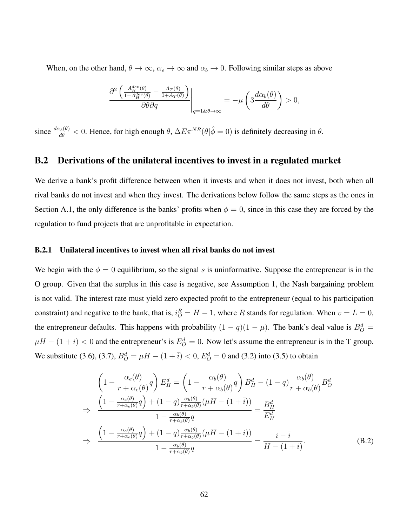When, on the other hand,  $\theta \to \infty$ ,  $\alpha_e \to \infty$  and  $\alpha_b \to 0$ . Following similar steps as above

$$
\frac{\partial^2 \left( \frac{A_H^{dev}(\theta)}{1 + A_H^{dev}(\theta)} - \frac{A_T(\theta)}{1 + A_T(\theta)} \right)}{\partial \theta \partial q} \Big|_{\substack{q = 1 \& \theta \to \infty}} = -\mu \left( 3 \frac{d \alpha_b(\theta)}{d \theta} \right) > 0,
$$

since  $\frac{d\alpha_b(\theta)}{d\theta} < 0$ . Hence, for high enough  $\theta$ ,  $\Delta E \pi^{NR}(\theta|\hat{\phi} = 0)$  is definitely decreasing in  $\theta$ .

## B.2 Derivations of the unilateral incentives to invest in a regulated market

We derive a bank's profit difference between when it invests and when it does not invest, both when all rival banks do not invest and when they invest. The derivations below follow the same steps as the ones in Section [A.1,](#page-52-1) the only difference is the banks' profits when  $\phi = 0$ , since in this case they are forced by the regulation to fund projects that are unprofitable in expectation.

#### <span id="page-62-0"></span>B.2.1 Unilateral incentives to invest when all rival banks do not invest

We begin with the  $\phi = 0$  equilibrium, so the signal s is uninformative. Suppose the entrepreneur is in the O group. Given that the surplus in this case is negative, see Assumption [1,](#page-11-3) the Nash bargaining problem is not valid. The interest rate must yield zero expected profit to the entrepreneur (equal to his participation constraint) and negative to the bank, that is,  $i_O^R = H - 1$ , where R stands for regulation. When  $v = L = 0$ , the entrepreneur defaults. This happens with probability  $(1 - q)(1 - \mu)$ . The bank's deal value is  $B^d_{\mathcal{O}} =$  $\mu H - (1 + \overline{i}) < 0$  and the entrepreneur's is  $E_Q^d = 0$ . Now let's assume the entrepreneur is in the T group. We substitute [\(3.6\)](#page-14-2), [\(3.7\)](#page-14-3),  $B_Q^d = \mu H - (1 + \bar{i}) < 0$ ,  $E_Q^d = 0$  and [\(3.2\)](#page-12-1) into [\(3.5\)](#page-13-3) to obtain

<span id="page-62-1"></span>
$$
\left(1 - \frac{\alpha_e(\theta)}{r + \alpha_e(\theta)}q\right)E_H^d = \left(1 - \frac{\alpha_b(\theta)}{r + \alpha_b(\theta)}q\right)B_H^d - (1 - q)\frac{\alpha_b(\theta)}{r + \alpha_b(\theta)}B_O^d
$$
\n
$$
\Rightarrow \frac{\left(1 - \frac{\alpha_e(\theta)}{r + \alpha_e(\theta)}q\right) + (1 - q)\frac{\alpha_b(\theta)}{r + \alpha_b(\theta)}(\mu H - (1 + \bar{i}))}{1 - \frac{\alpha_b(\theta)}{r + \alpha_b(\theta)}q} = \frac{B_H^d}{E_H^d}
$$
\n
$$
\Rightarrow \frac{\left(1 - \frac{\alpha_e(\theta)}{r + \alpha_e(\theta)}q\right) + (1 - q)\frac{\alpha_b(\theta)}{r + \alpha_b(\theta)}(\mu H - (1 + \bar{i}))}{1 - \frac{\alpha_b(\theta)}{r + \alpha_b(\theta)}q} = \frac{i - \bar{i}}{H - (1 + i)}.
$$
\n(B.2)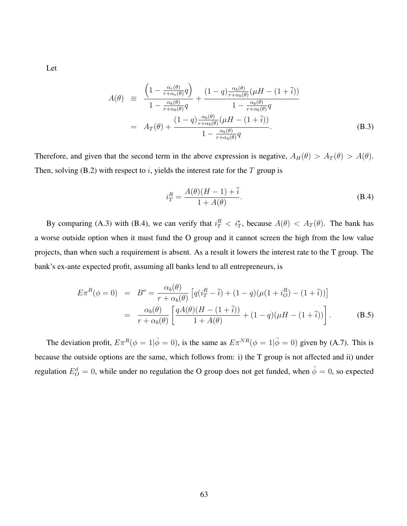Let

<span id="page-63-0"></span>
$$
A(\theta) \equiv \frac{\left(1 - \frac{\alpha_e(\theta)}{r + \alpha_e(\theta)}q\right)}{1 - \frac{\alpha_b(\theta)}{r + \alpha_b(\theta)}q} + \frac{(1 - q)\frac{\alpha_b(\theta)}{r + \alpha_b(\theta)}(\mu H - (1 + \bar{i}))}{1 - \frac{\alpha_b(\theta)}{r + \alpha_b(\theta)}q}
$$

$$
= A_T(\theta) + \frac{(1 - q)\frac{\alpha_b(\theta)}{r + \alpha_b(\theta)}(\mu H - (1 + \bar{i}))}{1 - \frac{\alpha_b(\theta)}{r + \alpha_b(\theta)}q}.
$$
(B.3)

Therefore, and given that the second term in the above expression is negative,  $A_H(\theta) > A_T(\theta) > A(\theta)$ . Then, solving [\(B.2\)](#page-62-1) with respect to  $i$ , yields the interest rate for the  $T$  group is

<span id="page-63-1"></span>
$$
i_T^R = \frac{A(\theta)(H-1) + \bar{i}}{1 + A(\theta)}.
$$
 (B.4)

By comparing [\(A.3\)](#page-53-3) with [\(B.4\)](#page-63-1), we can verify that  $i_T^R < i_T^*$ , because  $A(\theta) < A_T(\theta)$ . The bank has a worse outside option when it must fund the O group and it cannot screen the high from the low value projects, than when such a requirement is absent. As a result it lowers the interest rate to the T group. The bank's ex-ante expected profit, assuming all banks lend to all entrepreneurs, is

$$
E\pi^{R}(\phi = 0) = B^{o} = \frac{\alpha_{b}(\theta)}{r + \alpha_{b}(\theta)} \left[ q(i_{T}^{R} - \bar{i}) + (1 - q)(\mu(1 + i_{O}^{R}) - (1 + \bar{i})) \right]
$$
  
= 
$$
\frac{\alpha_{b}(\theta)}{r + \alpha_{b}(\theta)} \left[ \frac{qA(\theta)(H - (1 + \bar{i}))}{1 + A(\theta)} + (1 - q)(\mu H - (1 + \bar{i})) \right].
$$
 (B.5)

The deviation profit,  $E \pi^R(\phi = 1 | \hat{\phi} = 0)$ , is the same as  $E \pi^{NR}(\phi = 1 | \hat{\phi} = 0)$  given by [\(A.7\)](#page-54-4). This is because the outside options are the same, which follows from: i) the T group is not affected and ii) under regulation  $E_O^d = 0$ , while under no regulation the O group does not get funded, when  $\hat{\phi} = 0$ , so expected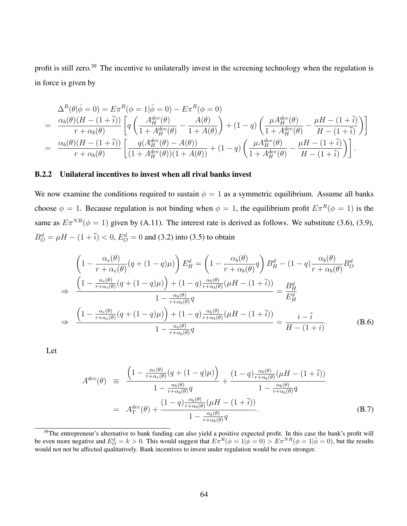profit is still zero.[39](#page-64-2) The incentive to unilaterally invest in the screening technology when the regulation is in force is given by

$$
\Delta^{R}(\theta|\hat{\phi}=0) = E\pi^{R}(\phi=1|\hat{\phi}=0) - E\pi^{R}(\phi=0)
$$
\n
$$
= \frac{\alpha_{b}(\theta)(H-(1+\bar{i}))}{r+\alpha_{b}(\theta)} \left[ q \left( \frac{A_{H}^{dev}(\theta)}{1+A_{H}^{dev}(\theta)} - \frac{A(\theta)}{1+A(\theta)} \right) + (1-q) \left( \frac{\mu A_{H}^{dev}(\theta)}{1+A_{H}^{dev}(\theta)} - \frac{\mu H-(1+\bar{i})}{H-(1+\bar{i})} \right) \right]
$$
\n
$$
= \frac{\alpha_{b}(\theta)(H-(1+\bar{i}))}{r+\alpha_{b}(\theta)} \left[ \frac{q(A_{H}^{dev}(\theta)-A(\theta))}{(1+A_{H}^{dev}(\theta))(1+A(\theta))} + (1-q) \left( \frac{\mu A_{H}^{dev}(\theta)}{1+A_{H}^{dev}(\theta)} - \frac{\mu H-(1+\bar{i})}{H-(1+\bar{i})} \right) \right].
$$

#### <span id="page-64-0"></span>B.2.2 Unilateral incentives to invest when all rival banks invest

We now examine the conditions required to sustain  $\phi = 1$  as a symmetric equilibrium. Assume all banks choose  $\phi = 1$ . Because regulation is not binding when  $\phi = 1$ , the equilibrium profit  $E \pi^R(\phi = 1)$  is the same as  $E\pi^{NR}(\phi = 1)$  given by [\(A.11\)](#page-55-4). The interest rate is derived as follows. We substitute [\(3.6\)](#page-14-2), [\(3.9\)](#page-14-1),  $B^d_O = \mu H - (1 + \overline{i}) < 0, E^d_O = 0$  and [\(3.2\)](#page-12-1) into [\(3.5\)](#page-13-3) to obtain

<span id="page-64-3"></span>
$$
\left(1 - \frac{\alpha_e(\theta)}{r + \alpha_e(\theta)}(q + (1 - q)\mu)\right) E_H^d = \left(1 - \frac{\alpha_b(\theta)}{r + \alpha_b(\theta)}q\right) B_H^d - (1 - q)\frac{\alpha_b(\theta)}{r + \alpha_b(\theta)} B_O^d
$$
\n
$$
\Rightarrow \frac{\left(1 - \frac{\alpha_e(\theta)}{r + \alpha_e(\theta)}(q + (1 - q)\mu)\right) + (1 - q)\frac{\alpha_b(\theta)}{r + \alpha_b(\theta)}(\mu H - (1 + \bar{i}))}{1 - \frac{\alpha_b(\theta)}{r + \alpha_b(\theta)}q} = \frac{B_H^d}{E_H^d}
$$
\n
$$
\Rightarrow \frac{\left(1 - \frac{\alpha_e(\theta)}{r + \alpha_e(\theta)}(q + (1 - q)\mu)\right) + (1 - q)\frac{\alpha_b(\theta)}{r + \alpha_b(\theta)}(\mu H - (1 + \bar{i}))}{1 - \frac{\alpha_b(\theta)}{r + \alpha_b(\theta)}q} = \frac{i - \bar{i}}{H - (1 + i)}.
$$
\n(B.6)

Let

<span id="page-64-1"></span>
$$
A^{dev}(\theta) \equiv \frac{\left(1 - \frac{\alpha_e(\theta)}{r + \alpha_e(\theta)}(q + (1 - q)\mu)\right)}{1 - \frac{\alpha_b(\theta)}{r + \alpha_b(\theta)}q} + \frac{(1 - q)\frac{\alpha_b(\theta)}{r + \alpha_b(\theta)}(\mu - (1 + \bar{i}))}{1 - \frac{\alpha_b(\theta)}{r + \alpha_b(\theta)}q}
$$
  
= 
$$
A_T^{dev}(\theta) + \frac{(1 - q)\frac{\alpha_b(\theta)}{r + \alpha_b(\theta)}(\mu - (1 + \bar{i}))}{1 - \frac{\alpha_b(\theta)}{r + \alpha_b(\theta)}q}.
$$
(B.7)

<span id="page-64-2"></span><sup>&</sup>lt;sup>39</sup>The entrepreneur's alternative to bank funding can also yield a positive expected profit. In this case the bank's profit will be even more negative and  $E_Q^d = k > 0$ . This would suggest that  $E \pi^R(\phi = 1 | \hat{\phi} = 0) > E \pi^{NR}(\phi = 1 | \hat{\phi} = 0)$ , but the results would not not be affected qualitatively. Bank incentives to invest under regulation would be even stronger.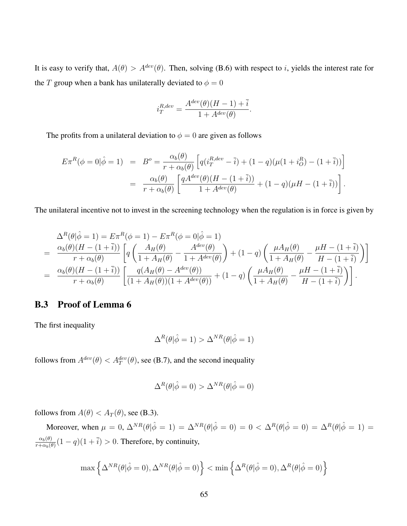It is easy to verify that,  $A(\theta) > A^{dev}(\theta)$ . Then, solving [\(B.6\)](#page-64-3) with respect to *i*, yields the interest rate for the T group when a bank has unilaterally deviated to  $\phi = 0$ 

$$
i_T^{R,dev} = \frac{A^{dev}(\theta)(H-1) + \bar{i}}{1 + A^{dev}(\theta)}.
$$

The profits from a unilateral deviation to  $\phi = 0$  are given as follows

$$
E\pi^{R}(\phi = 0|\hat{\phi} = 1) = B^{o} = \frac{\alpha_{b}(\theta)}{r + \alpha_{b}(\theta)} \left[ q(i_{T}^{R, dev} - \bar{i}) + (1 - q)(\mu(1 + i_{O}^{R}) - (1 + \bar{i})) \right]
$$
  

$$
= \frac{\alpha_{b}(\theta)}{r + \alpha_{b}(\theta)} \left[ \frac{qA^{dev}(\theta)(H - (1 + \bar{i}))}{1 + A^{dev}(\theta)} + (1 - q)(\mu H - (1 + \bar{i})) \right].
$$

The unilateral incentive not to invest in the screening technology when the regulation is in force is given by

$$
\Delta^{R}(\theta|\hat{\phi}=1) = E\pi^{R}(\phi=1) - E\pi^{R}(\phi=0|\hat{\phi}=1)
$$
\n
$$
= \frac{\alpha_{b}(\theta)(H-(1+\bar{i}))}{r+\alpha_{b}(\theta)} \left[ q\left(\frac{A_{H}(\theta)}{1+A_{H}(\theta)} - \frac{A^{dev}(\theta)}{1+A^{dev}(\theta)}\right) + (1-q)\left(\frac{\mu A_{H}(\theta)}{1+A_{H}(\theta)} - \frac{\mu H-(1+\bar{i})}{H-(1+\bar{i})}\right) \right]
$$
\n
$$
= \frac{\alpha_{b}(\theta)(H-(1+\bar{i}))}{r+\alpha_{b}(\theta)} \left[ \frac{q(A_{H}(\theta)-A^{dev}(\theta))}{(1+A_{H}(\theta))(1+A^{dev}(\theta))} + (1-q)\left(\frac{\mu A_{H}(\theta)}{1+A_{H}(\theta)} - \frac{\mu H-(1+\bar{i})}{H-(1+\bar{i})}\right) \right].
$$

## B.3 Proof of Lemma [6](#page-23-1)

The first inequality

$$
\Delta^R(\theta|\hat{\phi}=1) > \Delta^{NR}(\theta|\hat{\phi}=1)
$$

follows from  $A^{dev}(\theta) < A^{dev}_T(\theta)$ , see [\(B.7\)](#page-64-1), and the second inequality

$$
\Delta^R(\theta|\hat{\phi}=0) > \Delta^{NR}(\theta|\hat{\phi}=0)
$$

follows from  $A(\theta) < A_T(\theta)$ , see [\(B.3\)](#page-63-0).

Moreover, when  $\mu = 0$ ,  $\Delta^{NR}(\theta|\hat{\phi} = 1) = \Delta^{NR}(\theta|\hat{\phi} = 0) = 0 < \Delta^{R}(\theta|\hat{\phi} = 0) = \Delta^{R}(\theta|\hat{\phi} = 1) =$  $\alpha_b(\theta)$  $\frac{\alpha_b(\theta)}{r+\alpha_b(\theta)}(1-q)(1+\overline{i}) > 0$ . Therefore, by continuity,

$$
\max\left\{\Delta^{NR}(\theta|\hat{\phi}=0),\Delta^{NR}(\theta|\hat{\phi}=0)\right\}<\min\left\{\Delta^{R}(\theta|\hat{\phi}=0),\Delta^{R}(\theta|\hat{\phi}=0)\right\}
$$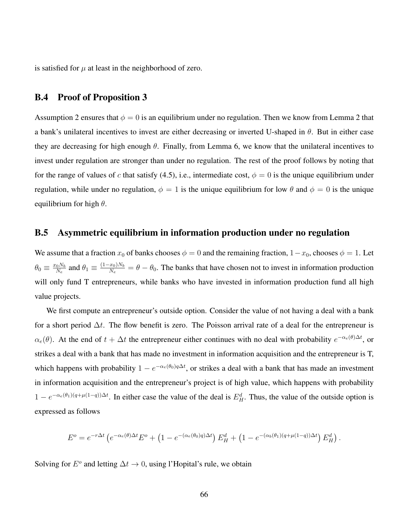is satisfied for  $\mu$  at least in the neighborhood of zero.

#### <span id="page-66-1"></span>B.4 Proof of Proposition [3](#page-25-4)

Assumption [2](#page-18-2) ensures that  $\phi = 0$  is an equilibrium under no regulation. Then we know from Lemma 2 that a bank's unilateral incentives to invest are either decreasing or inverted U-shaped in  $\theta$ . But in either case they are decreasing for high enough  $\theta$ . Finally, from Lemma [6,](#page-23-1) we know that the unilateral incentives to invest under regulation are stronger than under no regulation. The rest of the proof follows by noting that for the range of values of c that satisfy [\(4.5\)](#page-25-2), i.e., intermediate cost,  $\phi = 0$  is the unique equilibrium under regulation, while under no regulation,  $\phi = 1$  is the unique equilibrium for low  $\theta$  and  $\phi = 0$  is the unique equilibrium for high  $\theta$ .

#### <span id="page-66-0"></span>B.5 Asymmetric equilibrium in information production under no regulation

We assume that a fraction  $x_0$  of banks chooses  $\phi = 0$  and the remaining fraction,  $1-x_0$ , chooses  $\phi = 1$ . Let  $\theta_0 \equiv \frac{x_0 N_b}{N_a}$  $\frac{N_0 N_b}{N_e}$  and  $\theta_1 \equiv \frac{(1-x_0)N_b}{N_e}$  $\frac{x_0}{N_e} = \theta - \theta_0$ . The banks that have chosen not to invest in information production will only fund T entrepreneurs, while banks who have invested in information production fund all high value projects.

We first compute an entrepreneur's outside option. Consider the value of not having a deal with a bank for a short period  $\Delta t$ . The flow benefit is zero. The Poisson arrival rate of a deal for the entrepreneur is  $\alpha_e(\theta)$ . At the end of  $t + \Delta t$  the entrepreneur either continues with no deal with probability  $e^{-\alpha_e(\theta)\Delta t}$ , or strikes a deal with a bank that has made no investment in information acquisition and the entrepreneur is T, which happens with probability  $1 - e^{-\alpha_e(\theta_0) q \Delta t}$ , or strikes a deal with a bank that has made an investment in information acquisition and the entrepreneur's project is of high value, which happens with probability  $1 - e^{-\alpha_e(\theta_1)(q + \mu(1-q))\Delta t}$ . In either case the value of the deal is  $E_H^d$ . Thus, the value of the outside option is expressed as follows

$$
E^o = e^{-r\Delta t} \left( e^{-\alpha_e(\theta)\Delta t} E^o + \left( 1 - e^{-(\alpha_e(\theta_0)q)\Delta t} \right) E_H^d + \left( 1 - e^{-(\alpha_b(\theta_1)(q+\mu(1-q))\Delta t} \right) E_H^d \right).
$$

Solving for  $E^o$  and letting  $\Delta t \to 0$ , using l'Hopital's rule, we obtain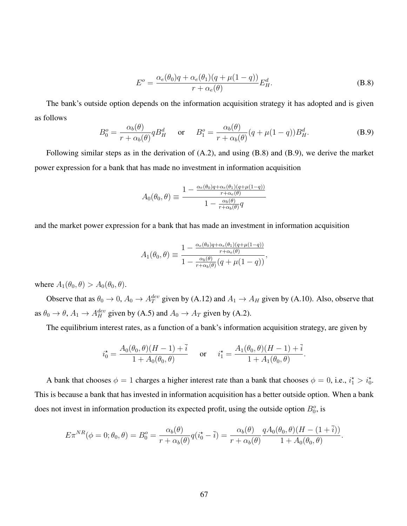<span id="page-67-0"></span>
$$
E^{o} = \frac{\alpha_{e}(\theta_{0})q + \alpha_{e}(\theta_{1})(q + \mu(1-q))}{r + \alpha_{e}(\theta)} E_{H}^{d}.
$$
 (B.8)

The bank's outside option depends on the information acquisition strategy it has adopted and is given as follows

<span id="page-67-1"></span>
$$
B_0^o = \frac{\alpha_b(\theta)}{r + \alpha_b(\theta)} q B_H^d \quad \text{or} \quad B_1^o = \frac{\alpha_b(\theta)}{r + \alpha_b(\theta)} (q + \mu(1 - q)) B_H^d.
$$
 (B.9)

Following similar steps as in the derivation of [\(A.2\)](#page-53-1), and using [\(B.8\)](#page-67-0) and [\(B.9\)](#page-67-1), we derive the market power expression for a bank that has made no investment in information acquisition

$$
A_0(\theta_0, \theta) \equiv \frac{1 - \frac{\alpha_e(\theta_0)q + \alpha_e(\theta_1)(q + \mu(1-q))}{r + \alpha_e(\theta)}}{1 - \frac{\alpha_b(\theta)}{r + \alpha_b(\theta)}q}
$$

and the market power expression for a bank that has made an investment in information acquisition

$$
A_1(\theta_0, \theta) \equiv \frac{1 - \frac{\alpha_e(\theta_0)q + \alpha_e(\theta_1)(q + \mu(1-q))}{r + \alpha_e(\theta)}}{1 - \frac{\alpha_b(\theta)}{r + \alpha_b(\theta)}(q + \mu(1-q))},
$$

where  $A_1(\theta_0, \theta) > A_0(\theta_0, \theta)$ .

Observe that as  $\theta_0 \to 0$ ,  $A_0 \to A_T^{dev}$  given by [\(A.12\)](#page-55-1) and  $A_1 \to A_H$  given by [\(A.10\)](#page-55-0). Also, observe that as  $\theta_0 \to \theta$ ,  $A_1 \to A_H^{dev}$  given by [\(A.5\)](#page-54-0) and  $A_0 \to A_T$  given by [\(A.2\)](#page-53-1).

The equilibrium interest rates, as a function of a bank's information acquisition strategy, are given by

$$
i_0^* = \frac{A_0(\theta_0, \theta)(H - 1) + \bar{i}}{1 + A_0(\theta_0, \theta)}
$$
 or  $i_1^* = \frac{A_1(\theta_0, \theta)(H - 1) + \bar{i}}{1 + A_1(\theta_0, \theta)}$ .

A bank that chooses  $\phi = 1$  charges a higher interest rate than a bank that chooses  $\phi = 0$ , i.e.,  $i_1^* > i_0^*$ . This is because a bank that has invested in information acquisition has a better outside option. When a bank does not invest in information production its expected profit, using the outside option  $B_0^o$ , is

$$
E\pi^{NR}(\phi=0;\theta_0,\theta) = B_0^o = \frac{\alpha_b(\theta)}{r + \alpha_b(\theta)}q(i_0^* - \bar{i}) = \frac{\alpha_b(\theta)}{r + \alpha_b(\theta)}\frac{qA_0(\theta_0,\theta)(H - (1 + \bar{i}))}{1 + A_0(\theta_0,\theta)}.
$$